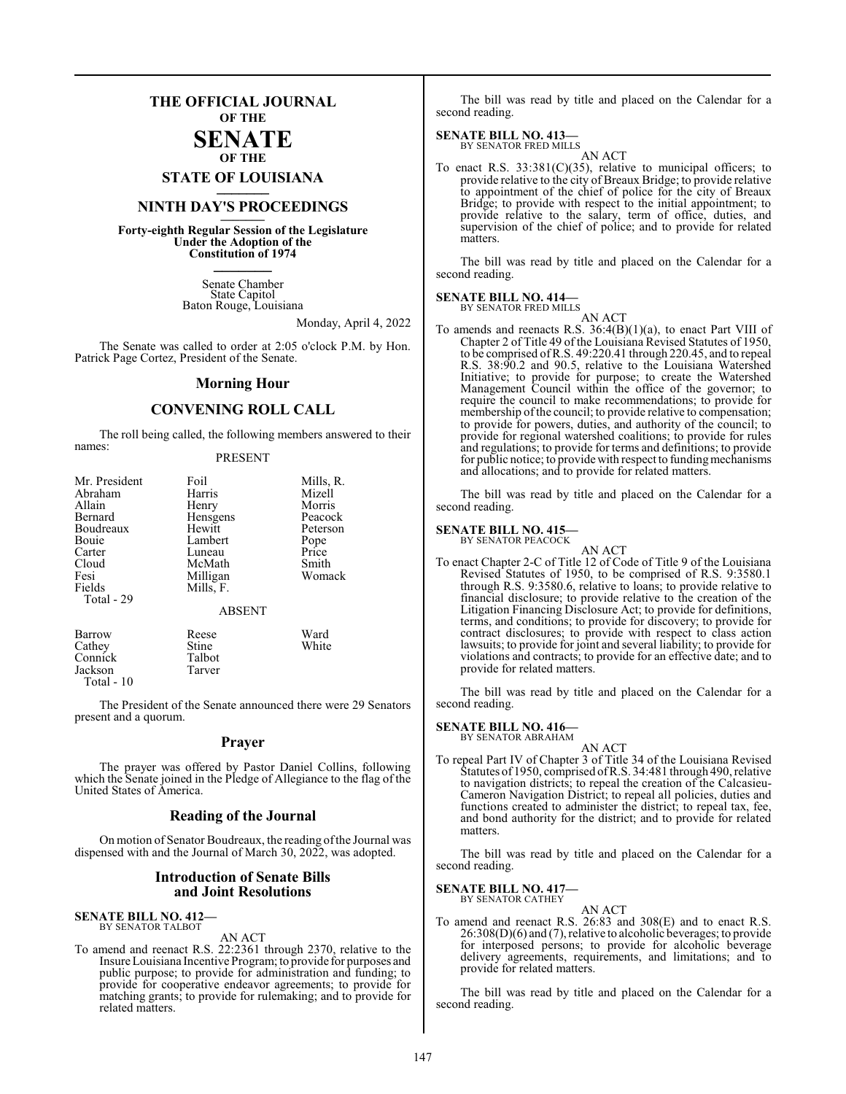## **THE OFFICIAL JOURNAL OF THE**

#### **SENATE OF THE**

**STATE OF LOUISIANA \_\_\_\_\_\_\_**

## **NINTH DAY'S PROCEEDINGS \_\_\_\_\_\_\_**

**Forty-eighth Regular Session of the Legislature Under the Adoption of the Constitution of 1974 \_\_\_\_\_\_\_**

> Senate Chamber State Capitol Baton Rouge, Louisiana

> > Monday, April 4, 2022

The Senate was called to order at 2:05 o'clock P.M. by Hon. Patrick Page Cortez, President of the Senate.

#### **Morning Hour**

### **CONVENING ROLL CALL**

The roll being called, the following members answered to their names:

#### PRESENT

| Mr. President | Foil          | Mills, R. |
|---------------|---------------|-----------|
| Abraham       | Harris        | Mizell    |
| Allain        | Henry         | Morris    |
| Bernard       | Hensgens      | Peacock   |
| Boudreaux     | Hewitt        | Peterson  |
| Bouie         | Lambert       | Pope      |
| Carter        | Luneau        | Price     |
| Cloud         | McMath        | Smith     |
| Fesi          | Milligan      | Womack    |
| Fields        | Mills, F.     |           |
| Total - 29    |               |           |
|               | <b>ABSENT</b> |           |
| Barrow        | Reese         | Ward      |
| Cathey        | Stine         | White     |
| Connick       | Talbot        |           |
| Jackson       | Tarver        |           |

The President of the Senate announced there were 29 Senators present and a quorum.

#### **Prayer**

The prayer was offered by Pastor Daniel Collins, following which the Senate joined in the Pledge of Allegiance to the flag of the United States of America.

#### **Reading of the Journal**

On motion of Senator Boudreaux, the reading ofthe Journal was dispensed with and the Journal of March 30, 2022, was adopted.

#### **Introduction of Senate Bills and Joint Resolutions**

**SENATE BILL NO. 412—** BY SENATOR TALBOT

Jackson Total - 10

AN ACT

To amend and reenact R.S. 22:2361 through 2370, relative to the Insure Louisiana Incentive Program; to provide for purposes and public purpose; to provide for administration and funding; to provide for cooperative endeavor agreements; to provide for matching grants; to provide for rulemaking; and to provide for related matters.

The bill was read by title and placed on the Calendar for a second reading.

## **SENATE BILL NO. 413—** BY SENATOR FRED MILLS

AN ACT

To enact R.S.  $33:381(C)(35)$ , relative to municipal officers; to provide relative to the city of Breaux Bridge; to provide relative to appointment of the chief of police for the city of Breaux Bridge; to provide with respect to the initial appointment; to provide relative to the salary, term of office, duties, and supervision of the chief of police; and to provide for related matters.

The bill was read by title and placed on the Calendar for a second reading.

#### **SENATE BILL NO. 414—** BY SENATOR FRED MILLS

AN ACT

To amends and reenacts R.S. 36:4(B)(1)(a), to enact Part VIII of Chapter 2 of Title 49 of the Louisiana Revised Statutes of 1950, to be comprised ofR.S. 49:220.41 through 220.45, and to repeal R.S. 38:90.2 and 90.5, relative to the Louisiana Watershed Initiative; to provide for purpose; to create the Watershed Management Council within the office of the governor; to require the council to make recommendations; to provide for membership of the council; to provide relative to compensation; to provide for powers, duties, and authority of the council; to provide for regional watershed coalitions; to provide for rules and regulations; to provide for terms and definitions; to provide for public notice; to provide with respect to funding mechanisms and allocations; and to provide for related matters.

The bill was read by title and placed on the Calendar for a second reading.

#### **SENATE BILL NO. 415—** BY SENATOR PEACOCK

AN ACT

To enact Chapter 2-C of Title 12 of Code of Title 9 of the Louisiana Revised Statutes of 1950, to be comprised of R.S. 9:3580.1 through R.S. 9:3580.6, relative to loans; to provide relative to financial disclosure; to provide relative to the creation of the Litigation Financing Disclosure Act; to provide for definitions, terms, and conditions; to provide for discovery; to provide for contract disclosures; to provide with respect to class action lawsuits; to provide for joint and several liability; to provide for violations and contracts; to provide for an effective date; and to provide for related matters.

The bill was read by title and placed on the Calendar for a second reading.

#### **SENATE BILL NO. 416—**

BY SENATOR ABRAHAM AN ACT

To repeal Part IV of Chapter 3 of Title 34 of the Louisiana Revised Statutes of 1950, comprised ofR.S. 34:481 through 490, relative to navigation districts; to repeal the creation of the Calcasieu-Cameron Navigation District; to repeal all policies, duties and functions created to administer the district; to repeal tax, fee, and bond authority for the district; and to provide for related matters.

The bill was read by title and placed on the Calendar for a second reading.

#### **SENATE BILL NO. 417—**

BY SENATOR CATHEY AN ACT

To amend and reenact R.S. 26:83 and 308(E) and to enact R.S.  $26:308(D)(6)$  and (7), relative to alcoholic beverages; to provide for interposed persons; to provide for alcoholic beverage delivery agreements, requirements, and limitations; and to provide for related matters.

The bill was read by title and placed on the Calendar for a second reading.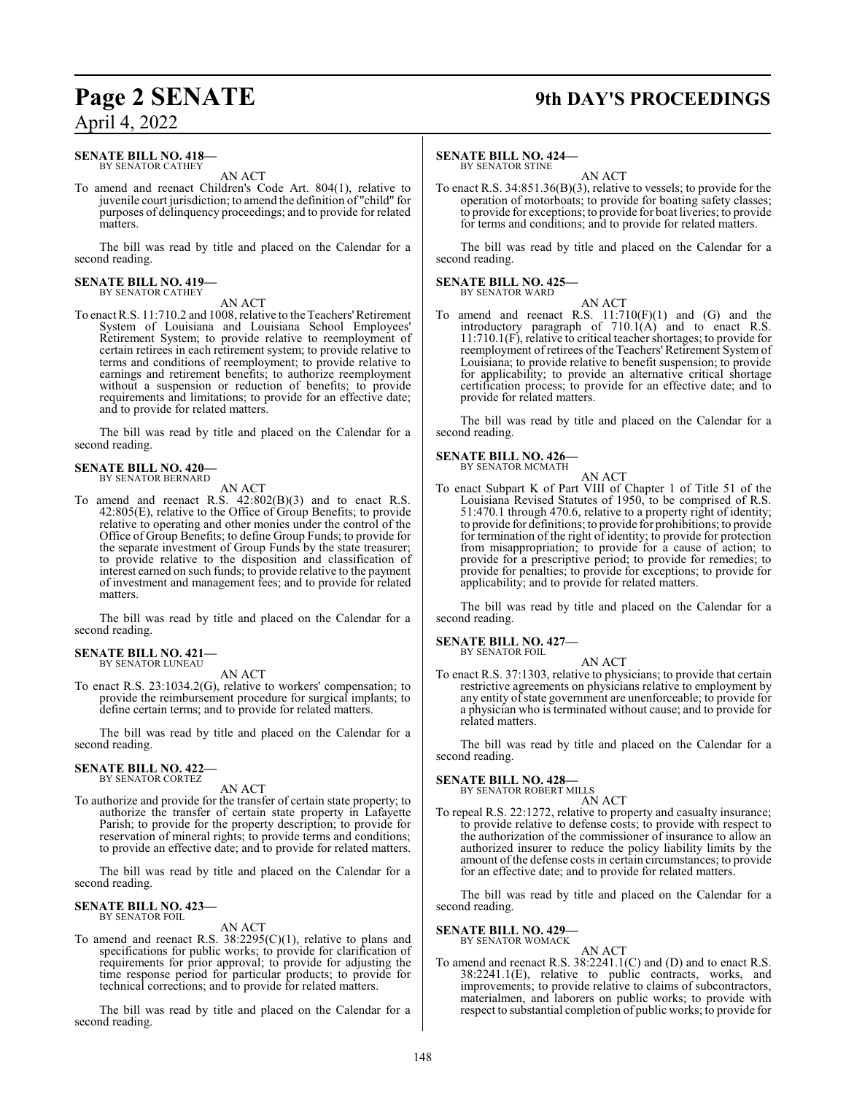## **Page 2 SENATE 9th DAY'S PROCEEDINGS**

## April 4, 2022

#### **SENATE BILL NO. 418—** BY SENATOR CATHEY

AN ACT

To amend and reenact Children's Code Art. 804(1), relative to juvenile court jurisdiction; to amend the definition of "child" for purposes of delinquency proceedings; and to provide for related matters.

The bill was read by title and placed on the Calendar for a second reading.

#### **SENATE BILL NO. 419—** BY SENATOR CATHEY

AN ACT

To enact R.S. 11:710.2 and 1008, relative to the Teachers'Retirement System of Louisiana and Louisiana School Employees' Retirement System; to provide relative to reemployment of certain retirees in each retirement system; to provide relative to terms and conditions of reemployment; to provide relative to earnings and retirement benefits; to authorize reemployment without a suspension or reduction of benefits; to provide requirements and limitations; to provide for an effective date; and to provide for related matters.

The bill was read by title and placed on the Calendar for a second reading.

## **SENATE BILL NO. 420—** BY SENATOR BERNARD

AN ACT

To amend and reenact R.S. 42:802(B)(3) and to enact R.S. 42:805(E), relative to the Office of Group Benefits; to provide relative to operating and other monies under the control of the Office of Group Benefits; to define Group Funds; to provide for the separate investment of Group Funds by the state treasurer; to provide relative to the disposition and classification of interest earned on such funds; to provide relative to the payment of investment and management fees; and to provide for related matters.

The bill was read by title and placed on the Calendar for a second reading.

## **SENATE BILL NO. 421—** BY SENATOR LUNEAU

AN ACT

To enact R.S. 23:1034.2(G), relative to workers' compensation; to provide the reimbursement procedure for surgical implants; to define certain terms; and to provide for related matters.

The bill was read by title and placed on the Calendar for a second reading.

#### **SENATE BILL NO. 422—** BY SENATOR CORTEZ

AN ACT

To authorize and provide for the transfer of certain state property; to authorize the transfer of certain state property in Lafayette Parish; to provide for the property description; to provide for reservation of mineral rights; to provide terms and conditions; to provide an effective date; and to provide for related matters.

The bill was read by title and placed on the Calendar for a second reading.

#### **SENATE BILL NO. 423—** BY SENATOR FOIL

#### AN ACT

To amend and reenact R.S. 38:2295(C)(1), relative to plans and specifications for public works; to provide for clarification of requirements for prior approval; to provide for adjusting the time response period for particular products; to provide for technical corrections; and to provide for related matters.

The bill was read by title and placed on the Calendar for a second reading.

#### **SENATE BILL NO. 424—**

BY SENATOR STINE AN ACT

To enact R.S. 34:851.36(B)(3), relative to vessels; to provide for the operation of motorboats; to provide for boating safety classes; to provide for exceptions; to provide for boat liveries; to provide for terms and conditions; and to provide for related matters.

The bill was read by title and placed on the Calendar for a second reading.

#### **SENATE BILL NO. 425—** BY SENATOR WARD

- AN ACT
- To amend and reenact R.S.  $11:710(F)(1)$  and  $(G)$  and the introductory paragraph of 710.1(A) and to enact R.S. 11:710.1(F), relative to critical teacher shortages; to provide for reemployment of retirees of the Teachers' Retirement System of Louisiana; to provide relative to benefit suspension; to provide for applicability; to provide an alternative critical shortage certification process; to provide for an effective date; and to provide for related matters.

The bill was read by title and placed on the Calendar for a second reading.

#### **SENATE BILL NO. 426—** BY SENATOR MCMATH

AN ACT

To enact Subpart K of Part VIII of Chapter 1 of Title 51 of the Louisiana Revised Statutes of 1950, to be comprised of R.S. 51:470.1 through 470.6, relative to a property right of identity; to provide for definitions; to provide for prohibitions; to provide for termination of the right of identity; to provide for protection from misappropriation; to provide for a cause of action; to provide for a prescriptive period; to provide for remedies; to provide for penalties; to provide for exceptions; to provide for applicability; and to provide for related matters.

The bill was read by title and placed on the Calendar for a second reading.

#### **SENATE BILL NO. 427—** BY SENATOR FOIL

AN ACT

To enact R.S. 37:1303, relative to physicians; to provide that certain restrictive agreements on physicians relative to employment by any entity of state government are unenforceable; to provide for a physician who is terminated without cause; and to provide for related matters.

The bill was read by title and placed on the Calendar for a second reading.

#### **SENATE BILL NO. 428—**

BY SENATOR ROBERT MILLS AN ACT

To repeal R.S. 22:1272, relative to property and casualty insurance; to provide relative to defense costs; to provide with respect to the authorization of the commissioner of insurance to allow an authorized insurer to reduce the policy liability limits by the amount of the defense costs in certain circumstances; to provide for an effective date; and to provide for related matters.

The bill was read by title and placed on the Calendar for a second reading.

#### **SENATE BILL NO. 429—**

BY SENATOR WOMACK AN ACT

To amend and reenact R.S. 38:2241.1(C) and (D) and to enact R.S. 38:2241.1(E), relative to public contracts, works, and improvements; to provide relative to claims of subcontractors, materialmen, and laborers on public works; to provide with respect to substantial completion of public works; to provide for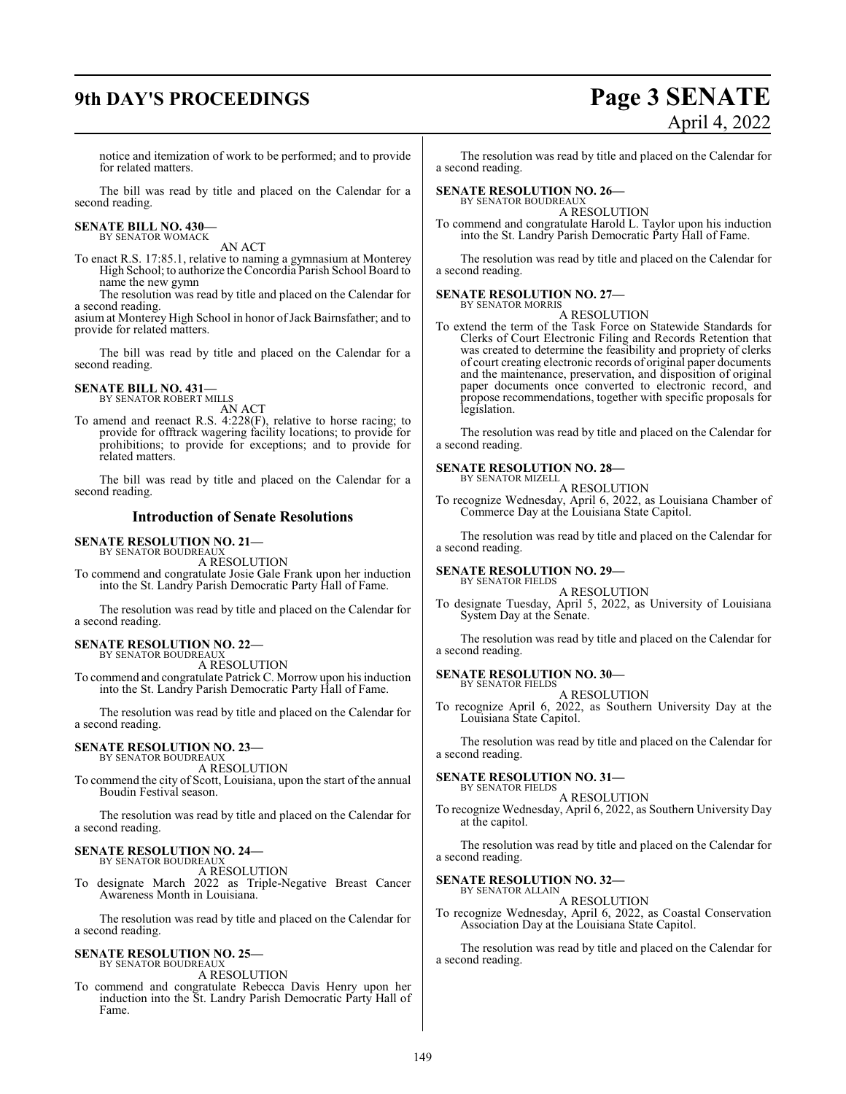# **9th DAY'S PROCEEDINGS Page 3 SENATE**

# April 4, 2022

notice and itemization of work to be performed; and to provide for related matters.

The bill was read by title and placed on the Calendar for a second reading.

# **SENATE BILL NO. 430—** BY SENATOR WOMACK

AN ACT

To enact R.S. 17:85.1, relative to naming a gymnasium at Monterey High School; to authorize the Concordia Parish School Board to name the new gymn

The resolution was read by title and placed on the Calendar for a second reading.

asium at Monterey High School in honor of Jack Bairnsfather; and to provide for related matters.

The bill was read by title and placed on the Calendar for a second reading.

#### **SENATE BILL NO. 431—** BY SENATOR ROBERT MILLS

AN ACT

To amend and reenact R.S. 4:228(F), relative to horse racing; to provide for offtrack wagering facility locations; to provide for prohibitions; to provide for exceptions; and to provide for related matters.

The bill was read by title and placed on the Calendar for a second reading.

#### **Introduction of Senate Resolutions**

#### **SENATE RESOLUTION NO. 21—**

BY SENATOR BOUDREAUX A RESOLUTION

To commend and congratulate Josie Gale Frank upon her induction into the St. Landry Parish Democratic Party Hall of Fame.

The resolution was read by title and placed on the Calendar for a second reading.

#### **SENATE RESOLUTION NO. 22—** BY SENATOR BOUDREAUX

A RESOLUTION

To commend and congratulate Patrick C. Morrow upon his induction into the St. Landry Parish Democratic Party Hall of Fame.

The resolution was read by title and placed on the Calendar for a second reading.

#### **SENATE RESOLUTION NO. 23—** BY SENATOR BOUDREAUX

A RESOLUTION

To commend the city of Scott, Louisiana, upon the start of the annual Boudin Festival season.

The resolution was read by title and placed on the Calendar for a second reading.

#### **SENATE RESOLUTION NO. 24—** BY SENATOR BOUDREAUX

A RESOLUTION

To designate March 2022 as Triple-Negative Breast Cancer Awareness Month in Louisiana.

The resolution was read by title and placed on the Calendar for a second reading.

#### **SENATE RESOLUTION NO. 25—** BY SENATOR BOUDREAUX

A RESOLUTION

To commend and congratulate Rebecca Davis Henry upon her induction into the St. Landry Parish Democratic Party Hall of Fame.

The resolution was read by title and placed on the Calendar for a second reading.

#### **SENATE RESOLUTION NO. 26—**

BY SENATOR BOUDREAUX A RESOLUTION

To commend and congratulate Harold L. Taylor upon his induction into the St. Landry Parish Democratic Party Hall of Fame.

The resolution was read by title and placed on the Calendar for a second reading.

#### **SENATE RESOLUTION NO. 27—**

BY SENATOR MORRIS A RESOLUTION

To extend the term of the Task Force on Statewide Standards for Clerks of Court Electronic Filing and Records Retention that was created to determine the feasibility and propriety of clerks of court creating electronic records of original paper documents and the maintenance, preservation, and disposition of original paper documents once converted to electronic record, and propose recommendations, together with specific proposals for legislation.

The resolution was read by title and placed on the Calendar for a second reading.

#### **SENATE RESOLUTION NO. 28—**

BY SENATOR MIZELL A RESOLUTION

To recognize Wednesday, April 6, 2022, as Louisiana Chamber of Commerce Day at the Louisiana State Capitol.

The resolution was read by title and placed on the Calendar for a second reading.

#### **SENATE RESOLUTION NO. 29—** BY SENATOR FIELDS

A RESOLUTION

To designate Tuesday, April 5, 2022, as University of Louisiana System Day at the Senate.

The resolution was read by title and placed on the Calendar for a second reading.

#### **SENATE RESOLUTION NO. 30—** BY SENATOR FIELDS

A RESOLUTION

To recognize April 6, 2022, as Southern University Day at the Louisiana State Capitol.

The resolution was read by title and placed on the Calendar for a second reading.

#### **SENATE RESOLUTION NO. 31—**

BY SENATOR FIELDS A RESOLUTION

To recognize Wednesday, April 6, 2022, as Southern University Day at the capitol.

The resolution was read by title and placed on the Calendar for a second reading.

### **SENATE RESOLUTION NO. 32—**

BY SENATOR ALLAIN A RESOLUTION

To recognize Wednesday, April 6, 2022, as Coastal Conservation Association Day at the Louisiana State Capitol.

The resolution was read by title and placed on the Calendar for a second reading.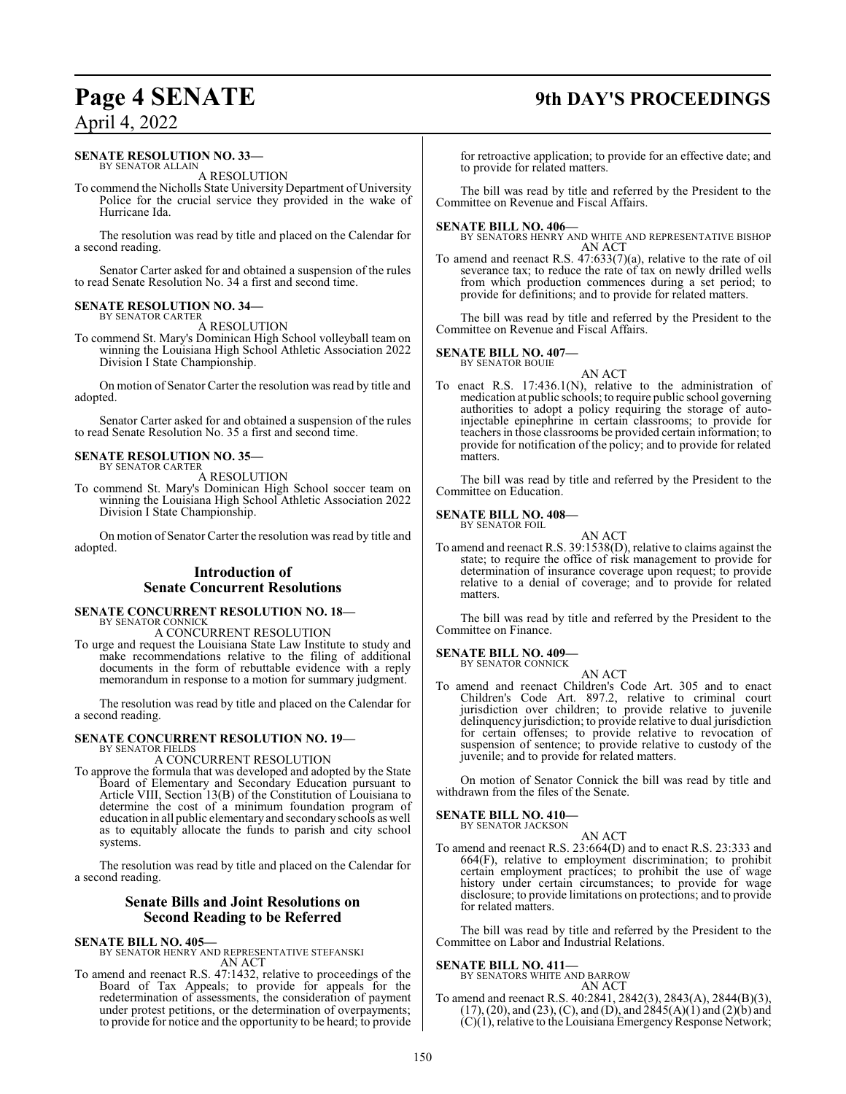# **Page 4 SENATE 9th DAY'S PROCEEDINGS**

## April 4, 2022

#### **SENATE RESOLUTION NO. 33—** BY SENATOR ALLAIN

A RESOLUTION

To commend the Nicholls State University Department of University Police for the crucial service they provided in the wake of Hurricane Ida.

The resolution was read by title and placed on the Calendar for a second reading.

Senator Carter asked for and obtained a suspension of the rules to read Senate Resolution No. 34 a first and second time.

#### **SENATE RESOLUTION NO. 34—** BY SENATOR CARTER

A RESOLUTION

To commend St. Mary's Dominican High School volleyball team on winning the Louisiana High School Athletic Association 2022 Division I State Championship.

On motion of Senator Carter the resolution was read by title and adopted.

Senator Carter asked for and obtained a suspension of the rules to read Senate Resolution No. 35 a first and second time.

#### **SENATE RESOLUTION NO. 35—** BY SENATOR CARTER

A RESOLUTION

To commend St. Mary's Dominican High School soccer team on winning the Louisiana High School Athletic Association 2022 Division I State Championship.

On motion of Senator Carter the resolution was read by title and adopted.

## **Introduction of Senate Concurrent Resolutions**

#### **SENATE CONCURRENT RESOLUTION NO. 18—** BY SENATOR CONNICK

A CONCURRENT RESOLUTION

To urge and request the Louisiana State Law Institute to study and make recommendations relative to the filing of additional documents in the form of rebuttable evidence with a reply memorandum in response to a motion for summary judgment.

The resolution was read by title and placed on the Calendar for a second reading.

#### **SENATE CONCURRENT RESOLUTION NO. 19—** BY SENATOR FIELDS

A CONCURRENT RESOLUTION

To approve the formula that was developed and adopted by the State Board of Elementary and Secondary Education pursuant to Article VIII, Section 13(B) of the Constitution of Louisiana to determine the cost of a minimum foundation program of education in all public elementary and secondary schools as well as to equitably allocate the funds to parish and city school systems.

The resolution was read by title and placed on the Calendar for a second reading.

#### **Senate Bills and Joint Resolutions on Second Reading to be Referred**

**SENATE BILL NO. 405—** BY SENATOR HENRY AND REPRESENTATIVE STEFANSKI AN ACT

To amend and reenact R.S. 47:1432, relative to proceedings of the Board of Tax Appeals; to provide for appeals for the redetermination of assessments, the consideration of payment under protest petitions, or the determination of overpayments; to provide for notice and the opportunity to be heard; to provide

for retroactive application; to provide for an effective date; and to provide for related matters.

The bill was read by title and referred by the President to the Committee on Revenue and Fiscal Affairs.

**SENATE BILL NO. 406—** BY SENATORS HENRY AND WHITE AND REPRESENTATIVE BISHOP AN ACT

To amend and reenact R.S. 47:633(7)(a), relative to the rate of oil severance tax; to reduce the rate of tax on newly drilled wells from which production commences during a set period; to provide for definitions; and to provide for related matters.

The bill was read by title and referred by the President to the Committee on Revenue and Fiscal Affairs.

#### **SENATE BILL NO. 407—**

BY SENATOR BOUIE

AN ACT To enact R.S. 17:436.1(N), relative to the administration of medication at public schools; to require public school governing authorities to adopt a policy requiring the storage of autoinjectable epinephrine in certain classrooms; to provide for teachers in those classrooms be provided certain information; to provide for notification of the policy; and to provide for related matters.

The bill was read by title and referred by the President to the Committee on Education.

#### **SENATE BILL NO. 408—** BY SENATOR FOIL

AN ACT To amend and reenact R.S. 39:1538(D), relative to claims against the state; to require the office of risk management to provide for determination of insurance coverage upon request; to provide relative to a denial of coverage; and to provide for related matters.

The bill was read by title and referred by the President to the Committee on Finance.

#### **SENATE BILL NO. 409—** BY SENATOR CONNICK

AN ACT To amend and reenact Children's Code Art. 305 and to enact Children's Code Art. 897.2, relative to criminal court jurisdiction over children; to provide relative to juvenile delinquency jurisdiction; to provide relative to dual jurisdiction for certain offenses; to provide relative to revocation of suspension of sentence; to provide relative to custody of the juvenile; and to provide for related matters.

On motion of Senator Connick the bill was read by title and withdrawn from the files of the Senate.

#### **SENATE BILL NO. 410—**

BY SENATOR JACKSON

AN ACT To amend and reenact R.S. 23:664(D) and to enact R.S. 23:333 and 664(F), relative to employment discrimination; to prohibit certain employment practices; to prohibit the use of wage history under certain circumstances; to provide for wage disclosure; to provide limitations on protections; and to provide for related matters.

The bill was read by title and referred by the President to the Committee on Labor and Industrial Relations.

#### **SENATE BILL NO. 411—**

BY SENATORS WHITE AND BARROW AN ACT

To amend and reenact R.S. 40:2841, 2842(3), 2843(A), 2844(B)(3),  $(17)$ ,  $(20)$ , and  $(23)$ ,  $(C)$ , and  $(D)$ , and  $2845(A)(1)$  and  $(2)(b)$  and  $(C)(1)$ , relative to the Louisiana Emergency Response Network;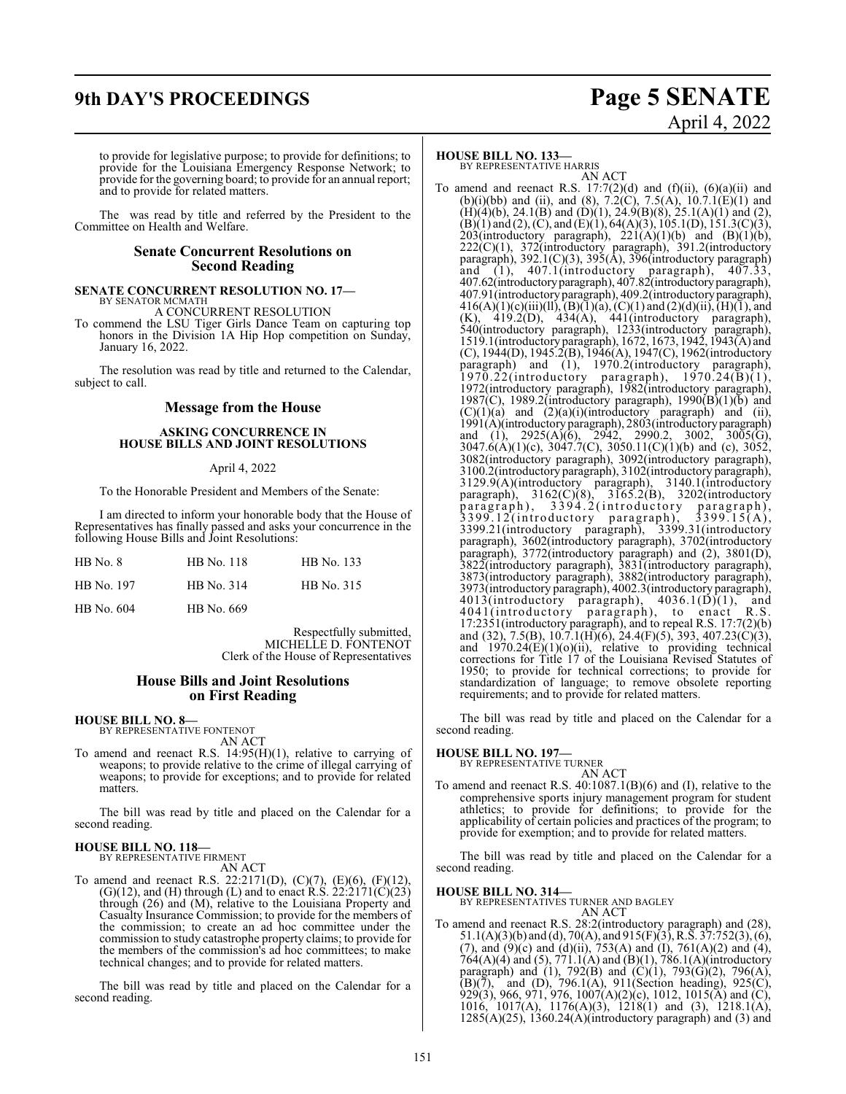## **9th DAY'S PROCEEDINGS Page 5 SENATE**

# April 4, 2022

to provide for legislative purpose; to provide for definitions; to provide for the Louisiana Emergency Response Network; to provide for the governing board; to provide for an annual report; and to provide for related matters.

The was read by title and referred by the President to the Committee on Health and Welfare.

#### **Senate Concurrent Resolutions on Second Reading**

## **SENATE CONCURRENT RESOLUTION NO. 17—** BY SENATOR MCMATH A CONCURRENT RESOLUTION

To commend the LSU Tiger Girls Dance Team on capturing top honors in the Division 1A Hip Hop competition on Sunday, January 16, 2022.

The resolution was read by title and returned to the Calendar, subject to call.

#### **Message from the House**

#### **ASKING CONCURRENCE IN HOUSE BILLS AND JOINT RESOLUTIONS**

#### April 4, 2022

To the Honorable President and Members of the Senate:

I am directed to inform your honorable body that the House of Representatives has finally passed and asks your concurrence in the following House Bills and Joint Resolutions:

| $HB$ No. $8$ | HB No. 118 | HB No. 133 |
|--------------|------------|------------|
| HB No. 197   | HB No. 314 | HB No. 315 |
| HB No. 604   | HB No. 669 |            |

Respectfully submitted, MICHELLE D. FONTENOT Clerk of the House of Representatives

#### **House Bills and Joint Resolutions on First Reading**

## **HOUSE BILL NO. 8—** BY REPRESENTATIVE FONTENOT

AN ACT

To amend and reenact R.S. 14:95(H)(1), relative to carrying of weapons; to provide relative to the crime of illegal carrying of weapons; to provide for exceptions; and to provide for related matters.

The bill was read by title and placed on the Calendar for a second reading.

## **HOUSE BILL NO. 118—** BY REPRESENTATIVE FIRMENT

AN ACT To amend and reenact R.S. 22:2171(D), (C)(7), (E)(6), (F)(12), (G)(12), and (H) through (L) and to enact R.S.  $22:2171(C)(23)$ through (26) and (M), relative to the Louisiana Property and Casualty Insurance Commission; to provide for the members of the commission; to create an ad hoc committee under the commission to study catastrophe property claims; to provide for the members of the commission's ad hoc committees; to make technical changes; and to provide for related matters.

The bill was read by title and placed on the Calendar for a second reading.

#### **HOUSE BILL NO. 133—**

BY REPRESENTATIVE HARRIS AN ACT

To amend and reenact R.S.  $17:7(2)(d)$  and  $(f)(ii)$ ,  $(6)(a)(ii)$  and (b)(i)(bb) and (ii), and (8),  $7.2(\text{C})$ ,  $7.5(\text{A})$ ,  $10.7.1(\text{E})(1)$  and  $(H)(4)(b)$ , 24.1 $(B)$  and  $(D)(1)$ , 24.9 $(B)(8)$ , 25.1 $(A)(1)$  and  $(2)$ ,  $(B)(1)$  and  $(2)$ ,  $(C)$ , and  $(E)(1)$ , 64(A)(3), 105.1(D), 151.3(C)(3), 203(introductory paragraph),  $221(A)(1)(b)$  and  $(B)(1)(b)$ , 222(C)(1), 372(introductory paragraph), 391.2(introductory paragraph), 392.1(C)(3), 395(A), 396(introductory paragraph) and (1), 407.1(introductory paragraph), 407.33, 407.62(introductoryparagraph), 407.82(introductoryparagraph), 407.91(introductory paragraph), 409.2(introductoryparagraph),  $416(A)(1)(c)(iii)(ll), (B)(1)(a), (C)(1)$  and  $(2)(d)(ii), (H)(1),$  and  $(K)$ , 419.2(D), 434(A), 441(introductory paragraph), 540(introductory paragraph), 1233(introductory paragraph), 1519.1(introductoryparagraph), 1672, 1673, 1942, 1943(A) and (C), 1944(D), 1945.2(B), 1946(A), 1947(C), 1962(introductory paragraph) and (1), 1970.2(introductory paragraph),  $1970.22$ (introductory paragraph),  $1970.24(B)(1)$ , 1972(introductory paragraph), 1982(introductory paragraph), 1987(C), 1989.2(introductory paragraph), 1990(B)(1)(b) and  $(C)(1)(a)$  and  $(2)(a)(i)$ (introductory paragraph) and (ii), 1991(A)(introductory paragraph), 2803(introductoryparagraph) and (1), 2925(A)(6), 2942, 2990.2, 3002, 3005(G), 3047.6(A)(1)(c), 3047.7(C), 3050.11(C)(1)(b) and (c), 3052, 3082(introductory paragraph), 3092(introductory paragraph), 3100.2(introductory paragraph), 3102(introductory paragraph), 3129.9(A)(introductory paragraph), 3140.1(introductory paragraph), 3162(C)(8), 3165.2(B), 3202(introductory paragraph), 3394.2(introductory paragraph),  $3399.12$ (introductory paragraph),  $3399.15(A),$ 3399.21(introductory paragraph), 3399.31(introductory paragraph), 3602(introductory paragraph), 3702(introductory paragraph), 3772(introductory paragraph) and (2), 3801(D), 3822(introductory paragraph), 3831(introductory paragraph), 3873(introductory paragraph), 3882(introductory paragraph), 3973(introductory paragraph), 4002.3(introductory paragraph),  $4013$ (introductory paragraph),  $4036.1(D)(1)$ , and 4041(introductory paragraph), to enact R.S. 17:2351(introductory paragraph), and to repeal R.S. 17:7(2)(b) and (32), 7.5(B), 10.7.1(H)(6), 24.4(F)(5), 393, 407.23(C)(3), and  $1970.24(E)(1)(o)(ii)$ , relative to providing technical corrections for Title 17 of the Louisiana Revised Statutes of 1950; to provide for technical corrections; to provide for standardization of language; to remove obsolete reporting requirements; and to provide for related matters.

The bill was read by title and placed on the Calendar for a second reading.

## **HOUSE BILL NO. 197—** BY REPRESENTATIVE TURNER

AN ACT To amend and reenact R.S. 40:1087.1(B)(6) and (I), relative to the comprehensive sports injury management program for student athletics; to provide for definitions; to provide for the applicability of certain policies and practices of the program; to provide for exemption; and to provide for related matters.

The bill was read by title and placed on the Calendar for a second reading.

#### **HOUSE BILL NO. 314—**

BY REPRESENTATIVES TURNER AND BAGLEY

AN ACT To amend and reenact R.S. 28:2(introductory paragraph) and (28), 51.1(A)(3)(b) and (d), 70(A), and 915(F)(3), R.S. 37:752(3), (6), (7), and (9)(c) and (d)(ii),  $753(A)$  and (I),  $761(A)(2)$  and (4), 764(A)(4) and (5), 771.1(A) and (B)(1), 786.1(A)(introductory paragraph) and (1), 792(B) and (C)(1), 793(G)(2), 796(A),  $(B)(\bar{7})$ , and  $(D)$ , 796.1(A), 911(Section heading), 925(C), 929(3), 966, 971, 976, 1007(A)(2)(c), 1012, 1015(A) and (C), 1016, 1017(A), 1176(A)(3), 1218(1) and (3), 1218.1(A),  $1285(A)(25)$ ,  $1360.24(A)(introductory paragraph)$  and  $(3)$  and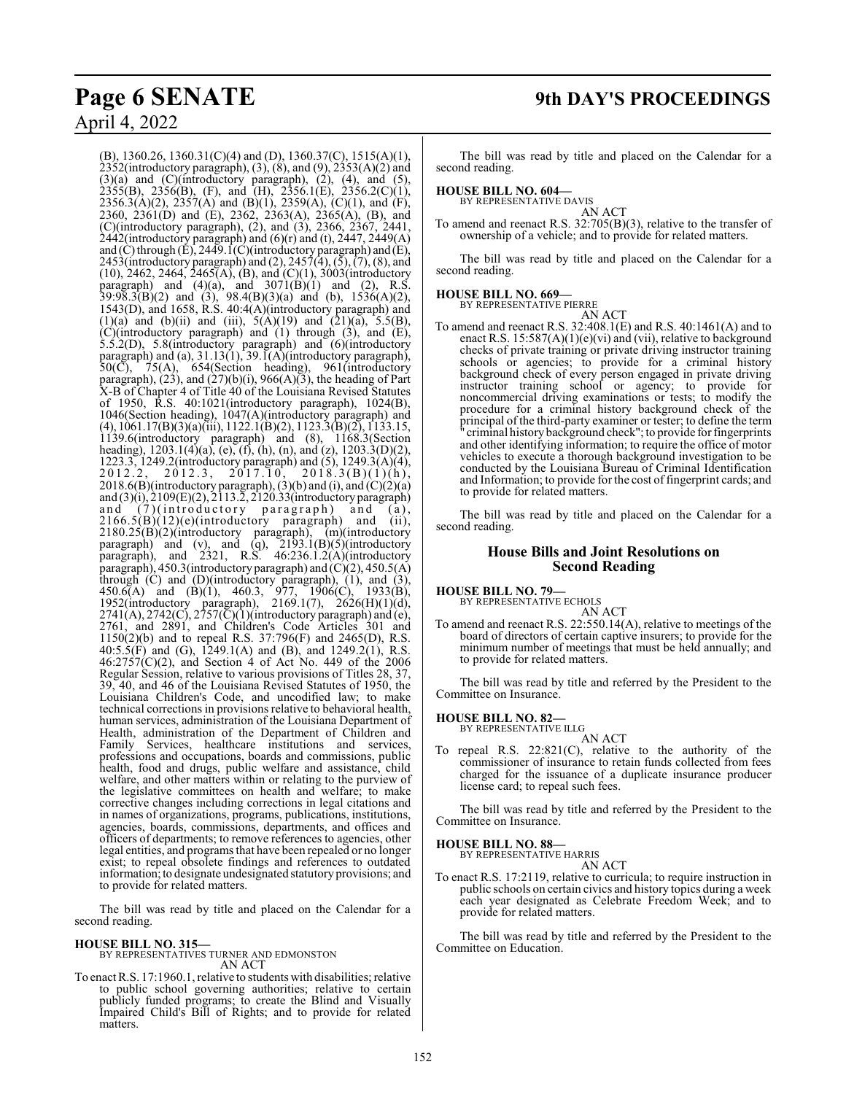(B), 1360.26, 1360.31(C)(4) and (D), 1360.37(C), 1515(A)(1), 2352(introductory paragraph), (3), (8), and (9), 2353(A)(2) and  $(3)(a)$  and  $(C)(introducing)$  paragraph),  $(2)$ ,  $(4)$ , and  $(5)$ ,  $2355(B)$ ,  $2356(B)$ , (F), and (H),  $2356.1(E)$ ,  $2356.2(C)(1)$ , 2356.3(A)(2), 2357(A) and (B)(1), 2359(A), (C)(1), and (F), 2360, 2361(D) and (E), 2362, 2363(A), 2365(A), (B), and (C)(introductory paragraph), (2), and (3), 2366, 2367, 2441, 2442(introductory paragraph) and (6)(r) and (t), 2447, 2449(A) and (C) through (E), 2449.1(C)(introductory paragraph) and (E), 2453(introductory paragraph) and (2), 2457(4), (5), (7), (8), and  $(10)$ , 2462, 2464, 2465(A), (B), and  $(C)(1)$ , 3003(introductory paragraph) and  $(4)(a)$ , and  $3071(B)(1)$  and  $(2)$ , R.S.  $39:98.3(B)(2)$  and  $(3)$ ,  $98.4(B)(3)(a)$  and  $(b)$ ,  $1536(A)(2)$ , 1543(D), and 1658, R.S. 40:4(A)(introductory paragraph) and (1)(a) and (b)(ii) and (iii),  $5(A)(19)$  and  $(21)(a)$ ,  $5.5(B)$ , (C)(introductory paragraph) and (1) through (3), and (E), 5.5.2(D), 5.8(introductory paragraph) and (6)(introductory paragraph) and (a),  $31.13(1)$ ,  $39.1(A)$ (introductory paragraph),  $50(\overline{C})$ ,  $75(A)$ ,  $654(Section$  heading),  $961(introductor)$ paragraph),  $(23)$ , and  $(27)(b)(i)$ ,  $966(A)(3)$ , the heading of Part X-B of Chapter 4 of Title 40 of the Louisiana Revised Statutes of 1950, R.S. 40:1021(introductory paragraph), 1024(B), 1046(Section heading), 1047(A)(introductory paragraph) and (4), 1061.17(B)(3)(a)(iii), 1122.1(B)(2), 1123.3(B)(2), 1133.15, 1139.6(introductory paragraph) and (8), 1168.3(Section heading), 1203.1(4)(a), (e), (f), (h), (n), and (z), 1203.3(D)(2), 1223.3, 1249.2(introductory paragraph) and (5), 1249.3(A)(4),  $2012.2, 2012.3, 2017.10, 2018.3(B)(1)(h),$ 2018.6(B)(introductory paragraph), (3)(b) and (i), and  $(C)(2)(a)$ and (3)(i), 2109(E)(2), 2113.2, 2120.33(introductory paragraph) and (7)(introductory paragraph) and (a),  $2166.5(B)(12)(e)$ (introductory paragraph) and (ii), 2180.25(B)(2)(introductory paragraph), (m)(introductory paragraph) and (v), and (q), 2193.1(B)(5)(introductory paragraph), and  $2321$ , R.S.  $46:236.1.2(A)(introductor)$ paragraph), 450.3(introductory paragraph) and  $(C)(2)$ , 450.5(A) through (C) and (D)(introductory paragraph), (1), and (3), 450.6(A) and (B)(1), 460.3, 977, 1906(C), 1933(B), 1952(introductory paragraph), 2169.1(7), 2626(H)(1)(d),  $2741(A), 2742(C), 2757(\overline{C})(1)$ (introductory paragraph) and (e), 2761, and 2891, and Children's Code Articles 301 and 1150(2)(b) and to repeal R.S. 37:796(F) and 2465(D), R.S. 40:5.5(F) and (G), 1249.1(A) and (B), and 1249.2(1), R.S. 46:2757(C)(2), and Section 4 of Act No. 449 of the 2006 Regular Session, relative to various provisions of Titles 28, 37, 39, 40, and 46 of the Louisiana Revised Statutes of 1950, the Louisiana Children's Code, and uncodified law; to make technical corrections in provisions relative to behavioral health, human services, administration of the Louisiana Department of Health, administration of the Department of Children and Family Services, healthcare institutions and services, professions and occupations, boards and commissions, public health, food and drugs, public welfare and assistance, child welfare, and other matters within or relating to the purview of the legislative committees on health and welfare; to make corrective changes including corrections in legal citations and in names of organizations, programs, publications, institutions, agencies, boards, commissions, departments, and offices and officers of departments; to remove references to agencies, other legal entities, and programs that have been repealed or no longer exist; to repeal obsolete findings and references to outdated information; to designate undesignated statutory provisions; and to provide for related matters.

The bill was read by title and placed on the Calendar for a second reading.

#### **HOUSE BILL NO. 315—**

BY REPRESENTATIVES TURNER AND EDMONSTON AN ACT

To enact R.S. 17:1960.1, relative to students with disabilities; relative to public school governing authorities; relative to certain publicly funded programs; to create the Blind and Visually Impaired Child's Bill of Rights; and to provide for related matters.

The bill was read by title and placed on the Calendar for a second reading.

**HOUSE BILL NO. 604—**

BY REPRESENTATIVE DAVIS AN ACT

To amend and reenact R.S. 32:705(B)(3), relative to the transfer of ownership of a vehicle; and to provide for related matters.

The bill was read by title and placed on the Calendar for a second reading.

#### **HOUSE BILL NO. 669—**

BY REPRESENTATIVE PIERRE

AN ACT To amend and reenact R.S. 32:408.1(E) and R.S. 40:1461(A) and to enact R.S.  $15:587(A)(1)(e)(vi)$  and (vii), relative to background checks of private training or private driving instructor training schools or agencies; to provide for a criminal history background check of every person engaged in private driving instructor training school or agency; to provide for noncommercial driving examinations or tests; to modify the procedure for a criminal history background check of the principal of the third-party examiner or tester; to define the term " criminal history background check"; to provide for fingerprints and other identifying information; to require the office of motor vehicles to execute a thorough background investigation to be conducted by the Louisiana Bureau of Criminal Identification and Information; to provide for the cost of fingerprint cards; and to provide for related matters.

The bill was read by title and placed on the Calendar for a second reading.

### **House Bills and Joint Resolutions on Second Reading**

**HOUSE BILL NO. 79—** BY REPRESENTATIVE ECHOLS

AN ACT

To amend and reenact R.S. 22:550.14(A), relative to meetings of the board of directors of certain captive insurers; to provide for the minimum number of meetings that must be held annually; and to provide for related matters.

The bill was read by title and referred by the President to the Committee on Insurance.

**HOUSE BILL NO. 82—** BY REPRESENTATIVE ILLG

- AN ACT
- To repeal R.S. 22:821(C), relative to the authority of the commissioner of insurance to retain funds collected from fees charged for the issuance of a duplicate insurance producer license card; to repeal such fees.

The bill was read by title and referred by the President to the Committee on Insurance.

#### **HOUSE BILL NO. 88—**

BY REPRESENTATIVE HARRIS AN ACT

To enact R.S. 17:2119, relative to curricula; to require instruction in public schools on certain civics and history topics during a week each year designated as Celebrate Freedom Week; and to provide for related matters.

The bill was read by title and referred by the President to the Committee on Education.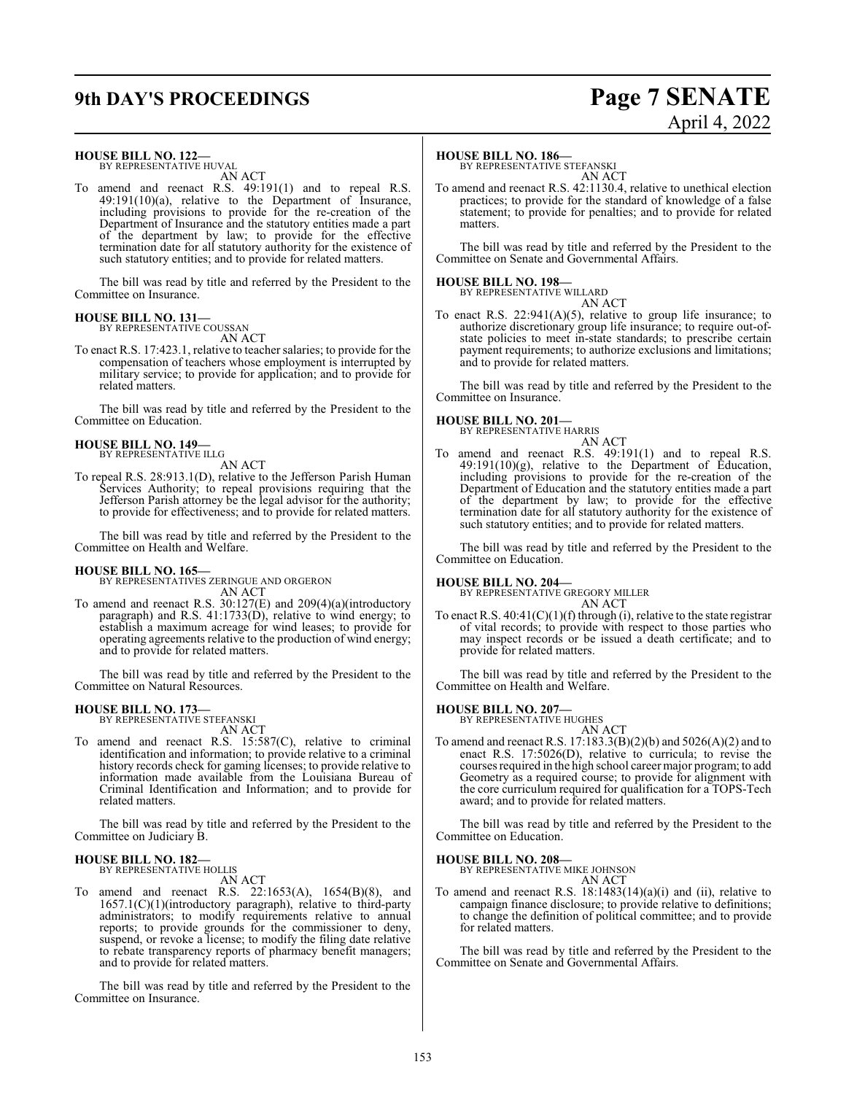# **9th DAY'S PROCEEDINGS Page 7 SENATE**

# **HOUSE BILL NO. 122—** BY REPRESENTATIVE HUVAL AN ACT

To amend and reenact R.S. 49:191(1) and to repeal R.S. 49:191(10)(a), relative to the Department of Insurance, including provisions to provide for the re-creation of the Department of Insurance and the statutory entities made a part of the department by law; to provide for the effective termination date for all statutory authority for the existence of such statutory entities; and to provide for related matters.

The bill was read by title and referred by the President to the Committee on Insurance.

#### **HOUSE BILL NO. 131—** BY REPRESENTATIVE COUSSAN

AN ACT

To enact R.S. 17:423.1, relative to teacher salaries; to provide for the compensation of teachers whose employment is interrupted by military service; to provide for application; and to provide for related matters.

The bill was read by title and referred by the President to the Committee on Education.

#### **HOUSE BILL NO. 149—** BY REPRESENTATIVE ILLG

AN ACT

To repeal R.S. 28:913.1(D), relative to the Jefferson Parish Human Services Authority; to repeal provisions requiring that the Jefferson Parish attorney be the legal advisor for the authority; to provide for effectiveness; and to provide for related matters.

The bill was read by title and referred by the President to the Committee on Health and Welfare.

**HOUSE BILL NO. 165—** BY REPRESENTATIVES ZERINGUE AND ORGERON AN ACT

To amend and reenact R.S. 30:127(E) and 209(4)(a)(introductory paragraph) and R.S. 41:1733(D), relative to wind energy; to establish a maximum acreage for wind leases; to provide for operating agreements relative to the production of wind energy; and to provide for related matters.

The bill was read by title and referred by the President to the Committee on Natural Resources.

#### **HOUSE BILL NO. 173—**

BY REPRESENTATIVE STEFANSKI AN ACT

To amend and reenact R.S. 15:587(C), relative to criminal identification and information; to provide relative to a criminal history records check for gaming licenses; to provide relative to information made available from the Louisiana Bureau of Criminal Identification and Information; and to provide for related matters.

The bill was read by title and referred by the President to the Committee on Judiciary B.

#### **HOUSE BILL NO. 182—** BY REPRESENTATIVE HOLLIS

AN ACT

To amend and reenact R.S. 22:1653(A), 1654(B)(8), and 1657.1(C)(1)(introductory paragraph), relative to third-party administrators; to modify requirements relative to annual reports; to provide grounds for the commissioner to deny, suspend, or revoke a license; to modify the filing date relative to rebate transparency reports of pharmacy benefit managers; and to provide for related matters.

The bill was read by title and referred by the President to the Committee on Insurance.

#### **HOUSE BILL NO. 186—**

BY REPRESENTATIVE STEFANSKI AN ACT

To amend and reenact R.S. 42:1130.4, relative to unethical election practices; to provide for the standard of knowledge of a false statement; to provide for penalties; and to provide for related matters.

The bill was read by title and referred by the President to the Committee on Senate and Governmental Affairs.

#### **HOUSE BILL NO. 198—**

BY REPRESENTATIVE WILLARD AN ACT

To enact R.S.  $22:941(A)(5)$ , relative to group life insurance; to authorize discretionary group life insurance; to require out-ofstate policies to meet in-state standards; to prescribe certain payment requirements; to authorize exclusions and limitations; and to provide for related matters.

The bill was read by title and referred by the President to the Committee on Insurance.

## **HOUSE BILL NO. 201—** BY REPRESENTATIVE HARRIS

AN ACT To amend and reenact R.S. 49:191(1) and to repeal R.S. 49:191(10)(g), relative to the Department of Education, including provisions to provide for the re-creation of the Department of Education and the statutory entities made a part of the department by law; to provide for the effective termination date for all statutory authority for the existence of such statutory entities; and to provide for related matters.

The bill was read by title and referred by the President to the Committee on Education.

#### **HOUSE BILL NO. 204—**

BY REPRESENTATIVE GREGORY MILLER AN ACT

To enact R.S.  $40:41(C)(1)(f)$  through (i), relative to the state registrar of vital records; to provide with respect to those parties who may inspect records or be issued a death certificate; and to provide for related matters.

The bill was read by title and referred by the President to the Committee on Health and Welfare.

#### **HOUSE BILL NO. 207—**

BY REPRESENTATIVE HUGHES

AN ACT To amend and reenact R.S. 17:183.3(B)(2)(b) and 5026(A)(2) and to enact R.S. 17:5026(D), relative to curricula; to revise the courses required in the high school career major program; to add Geometry as a required course; to provide for alignment with the core curriculum required for qualification for a TOPS-Tech award; and to provide for related matters.

The bill was read by title and referred by the President to the Committee on Education.

#### **HOUSE BILL NO. 208—**

BY REPRESENTATIVE MIKE JOHNSON AN ACT

To amend and reenact R.S.  $18:1483(14)(a)(i)$  and (ii), relative to campaign finance disclosure; to provide relative to definitions; to change the definition of political committee; and to provide for related matters.

The bill was read by title and referred by the President to the Committee on Senate and Governmental Affairs.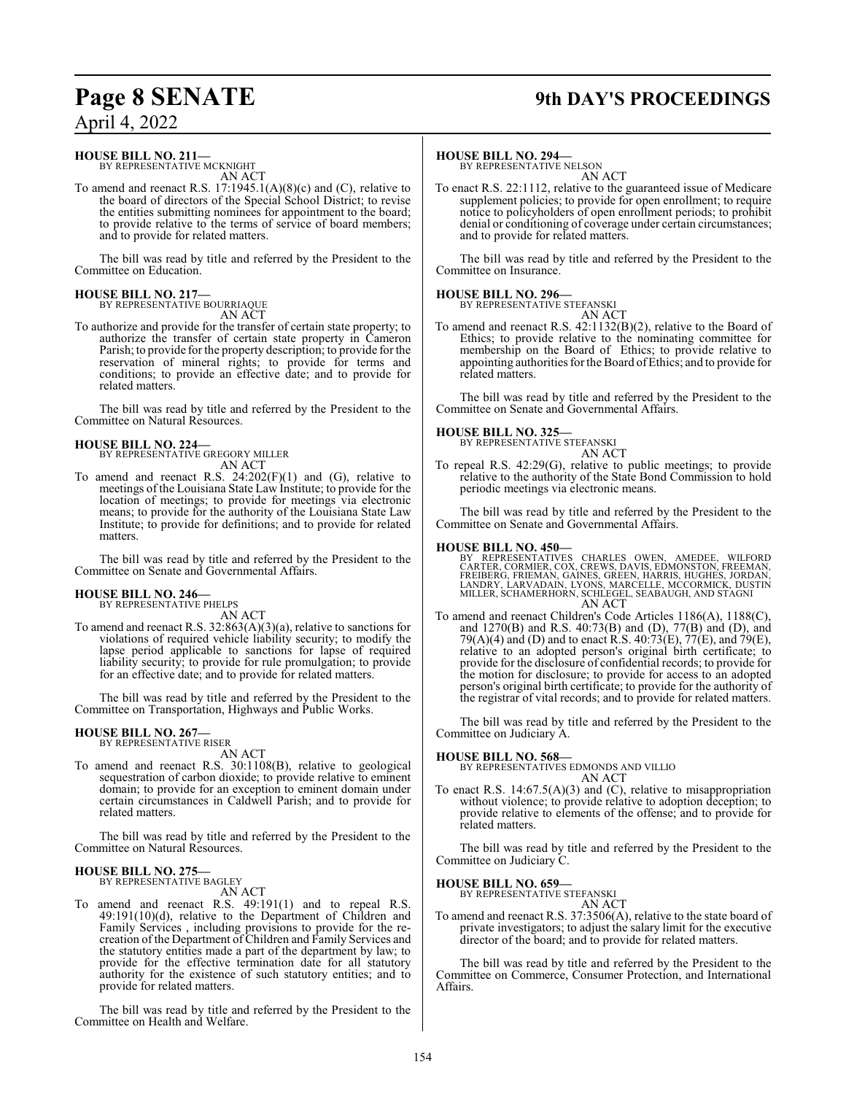## **Page 8 SENATE 9th DAY'S PROCEEDINGS**

## April 4, 2022

#### **HOUSE BILL NO. 211—**

BY REPRESENTATIVE MCKNIGHT AN ACT

To amend and reenact R.S. 17:1945.1(A)(8)(c) and (C), relative to the board of directors of the Special School District; to revise the entities submitting nominees for appointment to the board; to provide relative to the terms of service of board members; and to provide for related matters.

The bill was read by title and referred by the President to the Committee on Education.

#### **HOUSE BILL NO. 217—** BY REPRESENTATIVE BOURRIAQUE

AN ACT

To authorize and provide for the transfer of certain state property; to authorize the transfer of certain state property in Cameron Parish; to provide for the property description; to provide for the reservation of mineral rights; to provide for terms and conditions; to provide an effective date; and to provide for related matters.

The bill was read by title and referred by the President to the Committee on Natural Resources.

# **HOUSE BILL NO. 224—** BY REPRESENTATIVE GREGORY MILLER

AN ACT

To amend and reenact R.S.  $24:202(F)(1)$  and  $(G)$ , relative to meetings of the Louisiana State Law Institute; to provide for the location of meetings; to provide for meetings via electronic means; to provide for the authority of the Louisiana State Law Institute; to provide for definitions; and to provide for related matters.

The bill was read by title and referred by the President to the Committee on Senate and Governmental Affairs.

#### **HOUSE BILL NO. 246—** BY REPRESENTATIVE PHELPS

AN ACT

To amend and reenact R.S. 32:863(A)(3)(a), relative to sanctions for violations of required vehicle liability security; to modify the lapse period applicable to sanctions for lapse of required liability security; to provide for rule promulgation; to provide for an effective date; and to provide for related matters.

The bill was read by title and referred by the President to the Committee on Transportation, Highways and Public Works.

#### **HOUSE BILL NO. 267—** BY REPRESENTATIVE RISER

AN ACT

To amend and reenact R.S. 30:1108(B), relative to geological sequestration of carbon dioxide; to provide relative to eminent domain; to provide for an exception to eminent domain under certain circumstances in Caldwell Parish; and to provide for related matters.

The bill was read by title and referred by the President to the Committee on Natural Resources.

#### **HOUSE BILL NO. 275—** BY REPRESENTATIVE BAGLEY

AN ACT

To amend and reenact R.S. 49:191(1) and to repeal R.S. 49:191(10)(d), relative to the Department of Children and Family Services , including provisions to provide for the recreation of the Department of Children and Family Services and the statutory entities made a part of the department by law; to provide for the effective termination date for all statutory authority for the existence of such statutory entities; and to provide for related matters.

The bill was read by title and referred by the President to the Committee on Health and Welfare.

#### **HOUSE BILL NO. 294—**

BY REPRESENTATIVE NELSON AN ACT

To enact R.S. 22:1112, relative to the guaranteed issue of Medicare supplement policies; to provide for open enrollment; to require notice to policyholders of open enrollment periods; to prohibit denial or conditioning of coverage under certain circumstances; and to provide for related matters.

The bill was read by title and referred by the President to the Committee on Insurance.

#### **HOUSE BILL NO. 296—**

BY REPRESENTATIVE STEFANSKI AN ACT

To amend and reenact R.S. 42:1132(B)(2), relative to the Board of Ethics; to provide relative to the nominating committee for membership on the Board of Ethics; to provide relative to appointing authorities for the Board ofEthics; and to provide for related matters.

The bill was read by title and referred by the President to the Committee on Senate and Governmental Affairs.

### **HOUSE BILL NO. 325—**

BY REPRESENTATIVE STEFANSKI AN ACT

To repeal R.S. 42:29(G), relative to public meetings; to provide relative to the authority of the State Bond Commission to hold periodic meetings via electronic means.

The bill was read by title and referred by the President to the Committee on Senate and Governmental Affairs.

#### **HOUSE BILL NO. 450—**

BY REPRESENTATIVES CHARLES OWEN, AMEDEE, WILFORD CARTER, CORMIER, COX, CREWS, DAVIS, EDMONSTON, FREEMAN, FREIBERG, FRIEMAN, GAINES, GREEN, HARRIS, HUGHES, JORDAN,<br>LANDRY, LARVADAIN, LYONS, MARCELLE, MCCORMICK, DUSTIN<br>MILLER, SCHAMERHORN, SCHLEGEL, SEABAUGH, AND STAGNI AN ACT

To amend and reenact Children's Code Articles 1186(A), 1188(C), and 1270(B) and R.S. 40:73(B) and (D), 77(B) and (D), and 79(A)(4) and (D) and to enact R.S. 40:73(E), 77(E), and 79(E), relative to an adopted person's original birth certificate; to provide for the disclosure of confidential records; to provide for the motion for disclosure; to provide for access to an adopted person's original birth certificate; to provide for the authority of the registrar of vital records; and to provide for related matters.

The bill was read by title and referred by the President to the Committee on Judiciary A.

#### **HOUSE BILL NO. 568—**

BY REPRESENTATIVES EDMONDS AND VILLIO AN ACT

To enact R.S. 14:67.5(A)(3) and (C), relative to misappropriation without violence; to provide relative to adoption deception; to provide relative to elements of the offense; and to provide for related matters.

The bill was read by title and referred by the President to the Committee on Judiciary C.

## **HOUSE BILL NO. 659—** BY REPRESENTATIVE STEFANSKI

AN ACT

To amend and reenact R.S. 37:3506(A), relative to the state board of private investigators; to adjust the salary limit for the executive director of the board; and to provide for related matters.

The bill was read by title and referred by the President to the Committee on Commerce, Consumer Protection, and International Affairs.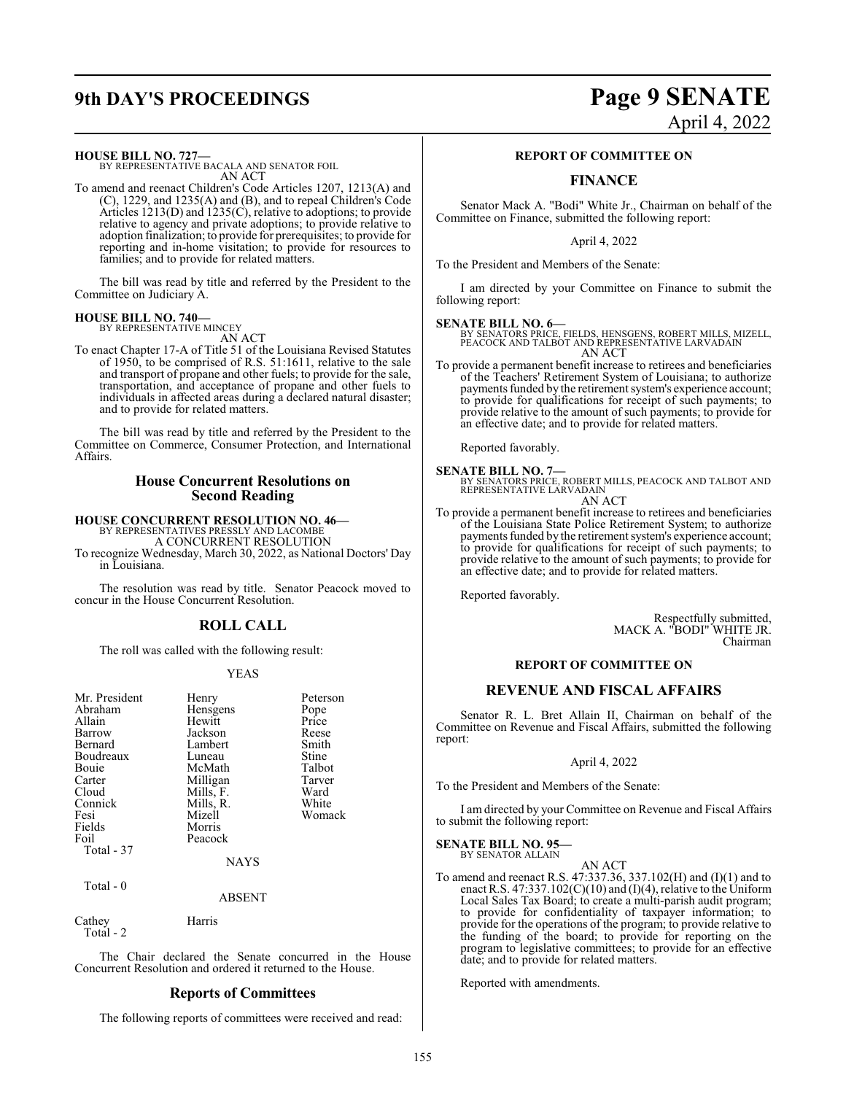# **9th DAY'S PROCEEDINGS Page 9 SENATE** April 4, 2022

**HOUSE BILL NO. 727—**

BY REPRESENTATIVE BACALA AND SENATOR FOIL AN ACT

To amend and reenact Children's Code Articles 1207, 1213(A) and (C), 1229, and 1235(A) and (B), and to repeal Children's Code Articles 1213(D) and 1235(C), relative to adoptions; to provide relative to agency and private adoptions; to provide relative to adoption finalization; to provide for prerequisites; to provide for reporting and in-home visitation; to provide for resources to families; and to provide for related matters.

The bill was read by title and referred by the President to the Committee on Judiciary A.

**HOUSE BILL NO. 740—** BY REPRESENTATIVE MINCEY

AN ACT

To enact Chapter 17-A of Title 51 of the Louisiana Revised Statutes of 1950, to be comprised of R.S. 51:1611, relative to the sale and transport of propane and other fuels; to provide for the sale, transportation, and acceptance of propane and other fuels to individuals in affected areas during a declared natural disaster; and to provide for related matters.

The bill was read by title and referred by the President to the Committee on Commerce, Consumer Protection, and International Affairs.

#### **House Concurrent Resolutions on Second Reading**

#### **HOUSE CONCURRENT RESOLUTION NO. 46—**

BY REPRESENTATIVES PRESSLY AND LACOMBE A CONCURRENT RESOLUTION

To recognize Wednesday, March 30, 2022, as National Doctors' Day in Louisiana.

The resolution was read by title. Senator Peacock moved to concur in the House Concurrent Resolution.

## **ROLL CALL**

The roll was called with the following result:

#### YEAS

| Mr. President | Henry          | Peterson |
|---------------|----------------|----------|
| Abraham       | Hensgens       | Pope     |
| Allain        | Hewitt         | Price    |
| Barrow        | Jackson        | Reese    |
| Bernard       | Lambert        | Smith    |
| Boudreaux     | Luneau         | Stine    |
| Bouie         | McMath         | Talbot   |
| Carter        | Milligan       | Tarver   |
| Cloud         | Mills, F.      | Ward     |
| Connick       | Mills, R.      | White    |
| Fesi          | Mizell         | Womack   |
| Fields        | Morris         |          |
| Foil          | Peacock        |          |
| Total - 37    |                |          |
|               | <b>ATA STO</b> |          |

NAYS

Total - 0

ABSENT

Cathey Harris Total - 2

The Chair declared the Senate concurred in the House Concurrent Resolution and ordered it returned to the House.

#### **Reports of Committees**

The following reports of committees were received and read:

#### **REPORT OF COMMITTEE ON**

## **FINANCE**

Senator Mack A. "Bodi" White Jr., Chairman on behalf of the Committee on Finance, submitted the following report:

April 4, 2022

To the President and Members of the Senate:

I am directed by your Committee on Finance to submit the following report:

**SENATE BILL NO. 6—** BY SENATORS PRICE, FIELDS, HENSGENS, ROBERT MILLS, MIZELL, PEACOCK AND TALBOT AND REPRESENTATIVE LARVADAIN AN ACT

To provide a permanent benefit increase to retirees and beneficiaries of the Teachers' Retirement System of Louisiana; to authorize payments funded by the retirement system's experience account; to provide for qualifications for receipt of such payments; to provide relative to the amount of such payments; to provide for an effective date; and to provide for related matters.

Reported favorably.

**SENATE BILL NO. 7—**<br>BY SENATORS PRICE, ROBERT MILLS, PEACOCK AND TALBOT AND REPRESENTATIVE LARVADAIN

AN ACT

To provide a permanent benefit increase to retirees and beneficiaries of the Louisiana State Police Retirement System; to authorize payments funded by the retirement system's experience account; to provide for qualifications for receipt of such payments; to provide relative to the amount of such payments; to provide for an effective date; and to provide for related matters.

Reported favorably.

Respectfully submitted, MACK A. "BODI" WHITE JR. Chairman

#### **REPORT OF COMMITTEE ON**

#### **REVENUE AND FISCAL AFFAIRS**

Senator R. L. Bret Allain II, Chairman on behalf of the Committee on Revenue and Fiscal Affairs, submitted the following report:

#### April 4, 2022

To the President and Members of the Senate:

I am directed by your Committee on Revenue and Fiscal Affairs to submit the following report:

#### **SENATE BILL NO. 95—**

BY SENATOR ALLAIN AN ACT

To amend and reenact R.S. 47:337.36, 337.102(H) and (I)(1) and to enact R.S. 47:337.102(C)(10) and (I)(4), relative to the Uniform Local Sales Tax Board; to create a multi-parish audit program; to provide for confidentiality of taxpayer information; to provide for the operations of the program; to provide relative to the funding of the board; to provide for reporting on the program to legislative committees; to provide for an effective date; and to provide for related matters.

Reported with amendments.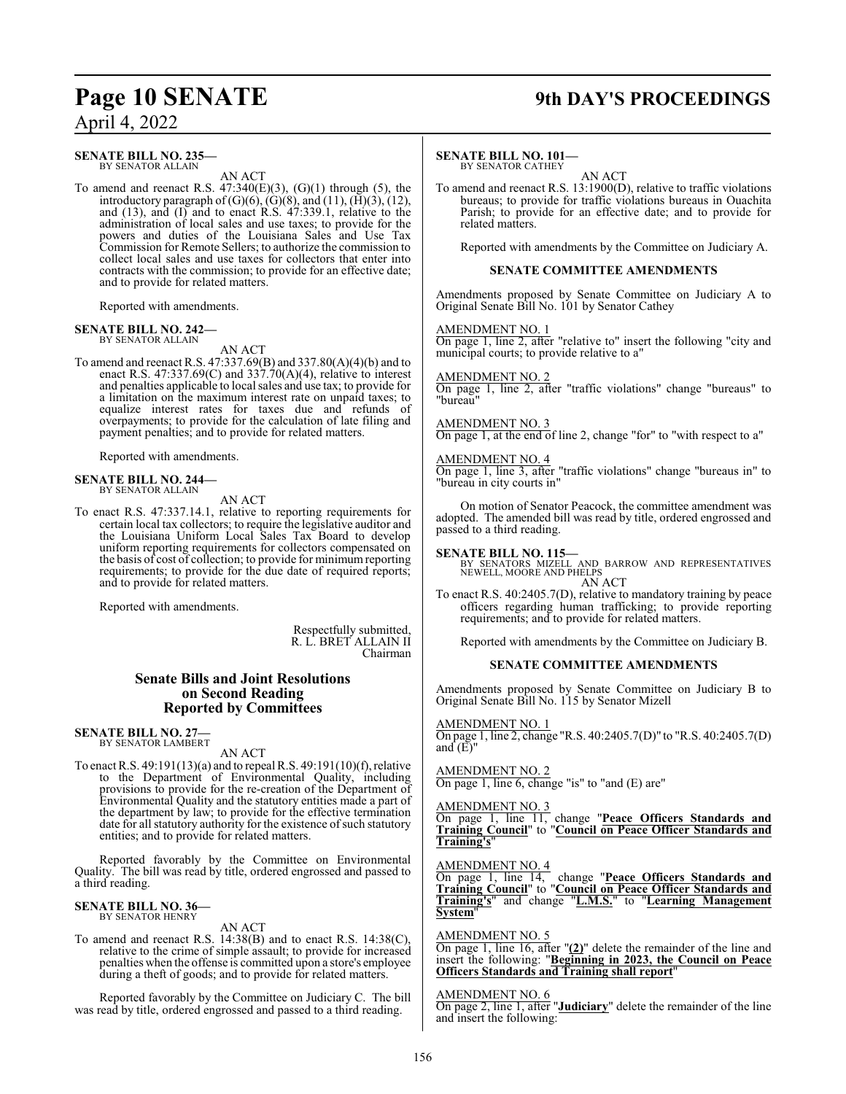#### **SENATE BILL NO. 235—** BY SENATOR ALLAIN

AN ACT

To amend and reenact R.S.  $47:340(E)(3)$ ,  $(G)(1)$  through  $(5)$ , the introductory paragraph of  $(G)(6)$ ,  $(G)(8)$ , and  $(11)$ ,  $(\overline{H})(3)$ ,  $(12)$ , and (13), and (I) and to enact R.S. 47:339.1, relative to the administration of local sales and use taxes; to provide for the powers and duties of the Louisiana Sales and Use Tax Commission for Remote Sellers; to authorize the commission to collect local sales and use taxes for collectors that enter into contracts with the commission; to provide for an effective date; and to provide for related matters.

Reported with amendments.

# **SENATE BILL NO. 242—** BY SENATOR ALLAIN

AN ACT

To amend and reenact R.S. 47:337.69(B) and 337.80(A)(4)(b) and to enact R.S. 47:337.69(C) and 337.70(A)(4), relative to interest and penalties applicable to local sales and use tax; to provide for a limitation on the maximum interest rate on unpaid taxes; to equalize interest rates for taxes due and refunds of overpayments; to provide for the calculation of late filing and payment penalties; and to provide for related matters.

Reported with amendments.

#### **SENATE BILL NO. 244—** BY SENATOR ALLAIN

AN ACT

To enact R.S. 47:337.14.1, relative to reporting requirements for certain local tax collectors; to require the legislative auditor and the Louisiana Uniform Local Sales Tax Board to develop uniform reporting requirements for collectors compensated on the basis of cost of collection; to provide for minimumreporting requirements; to provide for the due date of required reports; and to provide for related matters.

Reported with amendments.

Respectfully submitted, R. L. BRET ALLAIN II Chairman

#### **Senate Bills and Joint Resolutions on Second Reading Reported by Committees**

#### **SENATE BILL NO. 27—** BY SENATOR LAMBERT

AN ACT

To enact R.S. 49:191(13)(a) and to repeal R.S. 49:191(10)(f), relative to the Department of Environmental Quality, including provisions to provide for the re-creation of the Department of Environmental Quality and the statutory entities made a part of the department by law; to provide for the effective termination date for all statutory authority for the existence of such statutory entities; and to provide for related matters.

Reported favorably by the Committee on Environmental Quality. The bill was read by title, ordered engrossed and passed to a third reading.

#### **SENATE BILL NO. 36—** BY SENATOR HENRY

AN ACT

To amend and reenact R.S. 14:38(B) and to enact R.S. 14:38(C), relative to the crime of simple assault; to provide for increased penalties when the offense is committed upon a store's employee during a theft of goods; and to provide for related matters.

Reported favorably by the Committee on Judiciary C. The bill was read by title, ordered engrossed and passed to a third reading.

## **Page 10 SENATE 9th DAY'S PROCEEDINGS**

#### **SENATE BILL NO. 101—**

BY SENATOR CATHEY AN ACT

To amend and reenact R.S. 13:1900(D), relative to traffic violations bureaus; to provide for traffic violations bureaus in Ouachita Parish; to provide for an effective date; and to provide for related matters.

Reported with amendments by the Committee on Judiciary A.

#### **SENATE COMMITTEE AMENDMENTS**

Amendments proposed by Senate Committee on Judiciary A to Original Senate Bill No. 101 by Senator Cathey

#### AMENDMENT NO. 1

On page 1, line 2, after "relative to" insert the following "city and municipal courts; to provide relative to a"

#### AMENDMENT NO. 2

On page 1, line 2, after "traffic violations" change "bureaus" to "bureau"

### AMENDMENT NO. 3

On page 1, at the end of line 2, change "for" to "with respect to a"

#### AMENDMENT NO. 4

On page 1, line 3, after "traffic violations" change "bureaus in" to "bureau in city courts in"

On motion of Senator Peacock, the committee amendment was adopted. The amended bill was read by title, ordered engrossed and passed to a third reading.

#### **SENATE BILL NO. 115—**

BY SENATORS MIZELL AND BARROW AND REPRESENTATIVES NEWELL, MOORE AND PHELPS AN ACT

To enact R.S. 40:2405.7(D), relative to mandatory training by peace officers regarding human trafficking; to provide reporting requirements; and to provide for related matters.

Reported with amendments by the Committee on Judiciary B.

#### **SENATE COMMITTEE AMENDMENTS**

Amendments proposed by Senate Committee on Judiciary B to Original Senate Bill No. 115 by Senator Mizell

AMENDMENT NO. 1 On page 1, line 2, change "R.S. 40:2405.7(D)" to "R.S. 40:2405.7(D) and  $(E)$ "

#### AMENDMENT NO. 2

On page 1, line 6, change "is" to "and (E) are"

#### AMENDMENT NO. 3

On page 1, line 11, change "**Peace Officers Standards and Training Council**" to "**Council on Peace Officer Standards and Training's**"

AMENDMENT NO. 4

On page 1, line 14, change "**Peace Officers Standards and Training Council**" to "**Council on Peace Officer Standards and Training's**" and change "**L.M.S.**" to "**Learning Management System**"

#### AMENDMENT NO. 5

On page 1, line 16, after "**(2)**" delete the remainder of the line and insert the following: "**Beginning in 2023, the Council on Peace Officers Standards and Training shall report**"

#### AMENDMENT NO. 6

On page 2, line 1, after "**Judiciary**" delete the remainder of the line and insert the following: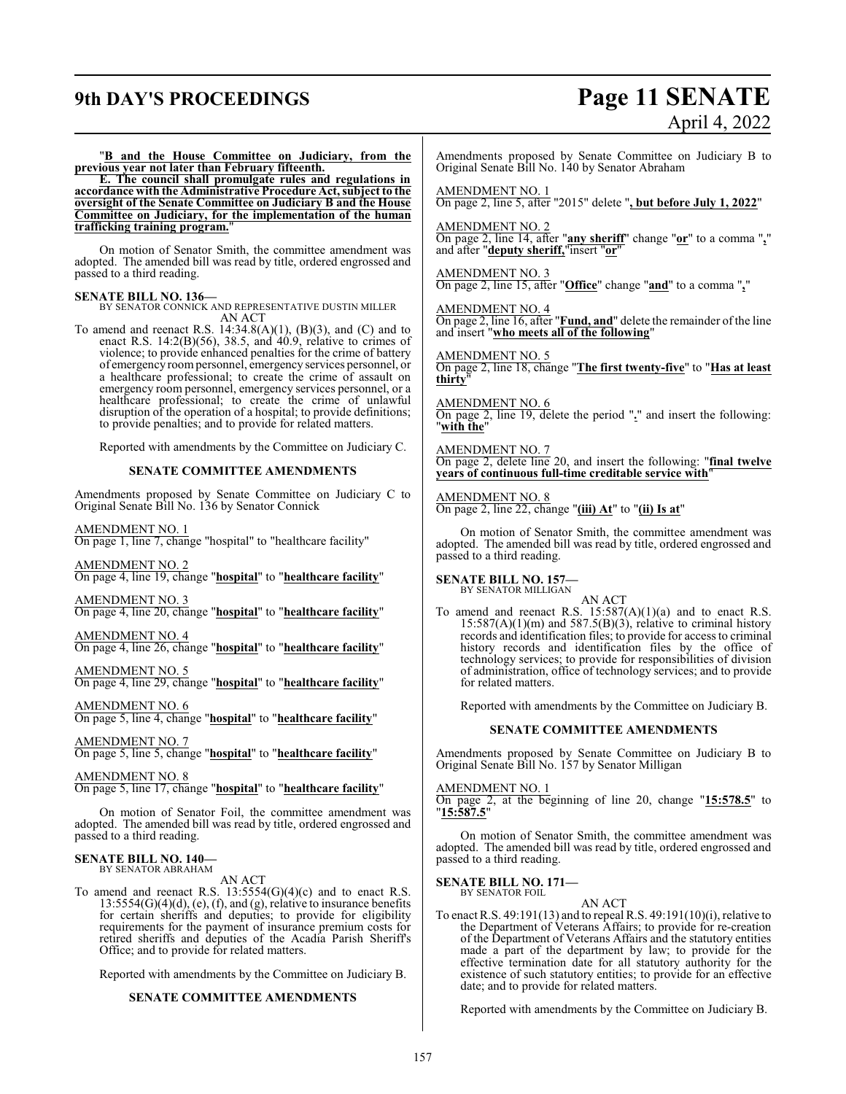## **9th DAY'S PROCEEDINGS Page 11 SENATE**

# April 4, 2022

"**B and the House Committee on Judiciary, from the previous year not later than February fifteenth.**

**E. The council shall promulgate rules and regulations in accordance with the Administrative Procedure Act, subject to the oversight of the Senate Committee on Judiciary B and the House Committee on Judiciary, for the implementation of the human trafficking training program.**"

On motion of Senator Smith, the committee amendment was adopted. The amended bill was read by title, ordered engrossed and passed to a third reading.

**SENATE BILL NO. 136—** BY SENATOR CONNICK AND REPRESENTATIVE DUSTIN MILLER AN ACT

To amend and reenact R.S.  $14:34.8(A)(1)$ ,  $(B)(3)$ , and  $(C)$  and to enact R.S. 14:2(B)(56), 38.5, and 40.9, relative to crimes of violence; to provide enhanced penalties for the crime of battery of emergency roompersonnel, emergency services personnel, or a healthcare professional; to create the crime of assault on emergency room personnel, emergency services personnel, or a healthcare professional; to create the crime of unlawful disruption of the operation of a hospital; to provide definitions; to provide penalties; and to provide for related matters.

Reported with amendments by the Committee on Judiciary C.

#### **SENATE COMMITTEE AMENDMENTS**

Amendments proposed by Senate Committee on Judiciary C to Original Senate Bill No. 136 by Senator Connick

AMENDMENT NO. 1

On page 1, line 7, change "hospital" to "healthcare facility"

AMENDMENT NO. 2 On page 4, line 19, change "**hospital**" to "**healthcare facility**"

AMENDMENT NO. 3

On page 4, line 20, change "**hospital**" to "**healthcare facility**"

AMENDMENT NO. 4 On page 4, line 26, change "**hospital**" to "**healthcare facility**"

AMENDMENT NO. 5

On page 4, line 29, change "**hospital**" to "**healthcare facility**"

AMENDMENT NO. 6

On page 5, line 4, change "**hospital**" to "**healthcare facility**"

AMENDMENT NO. 7 On page 5, line 5, change "**hospital**" to "**healthcare facility**"

AMENDMENT NO. 8 On page 5, line 17, change "**hospital**" to "**healthcare facility**"

On motion of Senator Foil, the committee amendment was adopted. The amended bill was read by title, ordered engrossed and passed to a third reading.

## **SENATE BILL NO. 140—** BY SENATOR ABRAHAM

AN ACT

To amend and reenact R.S.  $13:5554(G)(4)(c)$  and to enact R.S.  $13:5554(G)(4)(d)$ , (e), (f), and (g), relative to insurance benefits for certain sheriffs and deputies; to provide for eligibility requirements for the payment of insurance premium costs for retired sheriffs and deputies of the Acadia Parish Sheriff's Office; and to provide for related matters.

Reported with amendments by the Committee on Judiciary B.

#### **SENATE COMMITTEE AMENDMENTS**

Amendments proposed by Senate Committee on Judiciary B to Original Senate Bill No. 140 by Senator Abraham

AMENDMENT NO. 1

On page 2, line 5, after "2015" delete "**, but before July 1, 2022**"

AMENDMENT NO. 2

On page 2, line 14, after "**any sheriff**" change "**or**" to a comma "**,**" and after "**deputy sheriff,**"insert "**or**"

AMENDMENT NO. 3 On page 2, line 15, after "**Office**" change "**and**" to a comma "**,**"

AMENDMENT NO. 4 On page 2, line 16, after "**Fund, and**" delete the remainder of the line and insert "**who meets all of the following**"

AMENDMENT NO. 5 On page 2, line 18, change "**The first twenty-five**" to "**Has at least thirty**"

AMENDMENT NO. 6 On page 2, line 19, delete the period "**.**" and insert the following: "**with the**"

AMENDMENT NO. 7 On page 2, delete line 20, and insert the following: "**final twelve years of continuous full-time creditable service with**"

AMENDMENT NO. 8 On page 2, line 22, change "**(iii) At**" to "**(ii) Is at**"

On motion of Senator Smith, the committee amendment was adopted. The amended bill was read by title, ordered engrossed and passed to a third reading.

**SENATE BILL NO. 157—** BY SENATOR MILLIGAN

AN ACT

To amend and reenact R.S.  $15:587(A)(1)(a)$  and to enact R.S.  $15:587(A)(1)(m)$  and  $587.5(B)(3)$ , relative to criminal history records and identification files; to provide for access to criminal history records and identification files by the office of technology services; to provide for responsibilities of division of administration, office of technology services; and to provide for related matters.

Reported with amendments by the Committee on Judiciary B.

#### **SENATE COMMITTEE AMENDMENTS**

Amendments proposed by Senate Committee on Judiciary B to Original Senate Bill No. 157 by Senator Milligan

#### AMENDMENT NO. 1

On page 2, at the beginning of line 20, change "**15:578.5**" to "**15:587.5**"

On motion of Senator Smith, the committee amendment was adopted. The amended bill was read by title, ordered engrossed and passed to a third reading.

**SENATE BILL NO. 171—** BY SENATOR FOIL

AN ACT

To enact R.S. 49:191(13) and to repeal R.S. 49:191(10)(i), relative to the Department of Veterans Affairs; to provide for re-creation of the Department of Veterans Affairs and the statutory entities made a part of the department by law; to provide for the effective termination date for all statutory authority for the existence of such statutory entities; to provide for an effective date; and to provide for related matters.

Reported with amendments by the Committee on Judiciary B.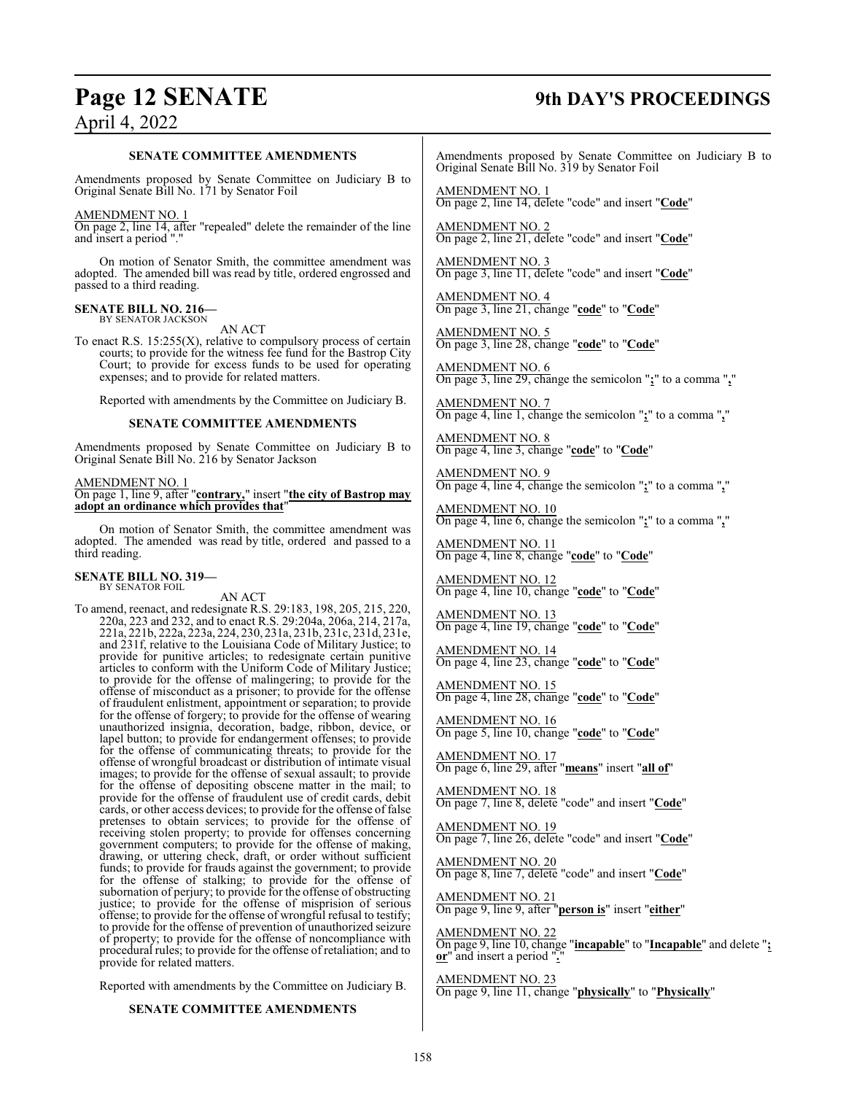## **Page 12 SENATE 9th DAY'S PROCEEDINGS**

#### **SENATE COMMITTEE AMENDMENTS**

Amendments proposed by Senate Committee on Judiciary B to Original Senate Bill No. 171 by Senator Foil

#### AMENDMENT NO. 1

On page 2, line 14, after "repealed" delete the remainder of the line and insert a period "."

On motion of Senator Smith, the committee amendment was adopted. The amended bill was read by title, ordered engrossed and passed to a third reading.

#### **SENATE BILL NO. 216—** BY SENATOR JACKSON

AN ACT

To enact R.S.  $15:255(X)$ , relative to compulsory process of certain courts; to provide for the witness fee fund for the Bastrop City Court; to provide for excess funds to be used for operating expenses; and to provide for related matters.

Reported with amendments by the Committee on Judiciary B.

#### **SENATE COMMITTEE AMENDMENTS**

Amendments proposed by Senate Committee on Judiciary B to Original Senate Bill No. 216 by Senator Jackson

#### AMENDMENT NO. 1

On page 1, line 9, after "**contrary,**" insert "**the city of Bastrop may adopt an ordinance which provides that**"

On motion of Senator Smith, the committee amendment was adopted. The amended was read by title, ordered and passed to a third reading.

## **SENATE BILL NO. 319—** BY SENATOR FOIL

AN ACT

To amend, reenact, and redesignate R.S. 29:183, 198, 205, 215, 220, 220a, 223 and 232, and to enact R.S. 29:204a, 206a, 214, 217a, 221a, 221b, 222a, 223a, 224, 230, 231a, 231b, 231c, 231d, 231e, and 231f, relative to the Louisiana Code of Military Justice; to provide for punitive articles; to redesignate certain punitive articles to conform with the Uniform Code of Military Justice; to provide for the offense of malingering; to provide for the offense of misconduct as a prisoner; to provide for the offense of fraudulent enlistment, appointment or separation; to provide for the offense of forgery; to provide for the offense of wearing unauthorized insignia, decoration, badge, ribbon, device, or lapel button; to provide for endangerment offenses; to provide for the offense of communicating threats; to provide for the offense of wrongful broadcast or distribution of intimate visual images; to provide for the offense of sexual assault; to provide for the offense of depositing obscene matter in the mail; to provide for the offense of fraudulent use of credit cards, debit cards, or other access devices; to provide for the offense of false pretenses to obtain services; to provide for the offense of receiving stolen property; to provide for offenses concerning government computers; to provide for the offense of making, drawing, or uttering check, draft, or order without sufficient funds; to provide for frauds against the government; to provide for the offense of stalking; to provide for the offense of subornation of perjury; to provide for the offense of obstructing justice; to provide for the offense of misprision of serious offense; to provide for the offense of wrongful refusal to testify; to provide for the offense of prevention of unauthorized seizure of property; to provide for the offense of noncompliance with procedural rules; to provide for the offense of retaliation; and to provide for related matters.

Reported with amendments by the Committee on Judiciary B.

#### **SENATE COMMITTEE AMENDMENTS**

Amendments proposed by Senate Committee on Judiciary B to Original Senate Bill No. 319 by Senator Foil

AMENDMENT NO. 1 On page 2, line 14, delete "code" and insert "**Code**"

AMENDMENT NO. 2 On page 2, line 21, delete "code" and insert "**Code**"

AMENDMENT NO. 3 On page 3, line 11, delete "code" and insert "**Code**"

AMENDMENT NO. 4 On page 3, line 21, change "**code**" to "**Code**"

AMENDMENT NO. 5 On page 3, line 28, change "**code**" to "**Code**"

AMENDMENT NO. 6 On page 3, line 29, change the semicolon "**;**" to a comma "**,**"

AMENDMENT NO. 7 On page 4, line 1, change the semicolon "**;**" to a comma "**,**"

AMENDMENT NO. 8 On page 4, line 3, change "**code**" to "**Code**"

AMENDMENT NO. 9 On page 4, line 4, change the semicolon "**;**" to a comma "**,**"

AMENDMENT NO. 10 On page 4, line 6, change the semicolon "**;**" to a comma "**,**"

AMENDMENT NO. 11 On page 4, line 8, change "**code**" to "**Code**"

AMENDMENT NO. 12 On page 4, line 10, change "**code**" to "**Code**"

AMENDMENT NO. 13 On page 4, line 19, change "**code**" to "**Code**"

AMENDMENT NO. 14 On page 4, line 23, change "**code**" to "**Code**"

AMENDMENT NO. 15 On page 4, line 28, change "**code**" to "**Code**"

AMENDMENT NO. 16 On page 5, line 10, change "**code**" to "**Code**"

AMENDMENT NO. 17 On page 6, line 29, after "**means**" insert "**all of**"

AMENDMENT NO. 18 On page 7, line 8, delete "code" and insert "**Code**"

AMENDMENT NO. 19 On page 7, line 26, delete "code" and insert "**Code**"

AMENDMENT NO. 20 On page 8, line 7, delete "code" and insert "**Code**"

AMENDMENT NO. 21 On page 9, line 9, after "**person is**" insert "**either**"

AMENDMENT NO. 22 On page 9, line 10, change "**incapable**" to "**Incapable**" and delete "**; or**" and insert a period "**.**"

AMENDMENT NO. 23 On page 9, line 11, change "**physically**" to "**Physically**"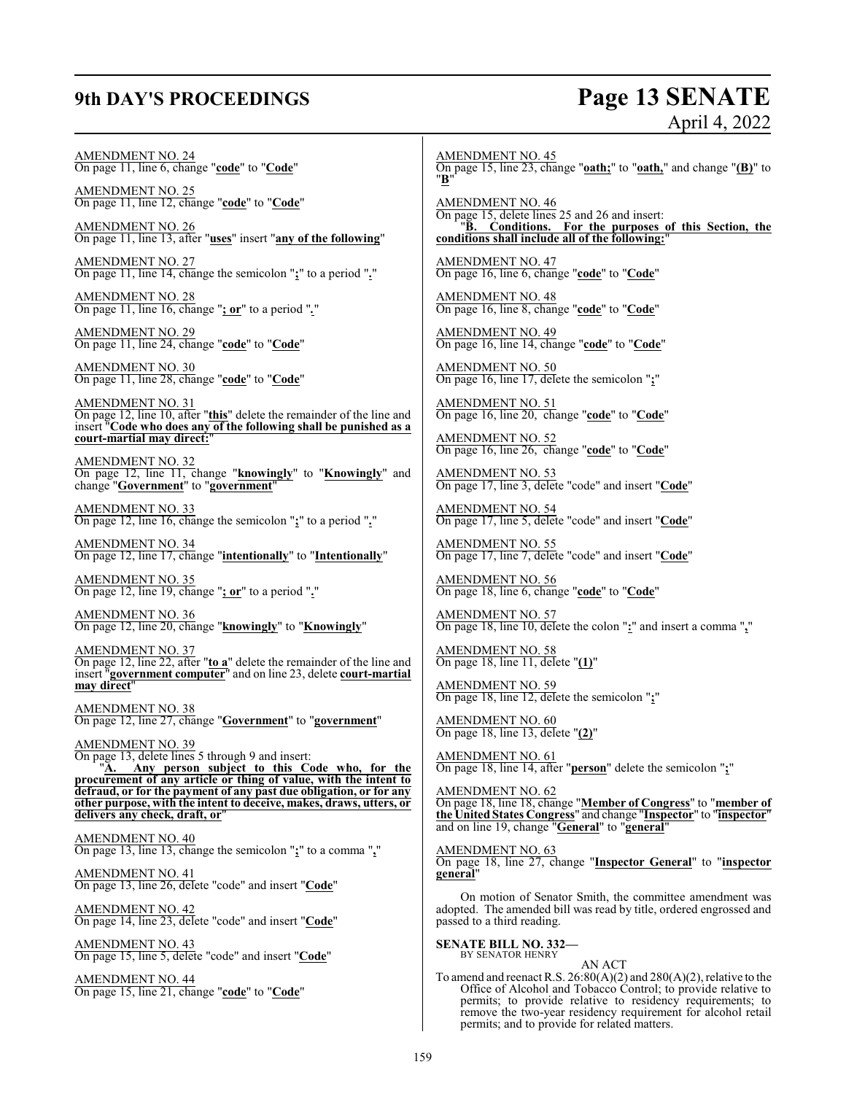## **9th DAY'S PROCEEDINGS Page 13 SENATE**

# April 4, 2022

AMENDMENT NO. 24 On page 11, line 6, change "**code**" to "**Code**"

AMENDMENT NO. 25 On page 11, line 12, change "**code**" to "**Code**"

AMENDMENT NO. 26 On page 11, line 13, after "**uses**" insert "**any of the following**"

AMENDMENT NO. 27 On page 11, line 14, change the semicolon "**;**" to a period "**.**"

AMENDMENT NO. 28 On page 11, line 16, change "**; or**" to a period "*.*"

AMENDMENT NO. 29 On page 11, line 24, change "**code**" to "**Code**"

AMENDMENT NO. 30 On page 11, line 28, change "**code**" to "**Code**"

AMENDMENT NO. 31 On page 12, line 10, after "**this**" delete the remainder of the line and insert "**Code who does any of the following shall be punished as a court-martial may direct:**"

AMENDMENT NO. 32 On page 12, line 11, change "**knowingly**" to "**Knowingly**" and change "**Government**" to "**government**"

AMENDMENT NO. 33 On page 12, line 16, change the semicolon "**;**" to a period "**.**"

AMENDMENT NO. 34 On page 12, line 17, change "**intentionally**" to "**Intentionally**"

AMENDMENT NO. 35 On page 12, line 19, change "**; or**" to a period "**.**"

AMENDMENT NO. 36 On page 12, line 20, change "**knowingly**" to "**Knowingly**"

AMENDMENT NO. 37 On page 12, line 22, after "**to a**" delete the remainder of the line and insert "**government computer**" and on line 23, delete **court-martial may direct**"

AMENDMENT NO. 38 On page 12, line 27, change "**Government**" to "**government**"

AMENDMENT NO. 39 On page 13, delete lines 5 through 9 and insert:<br>" $\underline{A}$ . Any person subject to this C "**A. Any person subject to this Code who, for the procurement of any article or thing of value, with the intent to defraud, or for the payment of any past due obligation, or for any other purpose, with the intent to deceive, makes, draws, utters, or delivers any check, draft, or**"

AMENDMENT NO. 40 On page 13, line 13, change the semicolon "**;**" to a comma "**,**"

AMENDMENT NO. 41 On page 13, line 26, delete "code" and insert "**Code**"

AMENDMENT NO. 42 On page 14, line 23, delete "code" and insert "**Code**"

AMENDMENT NO. 43 On page 15, line 5, delete "code" and insert "**Code**"

AMENDMENT NO. 44 On page 15, line 21, change "**code**" to "**Code**" AMENDMENT NO. 45 On page 15, line 23, change "**oath;**" to "**oath,**" and change "**(B)**" to "**B**"

AMENDMENT NO. 46 On page 15, delete lines 25 and 26 and insert: "**B. Conditions. For the purposes of this Section, the conditions shall include all of the following:**"

AMENDMENT NO. 47 On page 16, line 6, change "**code**" to "**Code**"

AMENDMENT NO. 48 On page 16, line 8, change "**code**" to "**Code**"

AMENDMENT NO. 49 On page 16, line 14, change "**code**" to "**Code**"

AMENDMENT NO. 50 On page 16, line 17, delete the semicolon "**;**"

AMENDMENT NO. 51 On page 16, line 20, change "**code**" to "**Code**"

AMENDMENT NO. 52 On page 16, line 26, change "**code**" to "**Code**"

AMENDMENT NO. 53 On page 17, line 3, delete "code" and insert "**Code**"

AMENDMENT NO. 54 On page 17, line 5, delete "code" and insert "**Code**"

AMENDMENT NO. 55 On page 17, line 7, delete "code" and insert "**Code**"

AMENDMENT NO. 56 On page 18, line 6, change "**code**" to "**Code**"

AMENDMENT NO. 57 On page 18, line 10, delete the colon "**:**" and insert a comma "**,**"

AMENDMENT NO. 58 On page 18, line 11, delete "**(1)**"

AMENDMENT NO. 59 On page 18, line 12, delete the semicolon "**;**"

AMENDMENT NO. 60 On page 18, line 13, delete "**(2)**"

AMENDMENT NO. 61 On page 18, line 14, after "**person**" delete the semicolon "**;**"

AMENDMENT NO. 62 On page 18, line 18, change "**Member of Congress**" to "**member of the United States Congress**" and change "**Inspector**" to "**inspector**" and on line 19, change "**General**" to "**general**"

AMENDMENT NO. 63 On page 18, line 27, change "**Inspector General**" to "**inspector general**"

On motion of Senator Smith, the committee amendment was adopted. The amended bill was read by title, ordered engrossed and passed to a third reading.

**SENATE BILL NO. 332—** BY SENATOR HENRY

AN ACT

To amend and reenact R.S.  $26:80(A)(2)$  and  $280(A)(2)$ , relative to the Office of Alcohol and Tobacco Control; to provide relative to permits; to provide relative to residency requirements; to remove the two-year residency requirement for alcohol retail permits; and to provide for related matters.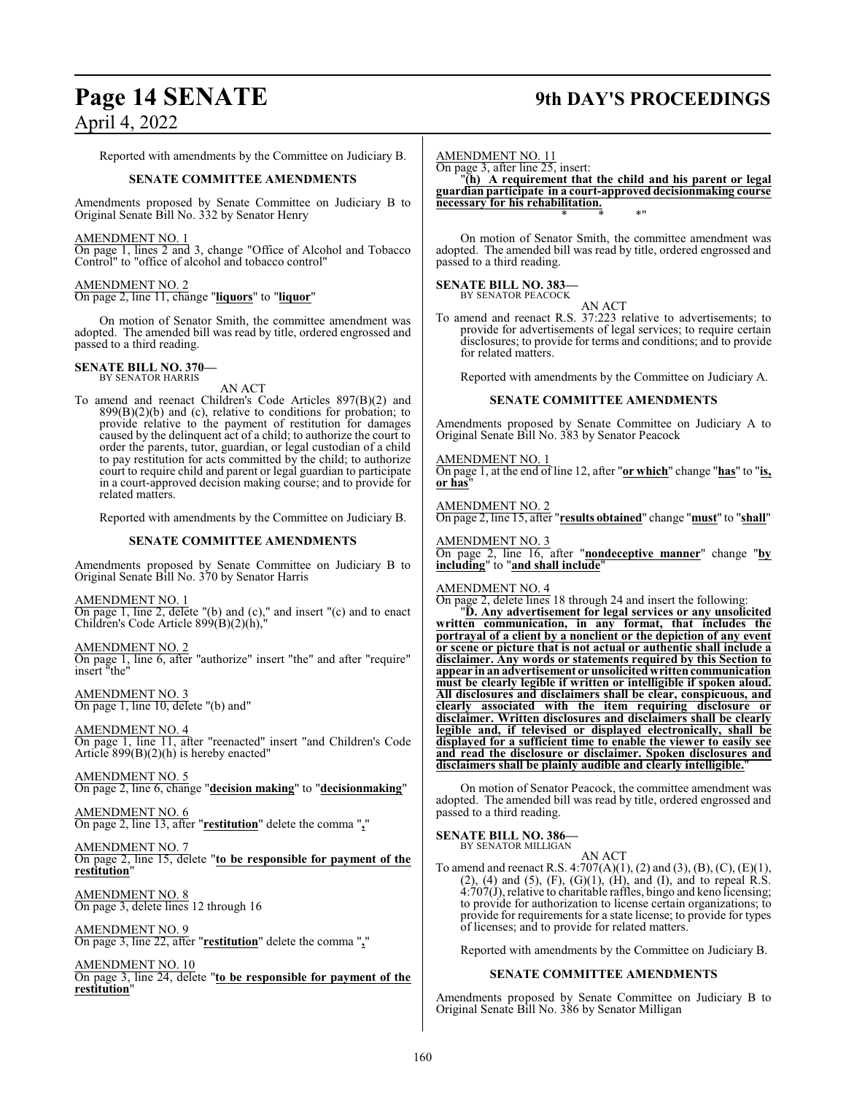## **Page 14 SENATE 9th DAY'S PROCEEDINGS**

April 4, 2022

Reported with amendments by the Committee on Judiciary B.

#### **SENATE COMMITTEE AMENDMENTS**

Amendments proposed by Senate Committee on Judiciary B to Original Senate Bill No. 332 by Senator Henry

#### AMENDMENT NO. 1

On page 1, lines 2 and 3, change "Office of Alcohol and Tobacco Control" to "office of alcohol and tobacco control"

#### AMENDMENT NO. 2

On page 2, line 11, change "**liquors**" to "**liquor**"

On motion of Senator Smith, the committee amendment was adopted. The amended bill was read by title, ordered engrossed and passed to a third reading.

#### **SENATE BILL NO. 370—** BY SENATOR HARRIS

AN ACT

To amend and reenact Children's Code Articles 897(B)(2) and  $899(B)(2)(b)$  and (c), relative to conditions for probation; to provide relative to the payment of restitution for damages caused by the delinquent act of a child; to authorize the court to order the parents, tutor, guardian, or legal custodian of a child to pay restitution for acts committed by the child; to authorize court to require child and parent or legal guardian to participate in a court-approved decision making course; and to provide for related matters.

Reported with amendments by the Committee on Judiciary B.

#### **SENATE COMMITTEE AMENDMENTS**

Amendments proposed by Senate Committee on Judiciary B to Original Senate Bill No. 370 by Senator Harris

AMENDMENT NO. 1 On page 1, line 2, delete "(b) and (c)," and insert "(c) and to enact Children's Code Article 899(B)(2)(h),"

AMENDMENT NO. 2 On page 1, line 6, after "authorize" insert "the" and after "require" insert "the"

AMENDMENT NO. 3 On page 1, line 10, delete "(b) and"

AMENDMENT NO. 4

On page 1, line 11, after "reenacted" insert "and Children's Code Article 899(B)(2)(h) is hereby enacted"

AMENDMENT NO. 5 On page 2, line 6, change "**decision making**" to "**decisionmaking**"

AMENDMENT NO. 6 On page 2, line 13, after "**restitution**" delete the comma "**,**"

AMENDMENT NO. 7 On page 2, line 15, delete "**to be responsible for payment of the restitution**"

AMENDMENT NO. 8 On page 3, delete lines 12 through 16

AMENDMENT NO. 9 On page 3, line 22, after "**restitution**" delete the comma "**,**"

AMENDMENT NO. 10 On page 3, line 24, delete "**to be responsible for payment of the restitution**"

AMENDMENT NO. 11

On page 3, after line 25, insert:

"**(h) A requirement that the child and his parent or legal guardian participate in a court-approved decisionmaking course necessary for his rehabilitation.** \* \* \*"

On motion of Senator Smith, the committee amendment was adopted. The amended bill was read by title, ordered engrossed and passed to a third reading.

## **SENATE BILL NO. 383—** BY SENATOR PEACOCK

AN ACT

To amend and reenact R.S. 37:223 relative to advertisements; to provide for advertisements of legal services; to require certain disclosures; to provide for terms and conditions; and to provide for related matters.

Reported with amendments by the Committee on Judiciary A.

#### **SENATE COMMITTEE AMENDMENTS**

Amendments proposed by Senate Committee on Judiciary A to Original Senate Bill No. 383 by Senator Peacock

AMENDMENT NO. 1 On page 1, at the end of line 12, after "**or which**" change "**has**" to "**is, or has**"

AMENDMENT NO. 2 On page 2, line 15, after "**results obtained**" change "**must**" to "**shall**"

AMENDMENT NO. 3 On page 2, line 16, after "**nondeceptive manner**" change "**by including**" to "**and shall include**"

#### AMENDMENT NO. 4

On page 2, delete lines 18 through 24 and insert the following:

"**D. Any advertisement for legal services or any unsolicited written communication, in any format, that includes the portrayal of a client by a nonclient or the depiction of any event or scene or picture that is not actual or authentic shall include a disclaimer. Any words or statements required by this Section to appear in an advertisement or unsolicitedwrittencommunication must be clearly legible if written or intelligible if spoken aloud. All disclosures and disclaimers shall be clear, conspicuous, and clearly associated with the item requiring disclosure or disclaimer. Written disclosures and disclaimers shall be clearly legible and, if televised or displayed electronically, shall be displayed for a sufficient time to enable the viewer to easily see and read the disclosure or disclaimer. Spoken disclosures and disclaimers shall be plainly audible and clearly intelligible.**"

On motion of Senator Peacock, the committee amendment was adopted. The amended bill was read by title, ordered engrossed and passed to a third reading.

## **SENATE BILL NO. 386—** BY SENATOR MILLIGAN

AN ACT To amend and reenact R.S. 4:707(A)(1), (2) and (3), (B), (C), (E)(1),  $(2)$ ,  $(4)$  and  $(5)$ ,  $(F)$ ,  $(G)(1)$ ,  $(H)$ , and  $(I)$ , and to repeal R.S. 4:707(J), relative to charitable raffles, bingo and keno licensing; to provide for authorization to license certain organizations; to provide for requirements for a state license; to provide for types of licenses; and to provide for related matters.

Reported with amendments by the Committee on Judiciary B.

#### **SENATE COMMITTEE AMENDMENTS**

Amendments proposed by Senate Committee on Judiciary B to Original Senate Bill No. 386 by Senator Milligan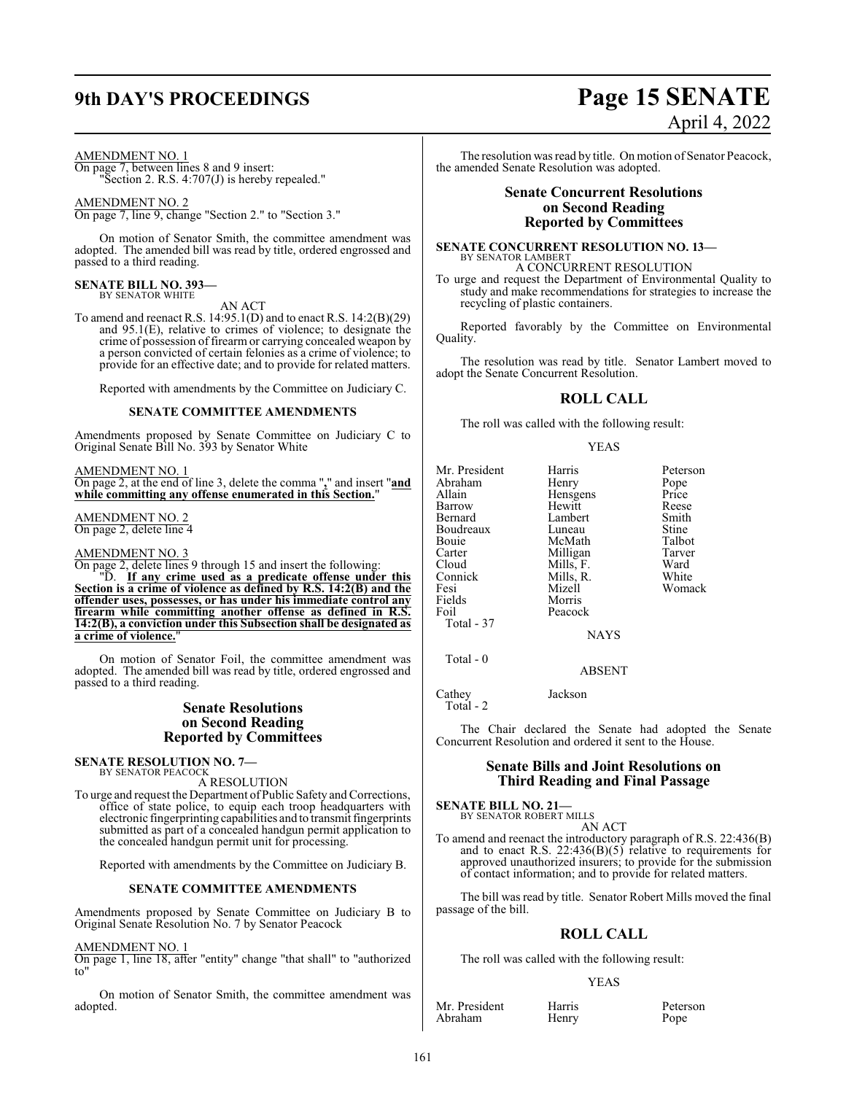# **9th DAY'S PROCEEDINGS Page 15 SENATE**

#### AMENDMENT NO. 1

On page 7, between lines 8 and 9 insert: "Section 2. R.S. 4:707(J) is hereby repealed."

AMENDMENT NO. 2 On page 7, line 9, change "Section 2." to "Section 3."

On motion of Senator Smith, the committee amendment was adopted. The amended bill was read by title, ordered engrossed and passed to a third reading.

## **SENATE BILL NO. 393—** BY SENATOR WHITE

AN ACT

To amend and reenact R.S. 14:95.1(D) and to enact R.S. 14:2(B)(29) and 95.1(E), relative to crimes of violence; to designate the crime of possession of firearm or carrying concealed weapon by a person convicted of certain felonies as a crime of violence; to provide for an effective date; and to provide for related matters.

Reported with amendments by the Committee on Judiciary C.

#### **SENATE COMMITTEE AMENDMENTS**

Amendments proposed by Senate Committee on Judiciary C to Original Senate Bill No. 393 by Senator White

AMENDMENT NO. 1

On page 2, at the end of line 3, delete the comma "**,**" and insert "**and while committing any offense enumerated in this Section.**"

AMENDMENT NO. 2 On page 2, delete line 4

#### AMENDMENT NO. 3

On page 2, delete lines 9 through 15 and insert the following:

"D. **If any crime used as a predicate offense under this Section is a crime of violence as defined by R.S. 14:2(B) and the offender uses, possesses, or has under his immediate control any firearm while committing another offense as defined in R.S. 14:2(B), a conviction under this Subsection shall be designated as a** crime of violence.

On motion of Senator Foil, the committee amendment was adopted. The amended bill was read by title, ordered engrossed and passed to a third reading.

#### **Senate Resolutions on Second Reading Reported by Committees**

**SENATE RESOLUTION NO. 7—** BY SENATOR PEACOCK

A RESOLUTION

To urge and request the Department of Public Safety and Corrections, office of state police, to equip each troop headquarters with electronic fingerprinting capabilities and to transmit fingerprints submitted as part of a concealed handgun permit application to the concealed handgun permit unit for processing.

Reported with amendments by the Committee on Judiciary B.

#### **SENATE COMMITTEE AMENDMENTS**

Amendments proposed by Senate Committee on Judiciary B to Original Senate Resolution No. 7 by Senator Peacock

#### AMENDMENT NO. 1

On page 1, line 18, after "entity" change "that shall" to "authorized to"

On motion of Senator Smith, the committee amendment was adopted.

# April 4, 2022

The resolution was read by title. On motion of Senator Peacock, the amended Senate Resolution was adopted.

#### **Senate Concurrent Resolutions on Second Reading Reported by Committees**

## **SENATE CONCURRENT RESOLUTION NO. 13—** BY SENATOR LAMBERT A CONCURRENT RESOLUTION

To urge and request the Department of Environmental Quality to study and make recommendations for strategies to increase the recycling of plastic containers.

Reported favorably by the Committee on Environmental Quality.

The resolution was read by title. Senator Lambert moved to adopt the Senate Concurrent Resolution.

### **ROLL CALL**

The roll was called with the following result:

#### YEAS

| Mr. President | Harris      | Peterson |
|---------------|-------------|----------|
| Abraham       | Henry       | Pope     |
| Allain        | Hensgens    | Price    |
| Barrow        | Hewitt      | Reese    |
| Bernard       | Lambert     | Smith    |
| Boudreaux     | Luneau      | Stine    |
| Bouie         | McMath      | Talbot   |
| Carter        | Milligan    | Tarver   |
| Cloud         | Mills, F.   | Ward     |
| Connick       | Mills, R.   | White    |
| Fesi          | Mizell      | Womack   |
| Fields        | Morris      |          |
| Foil          | Peacock     |          |
| Total - 37    |             |          |
|               | <b>NAYS</b> |          |
| Total - 0     |             |          |

ABSENT

Cathey Jackson

Total - 2

The Chair declared the Senate had adopted the Senate Concurrent Resolution and ordered it sent to the House.

### **Senate Bills and Joint Resolutions on Third Reading and Final Passage**

**SENATE BILL NO. 21—** BY SENATOR ROBERT MILLS

AN ACT

To amend and reenact the introductory paragraph of R.S. 22:436(B) and to enact R.S.  $22:436(B)(5)$  relative to requirements for approved unauthorized insurers; to provide for the submission of contact information; and to provide for related matters.

The bill was read by title. Senator Robert Mills moved the final passage of the bill.

#### **ROLL CALL**

The roll was called with the following result:

#### YEAS

Mr. President Harris Peterson Abraham Henry Pope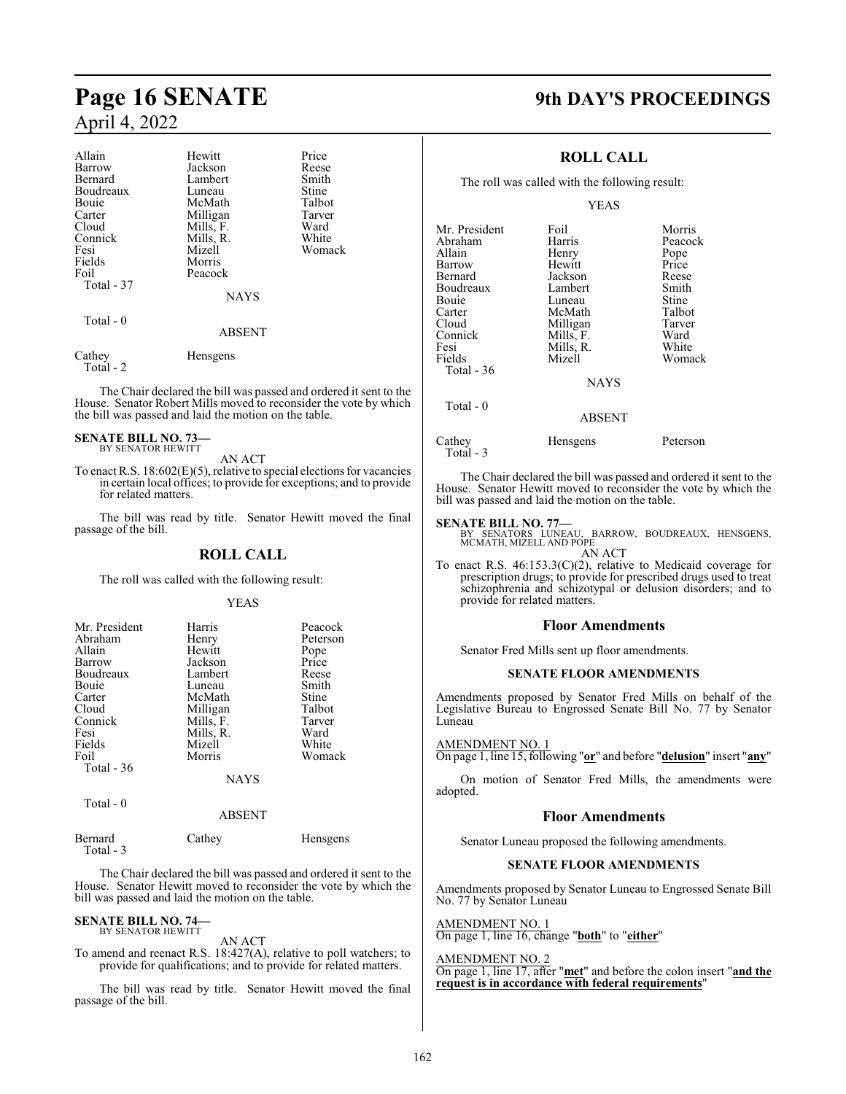| Allain<br>Barrow<br>Bernard<br>Boudreaux<br>Bouie<br>Carter<br>Cloud<br>Connick<br>Fesi | Hewitt<br>Jackson<br>Lambert<br>Luneau<br>McMath<br>Milligan<br>Mills, F.<br>Mills, R.<br>Mizell | Price<br>Reese<br>Smith<br>Stine<br>Talbot<br>Tarver<br>Ward<br>White<br>Womack |
|-----------------------------------------------------------------------------------------|--------------------------------------------------------------------------------------------------|---------------------------------------------------------------------------------|
| Fields<br>Foil<br>Total - 37                                                            | Morris<br>Peacock<br><b>NAYS</b>                                                                 |                                                                                 |
| Total $-0$                                                                              | <b>ABSENT</b>                                                                                    |                                                                                 |
| Cathey                                                                                  | <b>Hensgens</b>                                                                                  |                                                                                 |

The Chair declared the bill was passed and ordered it sent to the House. Senator Robert Mills moved to reconsider the vote by which the bill was passed and laid the motion on the table.

#### **SENATE BILL NO. 73—** BY SENATOR HEWITT

Total - 2

AN ACT

To enact R.S. 18:602(E)(5), relative to special elections for vacancies in certain local offices; to provide for exceptions; and to provide for related matters.

The bill was read by title. Senator Hewitt moved the final passage of the bill.

#### **ROLL CALL**

The roll was called with the following result:

#### YEAS

| Mr. President | Harris      | Peacock  |
|---------------|-------------|----------|
| Abraham       | Henry       | Peterson |
| Allain        | Hewitt      | Pope     |
| Barrow        | Jackson     | Price    |
| Boudreaux     | Lambert     | Reese    |
| <b>Bouje</b>  | Luneau      | Smith    |
| Carter        | McMath      | Stine    |
| Cloud         | Milligan    | Talbot   |
| Connick       | Mills, F.   | Tarver   |
| Fesi          | Mills, R.   | Ward     |
| Fields        | Mizell      | White    |
| Foil          | Morris      | Womack   |
| Total $-36$   |             |          |
|               | <b>NAYS</b> |          |
| Total - 0     |             |          |

Bernard Cathey Hensgens Total - 3

The Chair declared the bill was passed and ordered it sent to the House. Senator Hewitt moved to reconsider the vote by which the bill was passed and laid the motion on the table.

ABSENT

## **SENATE BILL NO. 74—** BY SENATOR HEWITT

AN ACT

To amend and reenact R.S. 18:427(A), relative to poll watchers; to provide for qualifications; and to provide for related matters.

The bill was read by title. Senator Hewitt moved the final passage of the bill.

## **Page 16 SENATE 9th DAY'S PROCEEDINGS**

#### **ROLL CALL**

The roll was called with the following result:

YEAS

| Mr. President | Foil          | Morris   |
|---------------|---------------|----------|
| Abraham       | Harris        | Peacock  |
| Allain        | Henry         | Pope     |
| Barrow        | Hewitt        | Price    |
| Bernard       | Jackson       | Reese    |
| Boudreaux     | Lambert       | Smith    |
| Bouie         | Luneau        | Stine    |
| Carter        | McMath        | Talbot   |
| Cloud         | Milligan      | Tarver   |
| Connick       | Mills, F.     | Ward     |
| Fesi          | Mills, R.     | White    |
| Fields        | Mizell        | Womack   |
| Total $-36$   |               |          |
|               | <b>NAYS</b>   |          |
| Total - 0     |               |          |
|               | <b>ABSENT</b> |          |
| Cathey        | Hensgens      | Peterson |

Total - 3

The Chair declared the bill was passed and ordered it sent to the House. Senator Hewitt moved to reconsider the vote by which the bill was passed and laid the motion on the table.

## **SENATE BILL NO. 77—**

BY SENATORS LUNEAU, BARROW, BOUDREAUX, HENSGENS, MCMATH, MIZELL AND POPE

AN ACT To enact R.S. 46:153.3(C)(2), relative to Medicaid coverage for prescription drugs; to provide for prescribed drugs used to treat schizophrenia and schizotypal or delusion disorders; and to provide for related matters.

#### **Floor Amendments**

Senator Fred Mills sent up floor amendments.

#### **SENATE FLOOR AMENDMENTS**

Amendments proposed by Senator Fred Mills on behalf of the Legislative Bureau to Engrossed Senate Bill No. 77 by Senator Luneau

### AMENDMENT NO. 1

On page 1, line 15, following "**or**" and before "**delusion**" insert "**any**"

On motion of Senator Fred Mills, the amendments were adopted.

#### **Floor Amendments**

Senator Luneau proposed the following amendments.

#### **SENATE FLOOR AMENDMENTS**

Amendments proposed by Senator Luneau to Engrossed Senate Bill No. 77 by Senator Luneau

#### AMENDMENT NO. 1

On page 1, line 16, change "**both**" to "**either**"

#### AMENDMENT NO. 2

On page 1, line 17, after "**met**" and before the colon insert "**and the request is in accordance with federal requirements**"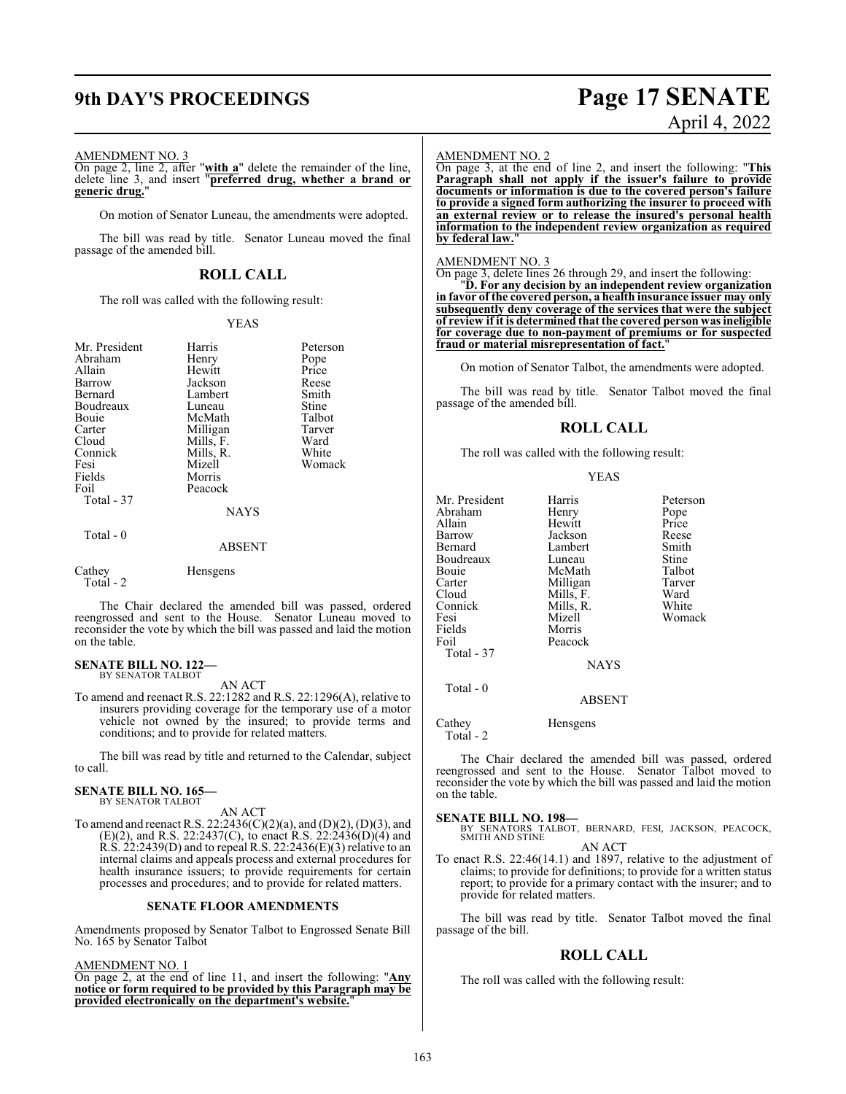## **9th DAY'S PROCEEDINGS Page 17 SENATE**

# April 4, 2022

#### AMENDMENT NO. 3

On page 2, line 2, after "**with a**" delete the remainder of the line, delete line 3, and insert "**preferred drug, whether a brand or generic drug.**"

On motion of Senator Luneau, the amendments were adopted.

The bill was read by title. Senator Luneau moved the final passage of the amended bill.

### **ROLL CALL**

The roll was called with the following result:

#### YEAS

| Mr. President<br>Abraham<br>Allain<br>Barrow<br>Bernard<br>Boudreaux<br>Bouie<br>Carter<br>Cloud<br>Connick<br>Fesi<br>Fields<br>Foil<br>Total - 37 | Harris<br>Henry<br>Hewitt<br>Jackson<br>Lambert<br>Luneau<br>McMath<br>Milligan<br>Mills, F.<br>Mills, R.<br>Mizell<br>Morris<br>Peacock<br><b>NAYS</b> | Peterson<br>Pope<br>Price<br>Reese<br>Smith<br>Stine<br>Talbot<br>Tarver<br>Ward<br>White<br>Womack |
|-----------------------------------------------------------------------------------------------------------------------------------------------------|---------------------------------------------------------------------------------------------------------------------------------------------------------|-----------------------------------------------------------------------------------------------------|
|                                                                                                                                                     |                                                                                                                                                         |                                                                                                     |
| Total - 0                                                                                                                                           | <b>ABSENT</b>                                                                                                                                           |                                                                                                     |
| Cathey<br>Total - 2                                                                                                                                 | Hensgens                                                                                                                                                |                                                                                                     |

The Chair declared the amended bill was passed, ordered reengrossed and sent to the House. Senator Luneau moved to reconsider the vote by which the bill was passed and laid the motion on the table.

## **SENATE BILL NO. 122—** BY SENATOR TALBOT

AN ACT

To amend and reenact R.S. 22:1282 and R.S. 22:1296(A), relative to insurers providing coverage for the temporary use of a motor vehicle not owned by the insured; to provide terms and conditions; and to provide for related matters.

The bill was read by title and returned to the Calendar, subject to call.

#### **SENATE BILL NO. 165—** BY SENATOR TALBOT

AN ACT

To amend and reenact R.S. 22:2436(C)(2)(a), and (D)(2), (D)(3), and (E)(2), and R.S. 22:2437(C), to enact R.S. 22:2436(D)(4) and R.S. 22:2439(D) and to repeal R.S. 22:2436(E)(3) relative to an internal claims and appeals process and external procedures for health insurance issuers; to provide requirements for certain processes and procedures; and to provide for related matters.

#### **SENATE FLOOR AMENDMENTS**

Amendments proposed by Senator Talbot to Engrossed Senate Bill No. 165 by Senator Talbot

AMENDMENT NO. 1

On page 2, at the end of line 11, and insert the following: "**Any notice or form required to be provided by this Paragraph may be provided electronically on the department's website.**"

#### AMENDMENT NO. 2

On page 3, at the end of line 2, and insert the following: "**This Paragraph shall not apply if the issuer's failure to provide documents or information is due to the covered person's failure to provide a signed form authorizing the insurer to proceed with an external review or to release the insured's personal health information to the independent review organization as required** by federal law.

#### AMENDMENT NO. 3

On page 3, delete lines 26 through 29, and insert the following: "**D. For any decision by an independent review organization in favor of the covered person, a health insurance issuer may only subsequently deny coverage of the services that were the subject of review if it is determined that the covered person was ineligible for coverage due to non-payment of premiums or for suspected fraud or material misrepresentation of fact.**"

On motion of Senator Talbot, the amendments were adopted.

The bill was read by title. Senator Talbot moved the final passage of the amended bill.

#### **ROLL CALL**

The roll was called with the following result:

YEAS

Peterson

Talbot Tarver<br>Ward

Womack

| Harris        | Peters                             |
|---------------|------------------------------------|
| Henry         | Pope                               |
| Hewitt        | Price                              |
| Jackson       | Reese                              |
| Lambert       | Smith                              |
| Luneau        | Stine                              |
| McMath        | Talbot                             |
|               | Tarve                              |
|               | Ward                               |
|               | White                              |
| Mizell        | Woma                               |
| Morris        |                                    |
| Peacock       |                                    |
|               |                                    |
| <b>NAYS</b>   |                                    |
|               |                                    |
| <b>ABSENT</b> |                                    |
|               | Milligan<br>Mills, F.<br>Mills, R. |

Cathey Hensgens Total - 2

The Chair declared the amended bill was passed, ordered reengrossed and sent to the House. Senator Talbot moved to reconsider the vote by which the bill was passed and laid the motion on the table.

**SENATE BILL NO. 198—**<br>BY SENATORS TALBOT, BERNARD, FESI, JACKSON, PEACOCK, SMITH AND STINE AN ACT

To enact R.S. 22:46(14.1) and 1897, relative to the adjustment of claims; to provide for definitions; to provide for a written status report; to provide for a primary contact with the insurer; and to provide for related matters.

The bill was read by title. Senator Talbot moved the final passage of the bill.

#### **ROLL CALL**

The roll was called with the following result: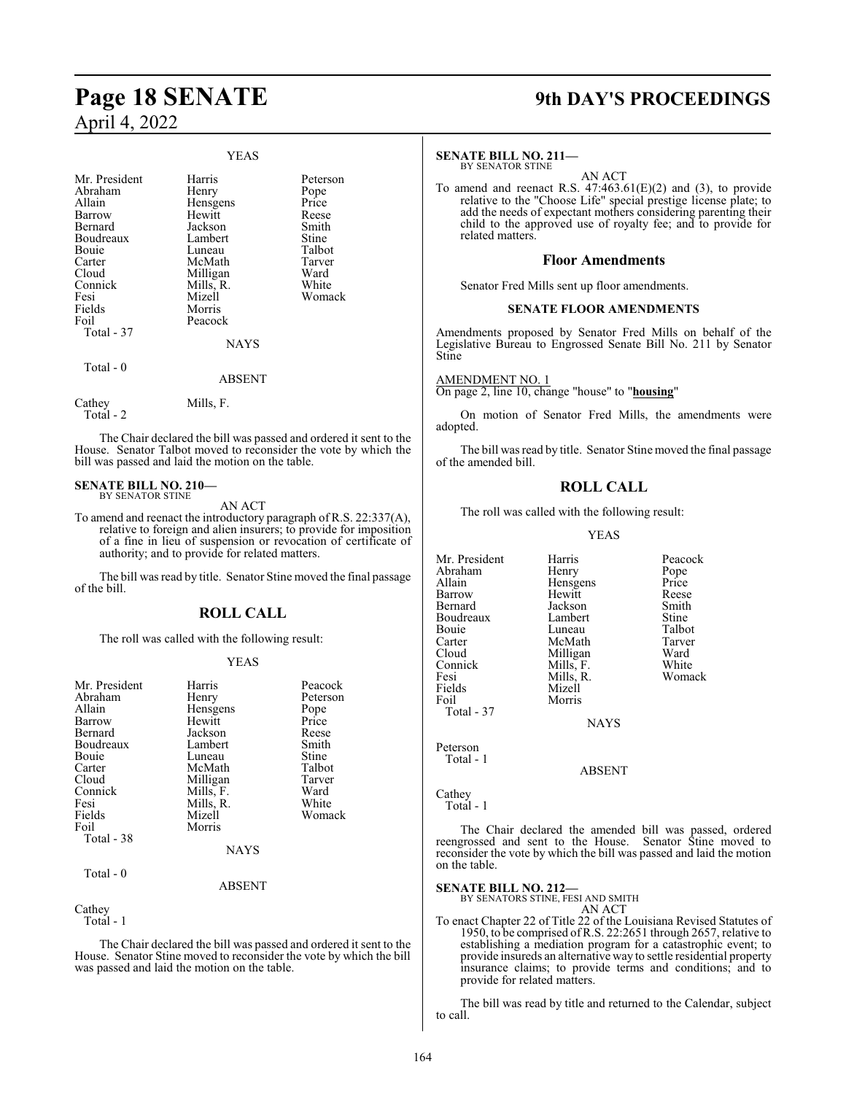# **Page 18 SENATE 9th DAY'S PROCEEDINGS**

## April 4, 2022

#### YEAS

| Mr. President<br>Abraham<br>Allain<br>Barrow<br>Bernard<br>Boudreaux<br>Bouie<br>Carter<br>Cloud<br>Connick<br>Fesi<br>Fields | Harris<br>Henry<br>Hensgens<br>Hewitt<br>Jackson<br>Lambert<br>Luneau<br>McMath<br>Milligan<br>Mills, R.<br>Mizell<br>Morris | Peterson<br>Pope<br>Price<br>Reese<br>Smith<br>Stine<br>Talbot<br>Tarver<br>Ward<br>White<br>Womack |
|-------------------------------------------------------------------------------------------------------------------------------|------------------------------------------------------------------------------------------------------------------------------|-----------------------------------------------------------------------------------------------------|
| Foil<br>Total - 37                                                                                                            | Peacock<br><b>NAYS</b>                                                                                                       |                                                                                                     |
| Total - 0                                                                                                                     | <b>ABSENT</b>                                                                                                                |                                                                                                     |
| Cathey<br>Total - 2                                                                                                           | Mills, F.                                                                                                                    |                                                                                                     |

The Chair declared the bill was passed and ordered it sent to the House. Senator Talbot moved to reconsider the vote by which the bill was passed and laid the motion on the table.

#### **SENATE BILL NO. 210—** BY SENATOR STINE

AN ACT

To amend and reenact the introductory paragraph of R.S. 22:337(A), relative to foreign and alien insurers; to provide for imposition of a fine in lieu of suspension or revocation of certificate of authority; and to provide for related matters.

The bill was read by title. Senator Stine moved the final passage of the bill.

### **ROLL CALL**

The roll was called with the following result:

#### YEAS

| Mr. President | Harris    | Peacock  |
|---------------|-----------|----------|
| Abraham       | Henry     | Peterson |
| Allain        | Hensgens  | Pope     |
| Barrow        | Hewitt    | Price    |
| Bernard       | Jackson   | Reese    |
| Boudreaux     | Lambert   | Smith    |
| Bouie         | Luneau    | Stine    |
| Carter        | McMath    | Talbot   |
| Cloud         | Milligan  | Tarver   |
| Connick       | Mills, F. | Ward     |
| Fesi          | Mills, R. | White    |
| Fields        | Mizell    | Womack   |
| Foil          | Morris    |          |
| Total - 38    |           |          |
|               | NAYS      |          |

Total - 0

Cathey

Total - 1

The Chair declared the bill was passed and ordered it sent to the House. Senator Stine moved to reconsider the vote by which the bill was passed and laid the motion on the table.

ABSENT

### **SENATE BILL NO. 211—**

BY SENATOR STINE AN ACT

To amend and reenact R.S.  $47:463.61(E)(2)$  and (3), to provide relative to the "Choose Life" special prestige license plate; to add the needs of expectant mothers considering parenting their child to the approved use of royalty fee; and to provide for related matters.

#### **Floor Amendments**

Senator Fred Mills sent up floor amendments.

#### **SENATE FLOOR AMENDMENTS**

Amendments proposed by Senator Fred Mills on behalf of the Legislative Bureau to Engrossed Senate Bill No. 211 by Senator Stine

AMENDMENT NO. 1

On page 2, line 10, change "house" to "**housing**"

On motion of Senator Fred Mills, the amendments were adopted.

The bill was read by title. Senator Stine moved the final passage of the amended bill.

#### **ROLL CALL**

The roll was called with the following result:

YEAS

Mr. President Harris Peacock<br>Abraham Henry Pope Abraham Henry Pope<br>
Allain Hensgens Price Allain **Hensiens** Price<br> **Barrow** Hewitt Reese Hewitt Reese<br>Jackson Smith Bernard Jackson Smith Boudreaux Lambert Stine<br>
Bouie Luneau Talbot Bouie Luneau Talbot<br>Carter McMath Tarver Carter McMath Tarver<br>Cloud Milligan Ward Cloud Milligan Ward<br>Connick Mills, F. White Connick Mills, F. White<br>
Fesi Mills, R. Womack Fesi Mills, R.<br>Fields Mizell Fields Mizell<br>Foil Morris Morris Total - 37 NAYS Peterson Total - 1

ABSENT

Cathey Total - 1

The Chair declared the amended bill was passed, ordered reengrossed and sent to the House. Senator Stine moved to reconsider the vote by which the bill was passed and laid the motion on the table.

#### **SENATE BILL NO. 212—**

BY SENATORS STINE, FESI AND SMITH

AN ACT

To enact Chapter 22 of Title 22 of the Louisiana Revised Statutes of 1950, to be comprised ofR.S. 22:2651 through 2657, relative to establishing a mediation program for a catastrophic event; to provide insureds an alternative way to settle residential property insurance claims; to provide terms and conditions; and to provide for related matters.

The bill was read by title and returned to the Calendar, subject to call.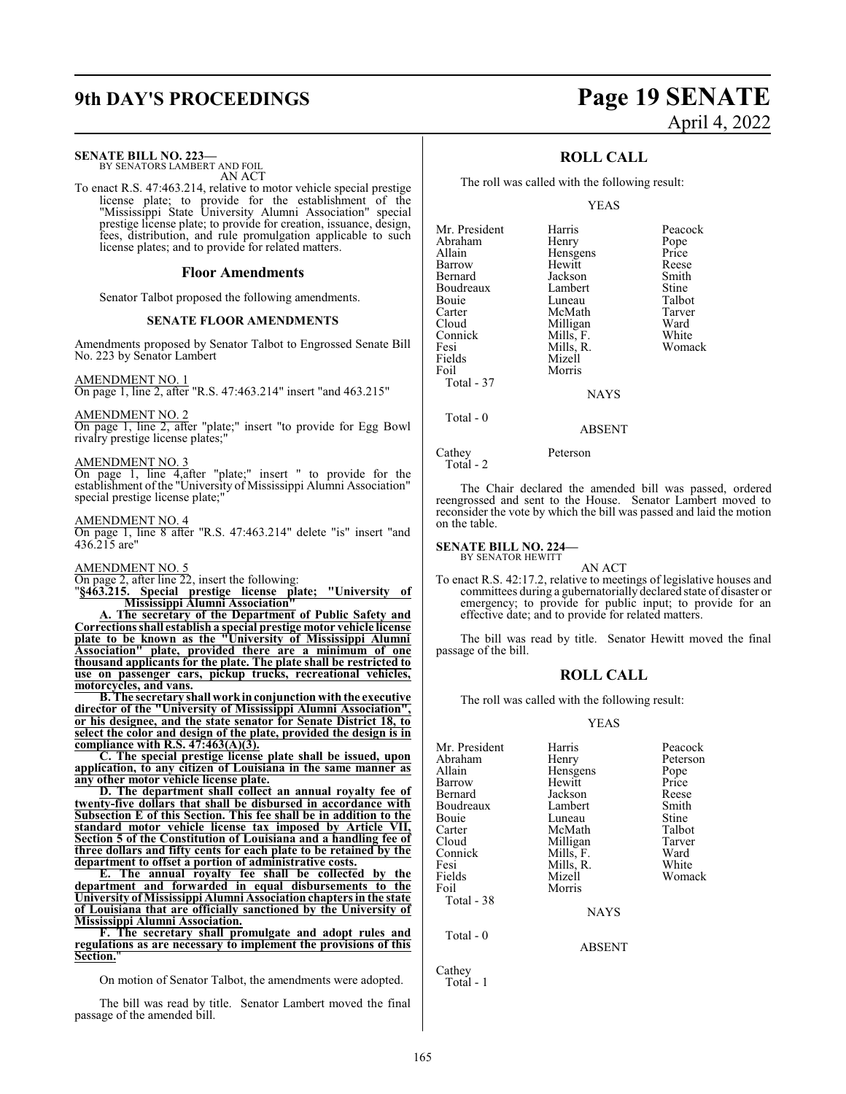#### **SENATE BILL NO. 223—**

BY SENATORS LAMBERT AND FOIL AN ACT

To enact R.S. 47:463.214, relative to motor vehicle special prestige license plate; to provide for the establishment of the "Mississippi State University Alumni Association" special prestige license plate; to provide for creation, issuance, design, fees, distribution, and rule promulgation applicable to such license plates; and to provide for related matters.

#### **Floor Amendments**

Senator Talbot proposed the following amendments.

#### **SENATE FLOOR AMENDMENTS**

Amendments proposed by Senator Talbot to Engrossed Senate Bill No. 223 by Senator Lambert

AMENDMENT NO. 1

On page 1, line 2, after "R.S. 47:463.214" insert "and 463.215"

AMENDMENT NO. 2

On page 1, line 2, after "plate;" insert "to provide for Egg Bowl rivalry prestige license plates;"

#### AMENDMENT NO. 3

On page 1, line 4,after "plate;" insert " to provide for the establishment of the "University of Mississippi Alumni Association" special prestige license plate;

#### AMENDMENT NO. 4

On page 1, line 8 after "R.S. 47:463.214" delete "is" insert "and 436.215 are"

#### AMENDMENT NO. 5

On page 2, after line  $\overline{22}$ , insert the following: " $\S 463.215$ . Special prestige license place "**§463.215. Special prestige license plate; "University of Mississippi Alumni Association"**

**A. The secretary of the Department of Public Safety and Corrections shall establish a special prestige motor vehicle license plate to be known as the "University of Mississippi Alumni Association" plate, provided there are a minimum of one thousand applicants for the plate. The plate shall be restricted to use on passenger cars, pickup trucks, recreational vehicles, motorcycles, and vans.**

**B. The secretary shall workin conjunction with the executive director of the "University of Mississippi Alumni Association", or his designee, and the state senator for Senate District 18, to select the color and design of the plate, provided the design is in compliance with R.S. 47:463(A)(3).**

**C. The special prestige license plate shall be issued, upon application, to any citizen of Louisiana in the same manner as any other motor vehicle license plate.**

**D. The department shall collect an annual royalty fee of twenty-five dollars that shall be disbursed in accordance with Subsection E of this Section. This fee shall be in addition to the standard motor vehicle license tax imposed by Article VII, Section 5 of the Constitution of Louisiana and a handling fee of three dollars and fifty cents for each plate to be retained by the department to offset a portion of administrative costs.**

**E. The annual royalty fee shall be collected by the department and forwarded in equal disbursements to the University of Mississippi Alumni Association chapters in the state of Louisiana that are officially sanctioned by the University of Mississippi Alumni Association.**

**F. The secretary shall promulgate and adopt rules and regulations as are necessary to implement the provisions of this Section.**"

On motion of Senator Talbot, the amendments were adopted.

The bill was read by title. Senator Lambert moved the final passage of the amended bill.

## **9th DAY'S PROCEEDINGS Page 19 SENATE** April 4, 2022

#### **ROLL CALL**

The roll was called with the following result:

YEAS

| Mr. President | Harris      | Peacock |
|---------------|-------------|---------|
| Abraham       | Henry       | Pope    |
| Allain        | Hensgens    | Price   |
| Barrow        | Hewitt      | Reese   |
| Bernard       | Jackson     | Smith   |
| Boudreaux     | Lambert     | Stine   |
| Bouie         | Luneau      | Talbot  |
| Carter        | McMath      | Tarver  |
| Cloud         | Milligan    | Ward    |
| Connick       | Mills, F.   | White   |
| Fesi          | Mills, R.   | Womack  |
| Fields        | Mizell      |         |
| Foil          | Morris      |         |
| Total - 37    |             |         |
|               | <b>NAYS</b> |         |

Total - 0

Cathey Peterson

Total - 2

The Chair declared the amended bill was passed, ordered reengrossed and sent to the House. Senator Lambert moved to reconsider the vote by which the bill was passed and laid the motion on the table.

ABSENT

#### **SENATE BILL NO. 224—**

BY SENATOR HEWITT AN ACT

To enact R.S. 42:17.2, relative to meetings of legislative houses and committees during a gubernatorially declared state of disaster or emergency; to provide for public input; to provide for an effective date; and to provide for related matters.

The bill was read by title. Senator Hewitt moved the final passage of the bill.

#### **ROLL CALL**

The roll was called with the following result:

#### YEAS

| Mr. President | Harris      | Peacock  |
|---------------|-------------|----------|
| Abraham       | Henry       | Peterson |
| Allain        | Hensgens    | Pope     |
| Barrow        | Hewitt      | Price    |
| Bernard       | Jackson     | Reese    |
| Boudreaux     | Lambert     | Smith    |
| Bouie         | Luneau      | Stine    |
| Carter        | McMath      | Talbot   |
| Cloud         | Milligan    | Tarver   |
| Connick       | Mills, F.   | Ward     |
| Fesi          | Mills, R.   | White    |
| Fields        | Mizell      | Womack   |
| Foil          | Morris      |          |
| Total - 38    |             |          |
|               | <b>NAYS</b> |          |
|               |             |          |

ABSENT

Cathey Total - 1

Total - 0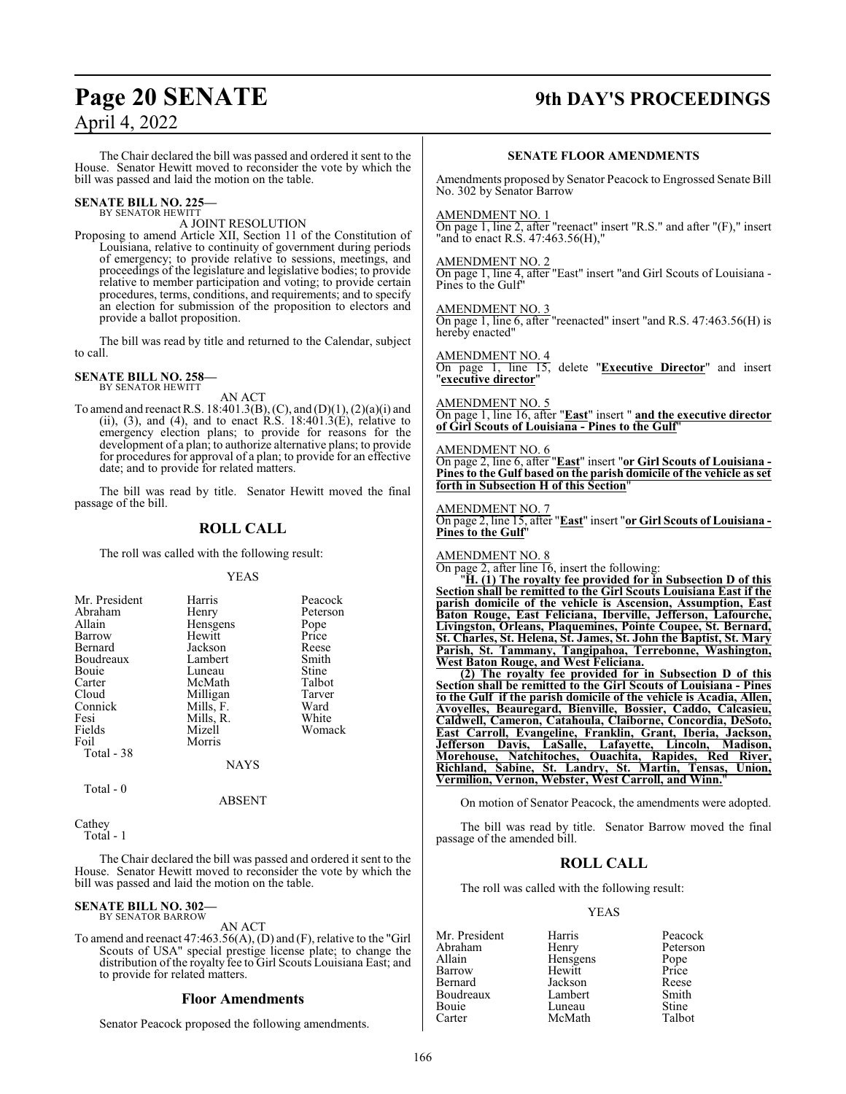## **Page 20 SENATE 9th DAY'S PROCEEDINGS**

## April 4, 2022

The Chair declared the bill was passed and ordered it sent to the House. Senator Hewitt moved to reconsider the vote by which the bill was passed and laid the motion on the table.

#### **SENATE BILL NO. 225—** BY SENATOR HEWITT

A JOINT RESOLUTION

Proposing to amend Article XII, Section 11 of the Constitution of Louisiana, relative to continuity of government during periods of emergency; to provide relative to sessions, meetings, and proceedings of the legislature and legislative bodies; to provide relative to member participation and voting; to provide certain procedures, terms, conditions, and requirements; and to specify an election for submission of the proposition to electors and provide a ballot proposition.

The bill was read by title and returned to the Calendar, subject to call.

## **SENATE BILL NO. 258—** BY SENATOR HEWITT

AN ACT

To amend and reenact R.S. 18:401.3(B), (C), and (D)(1), (2)(a)(i) and (ii), (3), and (4), and to enact R.S.  $18:401.3(E)$ , relative to emergency election plans; to provide for reasons for the development of a plan; to authorize alternative plans; to provide for procedures for approval of a plan; to provide for an effective date; and to provide for related matters.

The bill was read by title. Senator Hewitt moved the final passage of the bill.

### **ROLL CALL**

The roll was called with the following result:

#### YEAS

| Mr. President | Harris    | Peacock  |
|---------------|-----------|----------|
| Abraham       | Henry     | Peterson |
| Allain        | Hensgens  | Pope     |
| Barrow        | Hewitt    | Price    |
| Bernard       | Jackson   | Reese    |
| Boudreaux     | Lambert   | Smith    |
| Bouie         | Luneau    | Stine    |
| Carter        | McMath    | Talbot   |
| Cloud         | Milligan  | Tarver   |
| Connick       | Mills, F. | Ward     |
| Fesi          | Mills, R. | White    |
| Fields        | Mizell    | Womack   |
| Foil          | Morris    |          |
| Total - 38    |           |          |
|               | NAYS      |          |

Total - 0

#### ABSENT

**Cathey** Total - 1

The Chair declared the bill was passed and ordered it sent to the House. Senator Hewitt moved to reconsider the vote by which the bill was passed and laid the motion on the table.

#### **SENATE BILL NO. 302—** BY SENATOR BARROW

AN ACT

To amend and reenact 47:463.56(A), (D) and (F), relative to the "Girl Scouts of USA" special prestige license plate; to change the distribution of the royalty fee to Girl Scouts Louisiana East; and to provide for related matters.

#### **Floor Amendments**

Senator Peacock proposed the following amendments.

#### **SENATE FLOOR AMENDMENTS**

Amendments proposed by Senator Peacock to Engrossed Senate Bill No. 302 by Senator Barrow

#### AMENDMENT NO. 1

On page 1, line 2, after "reenact" insert "R.S." and after "(F)," insert "and to enact R.S. 47:463.56(H),"

#### AMENDMENT NO. 2

On page 1, line 4, after "East" insert "and Girl Scouts of Louisiana - Pines to the Gulf"

AMENDMENT NO. 3 On page 1, line 6, after "reenacted" insert "and R.S. 47:463.56(H) is

hereby enacted"

AMENDMENT NO. 4 On page 1, line 15, delete "**Executive Director**" and insert "**executive director**"

AMENDMENT NO. 5

On page 1, line 16, after "**East**" insert " **and the executive director of Girl Scouts of Louisiana - Pines to the Gulf**"

#### AMENDMENT NO. 6

On page 2, line 6, after "**East**" insert "**or Girl Scouts of Louisiana - Pines to the Gulf based on the parish domicile of the vehicle as set forth in Subsection H of this Section**"

#### AMENDMENT NO. 7

On page 2, line 15, after "**East**" insert "**or Girl Scouts of Louisiana - Pines to the Gulf**"

#### AMENDMENT NO. 8

On page 2, after line 16, insert the following:

"**H. (1) The royalty fee provided for in Subsection D of this Section shall be remitted to the Girl Scouts Louisiana East if the parish domicile of the vehicle is Ascension, Assumption, East Baton Rouge, East Feliciana, Iberville, Jefferson, Lafourche, Livingston, Orleans, Plaquemines, Pointe Coupee, St. Bernard, St. Charles, St. Helena, St. James, St. John the Baptist, St. Mary Parish, St. Tammany, Tangipahoa, Terrebonne, Washington, West Baton Rouge, and West Feliciana.**

**(2) The royalty fee provided for in Subsection D of this Section shall be remitted to the Girl Scouts of Louisiana - Pines to the Gulf if the parish domicile of the vehicle is Acadia, Allen, Avoyelles, Beauregard, Bienville, Bossier, Caddo, Calcasieu, Caldwell, Cameron, Catahoula, Claiborne, Concordia, DeSoto, East Carroll, Evangeline, Franklin, Grant, Iberia, Jackson, Jefferson Davis, LaSalle, Lafayette, Lincoln, Madison, Morehouse, Natchitoches, Ouachita, Rapides, Red River, Richland, Sabine, St. Landry, St. Martin, Tensas, Union, Vermilion, Vernon, Webster, West Carroll, and Winn.**"

On motion of Senator Peacock, the amendments were adopted.

The bill was read by title. Senator Barrow moved the final passage of the amended bill.

#### **ROLL CALL**

The roll was called with the following result:

#### YEAS

Mr. President Harris Peacock<br>Abraham Henry Peterson Abraham Henry Peters<br>Allain Hensgens Pope Hensgens Pope<br>Hewitt Price Barrow<br>Bernard Jackson Reese<br>Lambert Smith Boudreaux Lambert Smith<br>Bouie Luneau Stine Bouie Luneau Stine<br>
Carter McMath Talbot McMath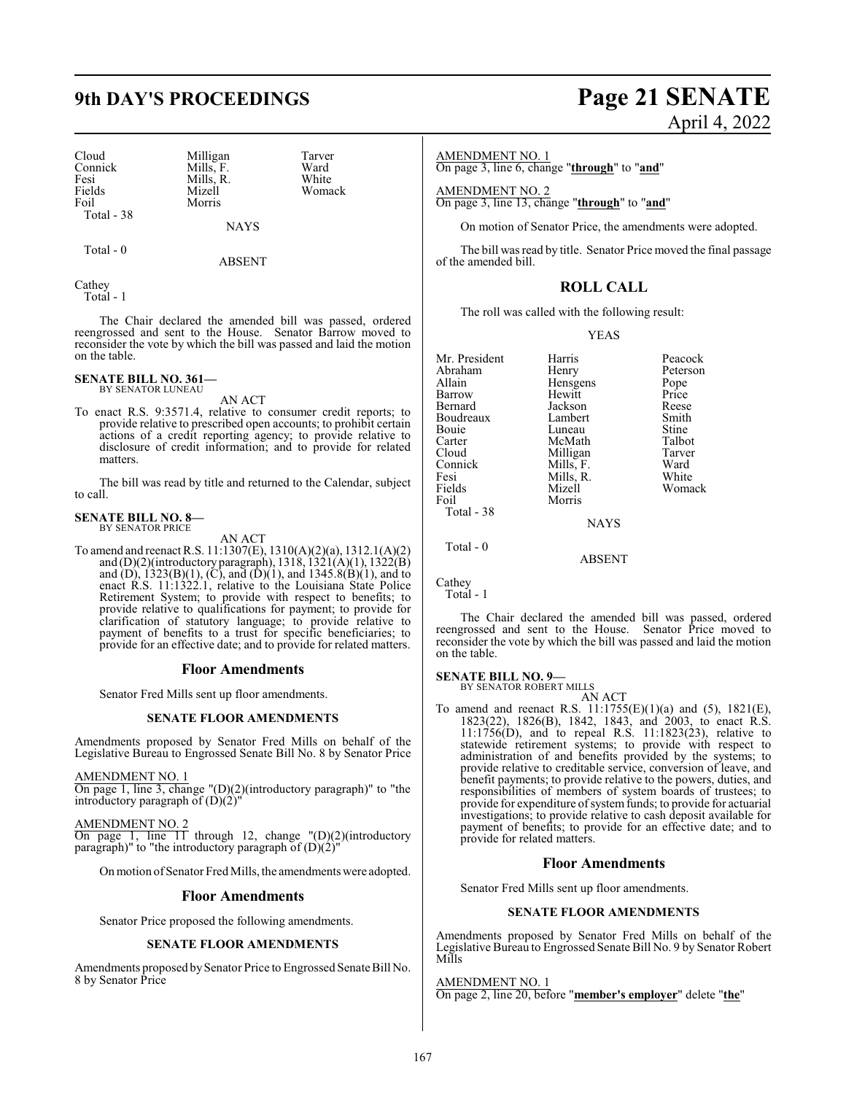## **9th DAY'S PROCEEDINGS Page 21 SENATE**

Cloud Milligan Tarver<br>
Connick Mills, F. Ward Connick Mills, F. Ward<br>
Fesi Mills, R. White Fesi Mills, R.<br>Fields Mizell Fields Mizell Womack Total - 38

Total - 0

NAYS

ABSENT

Morris

**Cathey** Total - 1

The Chair declared the amended bill was passed, ordered reengrossed and sent to the House. Senator Barrow moved to reconsider the vote by which the bill was passed and laid the motion on the table.

#### **SENATE BILL NO. 361—** BY SENATOR LUNEAU

AN ACT

To enact R.S. 9:3571.4, relative to consumer credit reports; to provide relative to prescribed open accounts; to prohibit certain actions of a credit reporting agency; to provide relative to disclosure of credit information; and to provide for related matters.

The bill was read by title and returned to the Calendar, subject to call.

#### **SENATE BILL NO. 8—** BY SENATOR PRICE

AN ACT

To amend and reenact R.S. 11:1307(E), 1310(A)(2)(a), 1312.1(A)(2) and (D)(2)(introductory paragraph), 1318, 1321(A)(1), 1322(B) and (D),  $1323(B)(1)$ , (C), and (D)(1), and  $1345.8(B)(1)$ , and to enact R.S. 11:1322.1, relative to the Louisiana State Police Retirement System; to provide with respect to benefits; to provide relative to qualifications for payment; to provide for clarification of statutory language; to provide relative to payment of benefits to a trust for specific beneficiaries; to provide for an effective date; and to provide for related matters.

#### **Floor Amendments**

Senator Fred Mills sent up floor amendments.

#### **SENATE FLOOR AMENDMENTS**

Amendments proposed by Senator Fred Mills on behalf of the Legislative Bureau to Engrossed Senate Bill No. 8 by Senator Price

AMENDMENT NO. 1

On page 1, line 3, change "(D)(2)(introductory paragraph)" to "the introductory paragraph of  $(D)(2)$ "

AMENDMENT NO. 2

 $\overline{On}$  page 1, line 11 through 12, change  $"(\underline{D})(2)$ (introductory paragraph)" to "the introductory paragraph of  $(D)(2)$ "

On motion of Senator Fred Mills, the amendments were adopted.

#### **Floor Amendments**

Senator Price proposed the following amendments.

#### **SENATE FLOOR AMENDMENTS**

Amendments proposed bySenator Price to Engrossed Senate Bill No. 8 by Senator Price

# April 4, 2022

#### AMENDMENT NO. 1

On page 3, line 6, change "**through**" to "**and**"

AMENDMENT NO. 2

On page 3, line 13, change "**through**" to "**and**"

On motion of Senator Price, the amendments were adopted.

The bill was read by title. Senator Price moved the final passage of the amended bill.

#### **ROLL CALL**

The roll was called with the following result:

#### YEAS

| Mr. President | Harris      | Peacock  |
|---------------|-------------|----------|
| Abraham       | Henry       | Peterson |
| Allain        | Hensgens    | Pope     |
| Barrow        | Hewitt      | Price    |
| Bernard       | Jackson     | Reese    |
| Boudreaux     | Lambert     | Smith    |
|               |             |          |
| Bouie         | Luneau      | Stine    |
| Carter        | McMath      | Talbot   |
| Cloud         | Milligan    | Tarver   |
| Connick       | Mills, F.   | Ward     |
| Fesi          | Mills, R.   | White    |
| Fields        | Mizell      | Womack   |
| Foil          | Morris      |          |
| Total - 38    |             |          |
|               | <b>NAYS</b> |          |
| Total - 0     |             |          |

Cathey

Total - 1

The Chair declared the amended bill was passed, ordered reengrossed and sent to the House. Senator Price moved to reconsider the vote by which the bill was passed and laid the motion on the table.

ABSENT

#### **SENATE BILL NO. 9—**

BY SENATOR ROBERT MILLS AN ACT

To amend and reenact R.S. 11:1755(E)(1)(a) and (5), 1821(E), 1823(22), 1826(B), 1842, 1843, and 2003, to enact R.S. 11:1756(D), and to repeal R.S. 11:1823(23), relative to statewide retirement systems; to provide with respect to administration of and benefits provided by the systems; to provide relative to creditable service, conversion of leave, and benefit payments; to provide relative to the powers, duties, and responsibilities of members of system boards of trustees; to provide for expenditure of system funds; to provide for actuarial investigations; to provide relative to cash deposit available for payment of benefits; to provide for an effective date; and to provide for related matters.

#### **Floor Amendments**

Senator Fred Mills sent up floor amendments.

#### **SENATE FLOOR AMENDMENTS**

Amendments proposed by Senator Fred Mills on behalf of the Legislative Bureau to Engrossed Senate Bill No. 9 by Senator Robert Mills

AMENDMENT NO. 1 On page 2, line 20, before "**member's employer**" delete "**the**"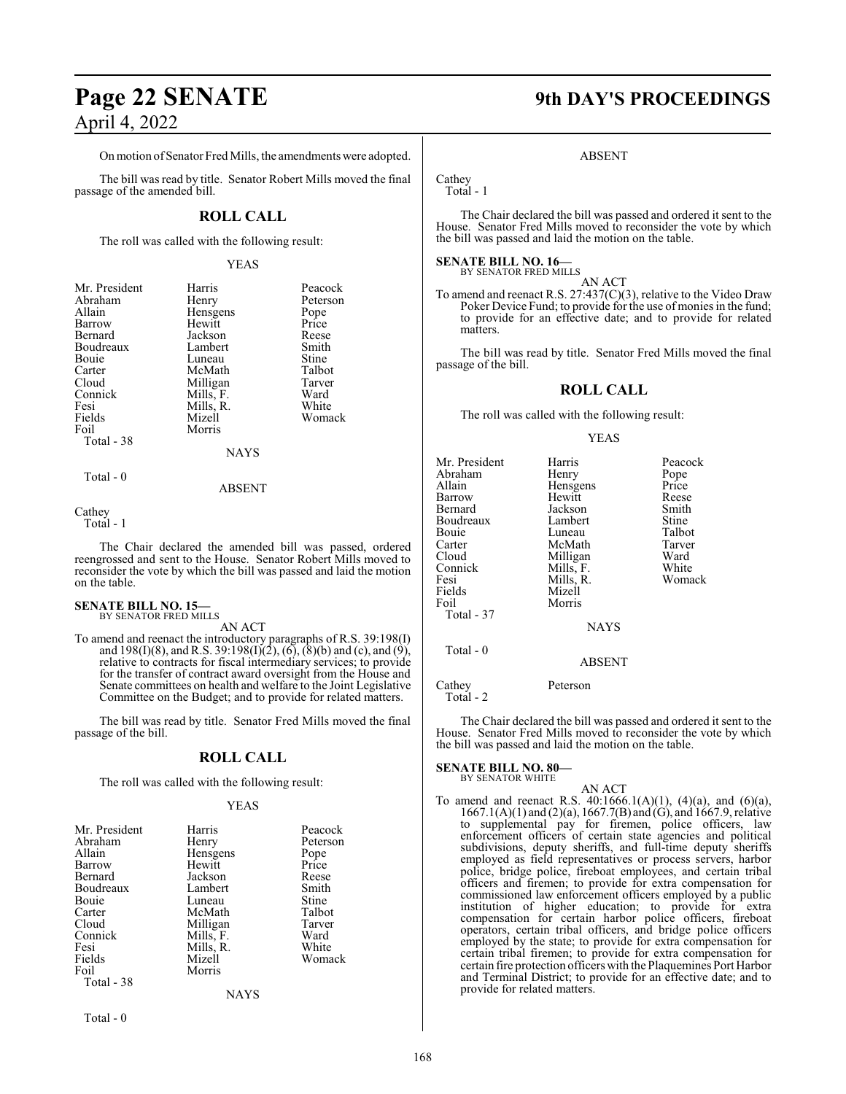Onmotion ofSenator Fred Mills, the amendments were adopted.

The bill was read by title. Senator Robert Mills moved the final passage of the amended bill.

## **ROLL CALL**

The roll was called with the following result:

#### YEAS

| Mr. President | Harris    | Peacock  |
|---------------|-----------|----------|
| Abraham       | Henry     | Peterson |
| Allain        | Hensgens  | Pope     |
| Barrow        | Hewitt    | Price    |
| Bernard       | Jackson   | Reese    |
| Boudreaux     | Lambert   | Smith    |
| <b>Bouje</b>  | Luneau    | Stine    |
| Carter        | McMath    | Talbot   |
| Cloud         | Milligan  | Tarver   |
| Connick       | Mills, F. | Ward     |
| Fesi          | Mills, R. | White    |
| Fields        | Mizell    | Womack   |
| Foil          | Morris    |          |
| Total - 38    |           |          |
|               | NAYS      |          |

Total - 0

## ABSENT

Cathey Total - 1

The Chair declared the amended bill was passed, ordered reengrossed and sent to the House. Senator Robert Mills moved to reconsider the vote by which the bill was passed and laid the motion on the table.

## **SENATE BILL NO. 15—** BY SENATOR FRED MILLS

AN ACT

To amend and reenact the introductory paragraphs of R.S. 39:198(I) and 198(I)(8), and R.S. 39:198(I)(2), (6), (8)(b) and (c), and (9), relative to contracts for fiscal intermediary services; to provide for the transfer of contract award oversight from the House and Senate committees on health and welfare to the Joint Legislative Committee on the Budget; and to provide for related matters.

The bill was read by title. Senator Fred Mills moved the final passage of the bill.

#### **ROLL CALL**

The roll was called with the following result:

#### YEAS

| Mr. President                | Harris           | Peacock  |
|------------------------------|------------------|----------|
| Abraham                      | Henry            | Peterson |
| Allain                       | Hensgens         | Pope     |
| Barrow                       | Hewitt           | Price    |
| Bernard                      | Jackson          | Reese    |
| Boudreaux                    | Lambert          | Smith    |
| Bouie                        | Luneau           | Stine    |
| Carter                       | McMath           | Talbot   |
| Connick                      | Mills, F.        | Ward     |
| Fesi                         | Mills, R.        | White    |
| Fields<br>Foil<br>Total - 38 | Mizell<br>Morris | Womack   |
|                              | <b>NAYS</b>      |          |

Total - 0

## **Page 22 SENATE 9th DAY'S PROCEEDINGS**

#### ABSENT

Cathey Total - 1

The Chair declared the bill was passed and ordered it sent to the House. Senator Fred Mills moved to reconsider the vote by which the bill was passed and laid the motion on the table.

#### **SENATE BILL NO. 16—** BY SENATOR FRED MILLS

AN ACT

To amend and reenact R.S. 27:437(C)(3), relative to the Video Draw Poker Device Fund; to provide for the use of monies in the fund; to provide for an effective date; and to provide for related matters.

The bill was read by title. Senator Fred Mills moved the final passage of the bill.

#### **ROLL CALL**

The roll was called with the following result:

#### YEAS

| Mr. President<br>Abraham<br>Allain<br>Barrow<br>Bernard<br>Boudreaux<br>Bouie<br>Carter<br>Cloud<br>Connick<br>Fesi<br>Fields<br>Foil<br>Total - 37 | Harris<br>Henry<br>Hensgens<br>Hewitt<br>Jackson<br>Lambert<br>Luneau<br>McMath<br>Milligan<br>Mills, F.<br>Mills, R.<br>Mizell<br>Morris<br><b>NAYS</b> | Peacock<br>Pope<br>Price<br>Reese<br>Smith<br>Stine<br>Talbot<br>Tarver<br>Ward<br>White<br>Womack |
|-----------------------------------------------------------------------------------------------------------------------------------------------------|----------------------------------------------------------------------------------------------------------------------------------------------------------|----------------------------------------------------------------------------------------------------|
| Total - 0                                                                                                                                           | <b>ABSENT</b>                                                                                                                                            |                                                                                                    |
| Cathev                                                                                                                                              | Peterson                                                                                                                                                 |                                                                                                    |

Total - 2

The Chair declared the bill was passed and ordered it sent to the House. Senator Fred Mills moved to reconsider the vote by which the bill was passed and laid the motion on the table.

## **SENATE BILL NO. 80—** BY SENATOR WHITE

$$
AN ACT
$$

To amend and reenact R.S.  $40:1666.1(A)(1)$ ,  $(4)(a)$ , and  $(6)(a)$ , 1667.1(A)(1) and (2)(a), 1667.7(B) and (G), and 1667.9, relative to supplemental pay for firemen, police officers, law enforcement officers of certain state agencies and political subdivisions, deputy sheriffs, and full-time deputy sheriffs employed as field representatives or process servers, harbor police, bridge police, fireboat employees, and certain tribal officers and firemen; to provide for extra compensation for commissioned law enforcement officers employed by a public institution of higher education; to provide for extra compensation for certain harbor police officers, fireboat operators, certain tribal officers, and bridge police officers employed by the state; to provide for extra compensation for certain tribal firemen; to provide for extra compensation for certain fire protection officers with the Plaquemines Port Harbor and Terminal District; to provide for an effective date; and to provide for related matters.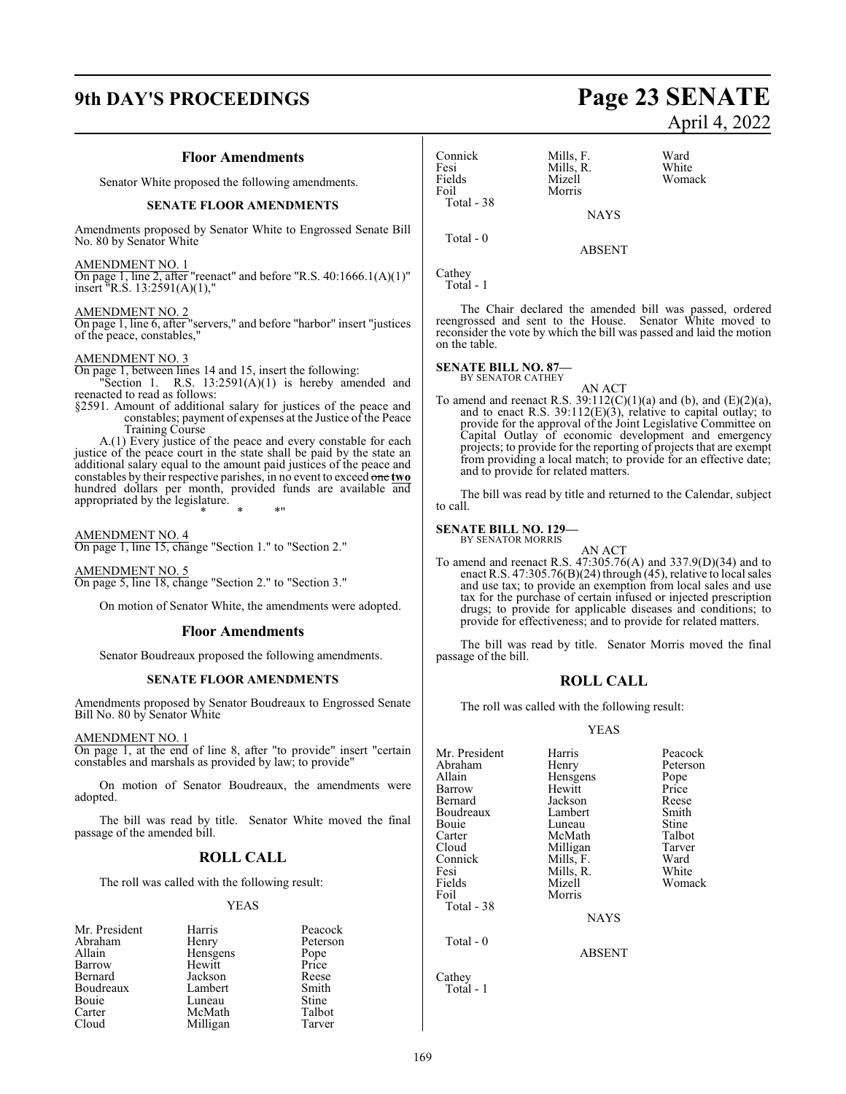## **9th DAY'S PROCEEDINGS Page 23 SENATE**

#### **Floor Amendments**

Senator White proposed the following amendments.

#### **SENATE FLOOR AMENDMENTS**

Amendments proposed by Senator White to Engrossed Senate Bill No. 80 by Senator White

#### AMENDMENT NO. 1

On page 1, line 2, after "reenact" and before "R.S. 40:1666.1(A)(1)" insert "R.S. 13:2591(A)(1),"

#### AMENDMENT NO. 2

On page 1, line 6, after "servers," and before "harbor" insert "justices of the peace, constables,"

### AMENDMENT NO. 3

On page 1, between lines 14 and 15, insert the following: "Section 1. R.S.  $13:2591(A)(1)$  is hereby amended and

reenacted to read as follows: §2591. Amount of additional salary for justices of the peace and

constables; payment of expenses at the Justice of the Peace Training Course

A.(1) Every justice of the peace and every constable for each justice of the peace court in the state shall be paid by the state an additional salary equal to the amount paid justices of the peace and constables by their respective parishes, in no event to exceed one **two** hundred dollars per month, provided funds are available and appropriated by the legislature.

\* \* \*"

AMENDMENT NO. 4

On page 1, line 15, change "Section 1." to "Section 2."

AMENDMENT NO. 5 On page 5, line 18, change "Section 2." to "Section 3."

On motion of Senator White, the amendments were adopted.

#### **Floor Amendments**

Senator Boudreaux proposed the following amendments.

#### **SENATE FLOOR AMENDMENTS**

Amendments proposed by Senator Boudreaux to Engrossed Senate Bill No. 80 by Senator White

#### AMENDMENT NO. 1

On page 1, at the end of line 8, after "to provide" insert "certain constables and marshals as provided by law; to provide"

On motion of Senator Boudreaux, the amendments were adopted.

The bill was read by title. Senator White moved the final passage of the amended bill.

#### **ROLL CALL**

The roll was called with the following result:

#### YEAS

| Mr. President | Harris   | Peacock      |
|---------------|----------|--------------|
| Abraham       | Henry    | Peterson     |
| Allain        | Hensgens | Pope         |
| Barrow        | Hewitt   | Price        |
| Bernard       | Jackson  | Reese        |
| Boudreaux     | Lambert  | Smith        |
| Bouie         | Luneau   | <b>Stine</b> |
| Carter        | McMath   | Talbot       |
| Cloud         | Milligan | Tarver       |

Connick Mills, F. Ward Fesi Mills, R.<br>Fields Mizell Foil Morris Total - 38

NAYS

ABSENT

Total - 0

Cathey Total - 1

The Chair declared the amended bill was passed, ordered reengrossed and sent to the House. Senator White moved to reconsider the vote by which the bill was passed and laid the motion on the table.

#### **SENATE BILL NO. 87—** BY SENATOR CATHEY

AN ACT To amend and reenact R.S.  $39:112(C)(1)(a)$  and (b), and (E)(2)(a), and to enact R.S.  $39:112(E)(3)$ , relative to capital outlay; to provide for the approval of the Joint Legislative Committee on Capital Outlay of economic development and emergency projects; to provide for the reporting of projects that are exempt from providing a local match; to provide for an effective date; and to provide for related matters.

The bill was read by title and returned to the Calendar, subject to call.

## **SENATE BILL NO. 129—** BY SENATOR MORRIS

AN ACT

To amend and reenact R.S. 47:305.76(A) and 337.9(D)(34) and to enact R.S. 47:305.76(B)(24) through (45), relative to local sales and use tax; to provide an exemption from local sales and use tax for the purchase of certain infused or injected prescription drugs; to provide for applicable diseases and conditions; to provide for effectiveness; and to provide for related matters.

The bill was read by title. Senator Morris moved the final passage of the bill.

#### **ROLL CALL**

The roll was called with the following result:

#### YEAS

| Mr. President | Harris      | Peacock  |
|---------------|-------------|----------|
| Abraham       | Henry       | Peterson |
| Allain        | Hensgens    | Pope     |
| Barrow        | Hewitt      | Price    |
| Bernard       | Jackson     | Reese    |
| Boudreaux     | Lambert     | Smith    |
| Bouie         | Luneau      | Stine    |
| Carter        | McMath      | Talbot   |
| Cloud         | Milligan    | Tarver   |
| Connick       | Mills, F.   | Ward     |
| Fesi          | Mills, R.   | White    |
| Fields        | Mizell      | Womack   |
| Foil          | Morris      |          |
| Total - 38    |             |          |
|               | <b>NAYS</b> |          |
| Total - 0     |             |          |
|               | ABSENT      |          |

Cathey

Total - 1

# April 4, 2022

Womack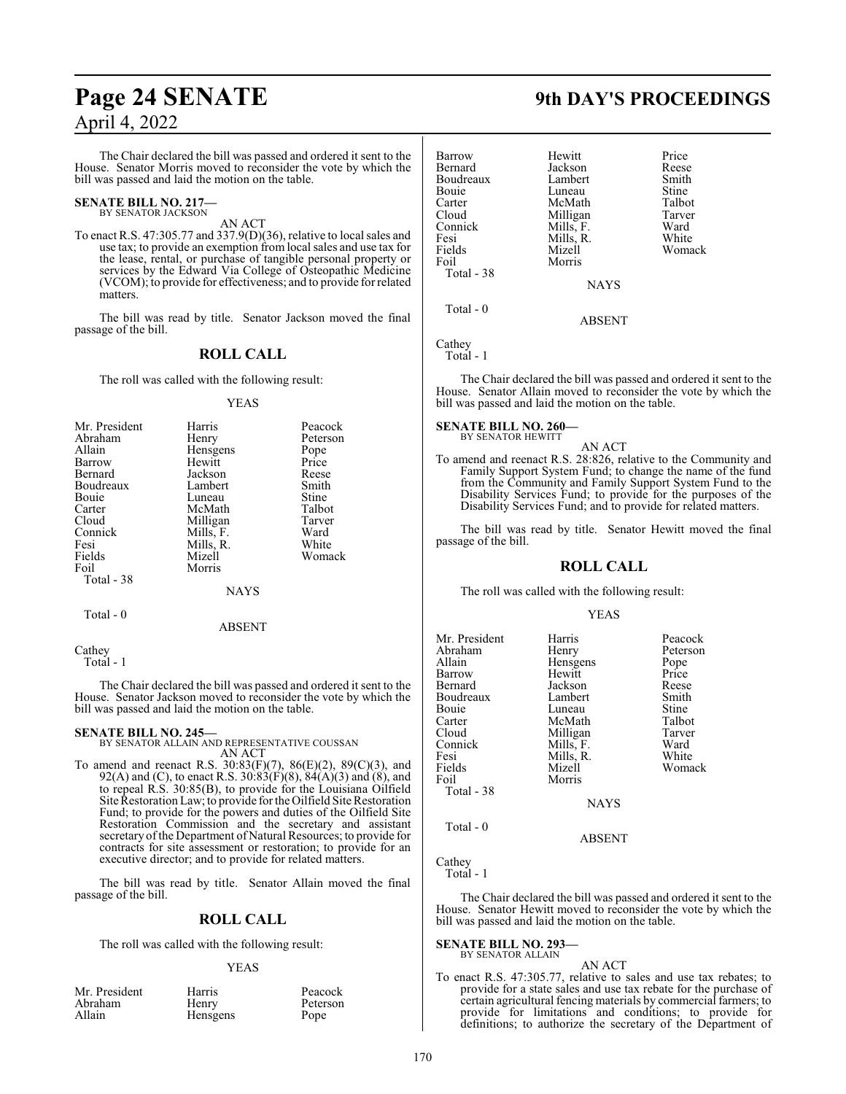## **Page 24 SENATE 9th DAY'S PROCEEDINGS** April 4, 2022

The Chair declared the bill was passed and ordered it sent to the House. Senator Morris moved to reconsider the vote by which the bill was passed and laid the motion on the table.

#### **SENATE BILL NO. 217—** BY SENATOR JACKSON

AN ACT

To enact R.S. 47:305.77 and 337.9(D)(36), relative to local sales and use tax; to provide an exemption from local sales and use tax for the lease, rental, or purchase of tangible personal property or services by the Edward Via College of Osteopathic Medicine (VCOM); to provide for effectiveness; and to provide for related matters.

The bill was read by title. Senator Jackson moved the final passage of the bill.

#### **ROLL CALL**

The roll was called with the following result:

#### YEAS

| Mr. President | Harris    | Peacock      |
|---------------|-----------|--------------|
| Abraham       | Henry     | Peterson     |
| Allain        | Hensgens  | Pope         |
| Barrow        | Hewitt    | Price        |
| Bernard       | Jackson   | Reese        |
| Boudreaux     | Lambert   | Smith        |
| Bouie         | Luneau    | <b>Stine</b> |
| Carter        | McMath    | Talbot       |
| Cloud         | Milligan  | Tarver       |
| Connick       | Mills, F. | Ward         |
| Fesi          | Mills, R. | White        |
| Fields        | Mizell    | Womack       |
| Foil          | Morris    |              |
| Total - 38    |           |              |
|               | NAYS      |              |

Total - 0

ABSENT

Cathey Total - 1

The Chair declared the bill was passed and ordered it sent to the House. Senator Jackson moved to reconsider the vote by which the bill was passed and laid the motion on the table.

#### **SENATE BILL NO. 245—**

BY SENATOR ALLAIN AND REPRESENTATIVE COUSSAN AN ACT

To amend and reenact R.S. 30:83(F)(7), 86(E)(2), 89(C)(3), and 92(A) and (C), to enact R.S.  $30:83(F)(8)$ ,  $84(A)(3)$  and  $(8)$ , and to repeal R.S. 30:85(B), to provide for the Louisiana Oilfield Site Restoration Law; to provide for the Oilfield Site Restoration Fund; to provide for the powers and duties of the Oilfield Site Restoration Commission and the secretary and assistant secretary of the Department of Natural Resources; to provide for contracts for site assessment or restoration; to provide for an executive director; and to provide for related matters.

The bill was read by title. Senator Allain moved the final passage of the bill.

#### **ROLL CALL**

The roll was called with the following result:

#### YEAS

| Mr. President | Harris          | Peacock  |
|---------------|-----------------|----------|
| Abraham       | Henry           | Peterson |
| Allain        | <b>Hensgens</b> | Pope     |

| Barrow     | Hewitt      | Price        |
|------------|-------------|--------------|
| Bernard    | Jackson     | Reese        |
| Boudreaux  | Lambert     | Smith        |
| Bouie      | Luneau      | <b>Stine</b> |
| Carter     | McMath      | Talbot       |
| Cloud      | Milligan    | Tarver       |
| Connick    | Mills, F.   | Ward         |
| Fesi       | Mills, R.   | White        |
| Fields     | Mizell      | Womack       |
| Foil       | Morris      |              |
| Total - 38 |             |              |
|            | <b>NAYS</b> |              |
| Total $-0$ |             |              |
|            | ABSENT      |              |

Cathey

Total - 1

The Chair declared the bill was passed and ordered it sent to the House. Senator Allain moved to reconsider the vote by which the bill was passed and laid the motion on the table.

#### **SENATE BILL NO. 260—** BY SENATOR HEWITT

AN ACT To amend and reenact R.S. 28:826, relative to the Community and Family Support System Fund; to change the name of the fund from the Community and Family Support System Fund to the Disability Services Fund; to provide for the purposes of the Disability Services Fund; and to provide for related matters.

The bill was read by title. Senator Hewitt moved the final passage of the bill.

#### **ROLL CALL**

The roll was called with the following result:

#### YEAS

| Mr. President | Harris      | Peacock  |
|---------------|-------------|----------|
| Abraham       | Henry       | Peterson |
| Allain        | Hensgens    | Pope     |
| Barrow        | Hewitt      | Price    |
| Bernard       | Jackson     | Reese    |
| Boudreaux     | Lambert     | Smith    |
| Bouie         | Luneau      | Stine    |
| Carter        | McMath      | Talbot   |
| Cloud         | Milligan    | Tarver   |
| Connick       | Mills, F.   | Ward     |
| Fesi          | Mills, R.   | White    |
| Fields        | Mizell      | Womack   |
| Foil          | Morris      |          |
| Total - 38    |             |          |
|               | <b>NAYS</b> |          |
| Total - 0     |             |          |

ABSENT

#### Cathey

Total - 1

The Chair declared the bill was passed and ordered it sent to the House. Senator Hewitt moved to reconsider the vote by which the bill was passed and laid the motion on the table.

#### **SENATE BILL NO. 293—** BY SENATOR ALLAIN

#### AN ACT

To enact R.S. 47:305.77, relative to sales and use tax rebates; to provide for a state sales and use tax rebate for the purchase of certain agricultural fencing materials by commercial farmers; to provide for limitations and conditions; to provide for definitions; to authorize the secretary of the Department of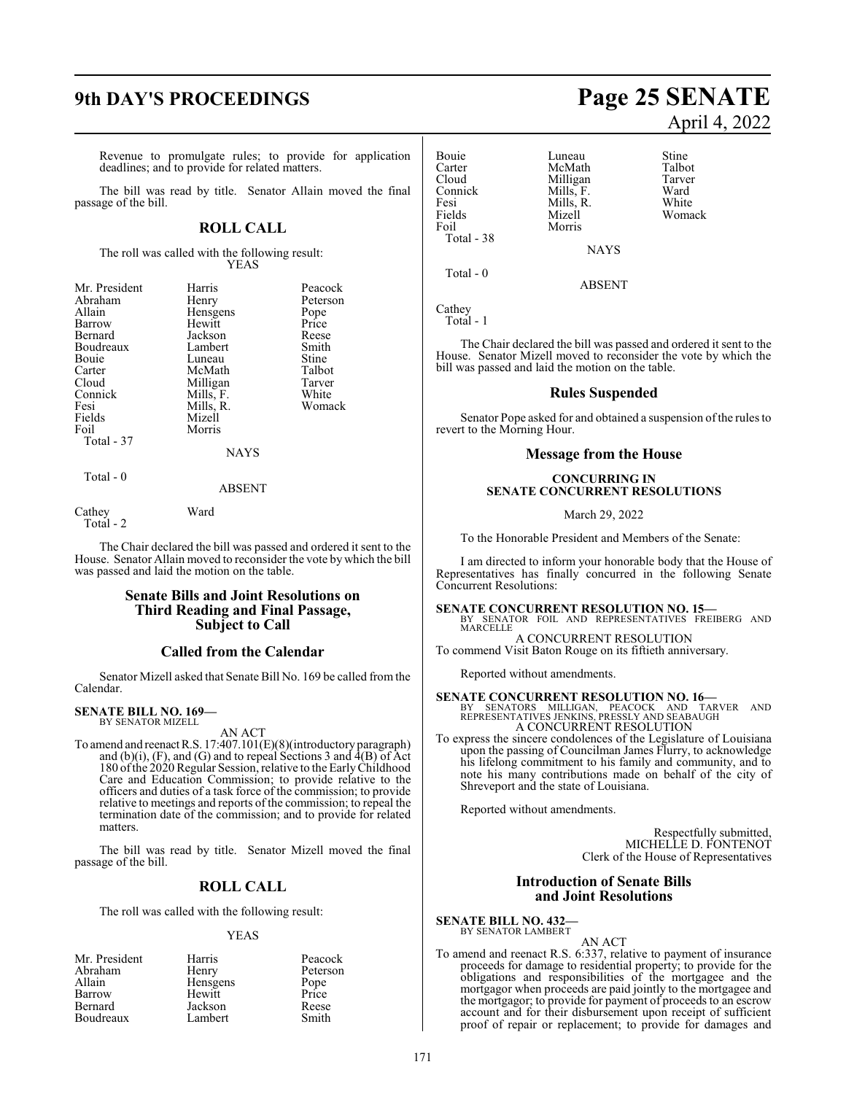## **9th DAY'S PROCEEDINGS Page 25 SENATE**

Revenue to promulgate rules; to provide for application deadlines; and to provide for related matters.

The bill was read by title. Senator Allain moved the final passage of the bill.

## **ROLL CALL**

The roll was called with the following result: YEAS

| Mr. President | Harris      | Peacock  |
|---------------|-------------|----------|
| Abraham       | Henry       | Peterson |
| Allain        | Hensgens    | Pope     |
| Barrow        | Hewitt      | Price    |
| Bernard       | Jackson     | Reese    |
| Boudreaux     | Lambert     | Smith    |
| Bouie         | Luneau      | Stine    |
| Carter        | McMath      | Talbot   |
| Cloud         | Milligan    | Tarver   |
| Connick       | Mills, F.   | White    |
| Fesi          | Mills, R.   | Womack   |
| Fields        | Mizell      |          |
| Foil          | Morris      |          |
| Total - 37    |             |          |
|               | <b>NAYS</b> |          |
| $Total - 0$   |             |          |

ABSENT

Cathey Ward Total - 2

The Chair declared the bill was passed and ordered it sent to the House. Senator Allain moved to reconsider the vote by which the bill was passed and laid the motion on the table.

#### **Senate Bills and Joint Resolutions on Third Reading and Final Passage, Subject to Call**

#### **Called from the Calendar**

Senator Mizell asked that Senate Bill No. 169 be called from the Calendar.

#### **SENATE BILL NO. 169—** BY SENATOR MIZELL

AN ACT

To amend and reenact R.S. 17:407.101(E)(8)(introductory paragraph) and  $(b)(i)$ ,  $(F)$ , and  $(G)$  and to repeal Sections 3 and  $\overline{A(B)}$  of Act 180 of the 2020 Regular Session, relative to the Early Childhood Care and Education Commission; to provide relative to the officers and duties of a task force of the commission; to provide relative to meetings and reports of the commission; to repeal the termination date of the commission; and to provide for related matters.

The bill was read by title. Senator Mizell moved the final passage of the bill.

### **ROLL CALL**

The roll was called with the following result:

#### YEAS

| Mr. President | Harris   | Peacock  |
|---------------|----------|----------|
| Abraham       | Henry    | Peterson |
| Allain        | Hensgens | Pope     |
| Barrow        | Hewitt   | Price    |
| Bernard       | Jackson  | Reese    |
| Boudreaux     | Lambert  | Smith    |

# April 4, 2022

Bouie Luneau Stine<br>Carter McMath Talbot Exerce Talbot<br>Cloud Milligan Tarver Cloud Milligan Tarver<br>
Connick Mills, F. Ward Connick Mills, F. Ward Fesi Mills, R.<br>Fields Mizell Fields Mizell Womack Total - 38

Morris

NAYS

ABSENT

Cathey Total - 1

Total - 0

The Chair declared the bill was passed and ordered it sent to the House. Senator Mizell moved to reconsider the vote by which the bill was passed and laid the motion on the table.

#### **Rules Suspended**

Senator Pope asked for and obtained a suspension of the rules to revert to the Morning Hour.

#### **Message from the House**

#### **CONCURRING IN SENATE CONCURRENT RESOLUTIONS**

March 29, 2022

To the Honorable President and Members of the Senate:

I am directed to inform your honorable body that the House of Representatives has finally concurred in the following Senate Concurrent Resolutions:

**SENATE CONCURRENT RESOLUTION NO. 15—**<br>BY SENATOR FOIL AND REPRESENTATIVES FREIBERG AND<br>MARCELLE A CONCURRENT RESOLUTION

To commend Visit Baton Rouge on its fiftieth anniversary.

Reported without amendments.

**SENATE CONCURRENT RESOLUTION NO. 16**<br>
BY SENATORS MILLIGAN, PEACOCK AND TARVER AND<br>
REPRESENTATIVES JENKINS, PRESSLY AND SEABAUGH<br>
A CONCURRENT RESOLUTION

To express the sincere condolences of the Legislature of Louisiana upon the passing of Councilman James Flurry, to acknowledge his lifelong commitment to his family and community, and to note his many contributions made on behalf of the city of Shreveport and the state of Louisiana.

Reported without amendments.

Respectfully submitted, MICHELLE D. FONTENOT Clerk of the House of Representatives

#### **Introduction of Senate Bills and Joint Resolutions**

**SENATE BILL NO. 432—** BY SENATOR LAMBERT

AN ACT To amend and reenact R.S. 6:337, relative to payment of insurance proceeds for damage to residential property; to provide for the obligations and responsibilities of the mortgagee and the mortgagor when proceeds are paid jointly to the mortgagee and the mortgagor; to provide for payment of proceeds to an escrow account and for their disbursement upon receipt of sufficient proof of repair or replacement; to provide for damages and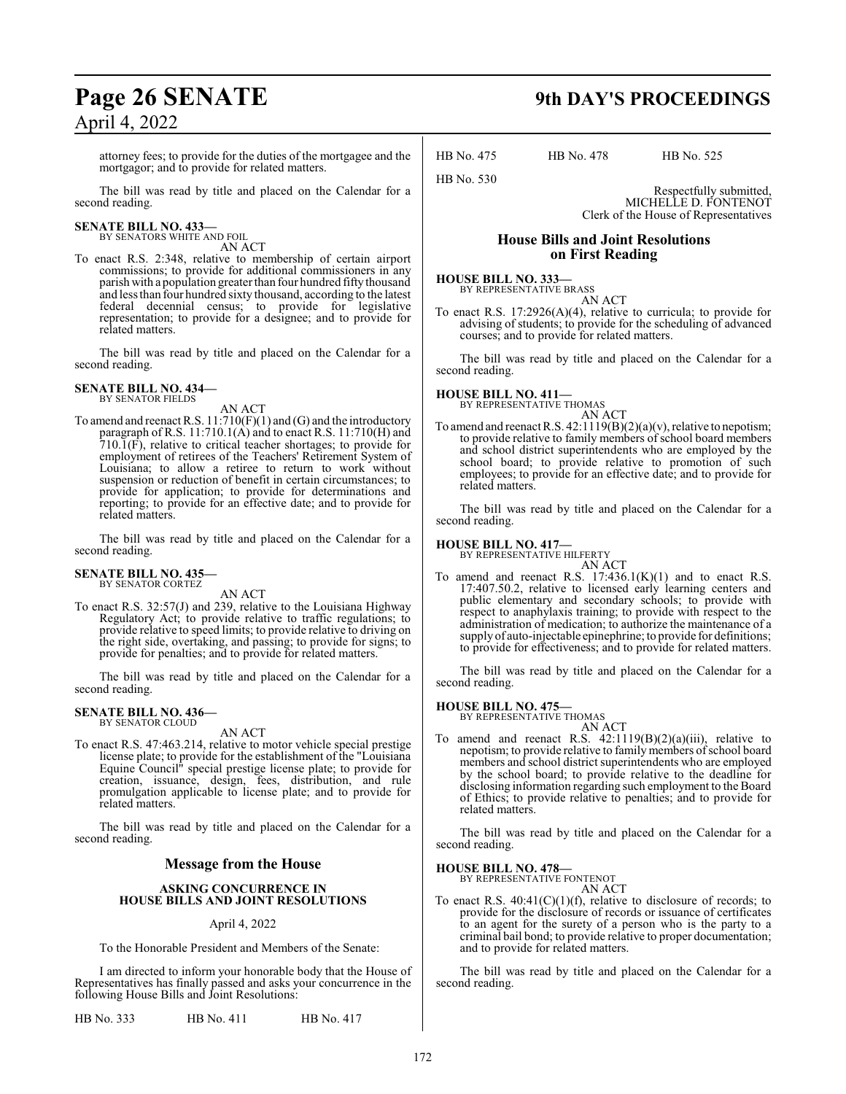attorney fees; to provide for the duties of the mortgagee and the mortgagor; and to provide for related matters.

The bill was read by title and placed on the Calendar for a second reading.

# **SENATE BILL NO. 433—** BY SENATORS WHITE AND FOIL

AN ACT

To enact R.S. 2:348, relative to membership of certain airport commissions; to provide for additional commissioners in any parish with a population greater than four hundred fifty thousand and less than four hundred sixty thousand, according to the latest federal decennial census; to provide for legislative representation; to provide for a designee; and to provide for related matters.

The bill was read by title and placed on the Calendar for a second reading.

**SENATE BILL NO. 434—** BY SENATOR FIELDS

AN ACT

To amend and reenact R.S. 11:710(F)(1) and (G) and the introductory paragraph of R.S. 11:710.1(A) and to enact R.S. 11:710(H) and  $710.\overline{1}$ (F), relative to critical teacher shortages; to provide for employment of retirees of the Teachers' Retirement System of Louisiana; to allow a retiree to return to work without suspension or reduction of benefit in certain circumstances; to provide for application; to provide for determinations and reporting; to provide for an effective date; and to provide for related matters.

The bill was read by title and placed on the Calendar for a second reading.

#### **SENATE BILL NO. 435—** BY SENATOR CORTEZ

AN ACT

To enact R.S. 32:57(J) and 239, relative to the Louisiana Highway Regulatory Act; to provide relative to traffic regulations; to provide relative to speed limits; to provide relative to driving on the right side, overtaking, and passing; to provide for signs; to provide for penalties; and to provide for related matters.

The bill was read by title and placed on the Calendar for a second reading.

# **SENATE BILL NO. 436—** BY SENATOR CLOUD

#### AN ACT

To enact R.S. 47:463.214, relative to motor vehicle special prestige license plate; to provide for the establishment of the "Louisiana Equine Council" special prestige license plate; to provide for creation, issuance, design, fees, distribution, and rule promulgation applicable to license plate; and to provide for related matters.

The bill was read by title and placed on the Calendar for a second reading.

#### **Message from the House**

#### **ASKING CONCURRENCE IN HOUSE BILLS AND JOINT RESOLUTIONS**

#### April 4, 2022

To the Honorable President and Members of the Senate:

I am directed to inform your honorable body that the House of Representatives has finally passed and asks your concurrence in the following House Bills and Joint Resolutions:

HB No. 333 HB No. 411 HB No. 417

## **Page 26 SENATE 9th DAY'S PROCEEDINGS**

HB No. 475 HB No. 478 HB No. 525

Respectfully submitted, MICHELLE D. FONTENOT Clerk of the House of Representatives

### **House Bills and Joint Resolutions on First Reading**

**HOUSE BILL NO. 333—** BY REPRESENTATIVE BRASS

HB No. 530

AN ACT

To enact R.S. 17:2926(A)(4), relative to curricula; to provide for advising of students; to provide for the scheduling of advanced courses; and to provide for related matters.

The bill was read by title and placed on the Calendar for a second reading.

#### **HOUSE BILL NO. 411—**

BY REPRESENTATIVE THOMAS AN ACT

To amend and reenact R.S.  $42:1119(B)(2)(a)(v)$ , relative to nepotism; to provide relative to family members of school board members and school district superintendents who are employed by the school board; to provide relative to promotion of such employees; to provide for an effective date; and to provide for related matters.

The bill was read by title and placed on the Calendar for a second reading.

#### **HOUSE BILL NO. 417—**

BY REPRESENTATIVE HILFERTY AN ACT

To amend and reenact R.S.  $17:436.1(K)(1)$  and to enact R.S. 17:407.50.2, relative to licensed early learning centers and public elementary and secondary schools; to provide with respect to anaphylaxis training; to provide with respect to the administration of medication; to authorize the maintenance of a supply of auto-injectable epinephrine; to provide for definitions; to provide for effectiveness; and to provide for related matters.

The bill was read by title and placed on the Calendar for a second reading.

#### **HOUSE BILL NO. 475—**

BY REPRESENTATIVE THOMAS

AN ACT To amend and reenact R.S. 42:1119(B)(2)(a)(iii), relative to nepotism; to provide relative to family members of school board members and school district superintendents who are employed by the school board; to provide relative to the deadline for disclosing information regarding such employment to the Board of Ethics; to provide relative to penalties; and to provide for related matters.

The bill was read by title and placed on the Calendar for a second reading.

**HOUSE BILL NO. 478—** BY REPRESENTATIVE FONTENOT

AN ACT

To enact R.S.  $40:41(C)(1)(f)$ , relative to disclosure of records; to provide for the disclosure of records or issuance of certificates to an agent for the surety of a person who is the party to a criminal bail bond; to provide relative to proper documentation; and to provide for related matters.

The bill was read by title and placed on the Calendar for a second reading.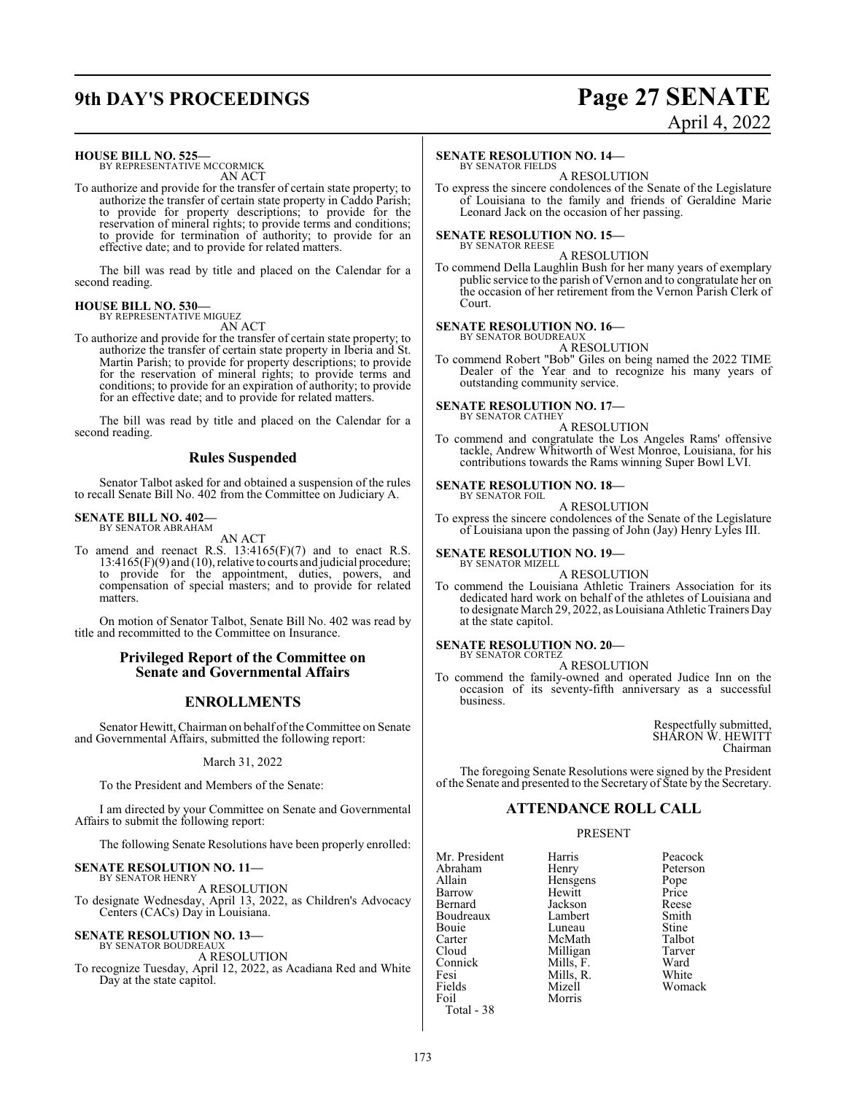## **9th DAY'S PROCEEDINGS Page 27 SENATE**

# April 4, 2022

#### **HOUSE BILL NO. 525—**

BY REPRESENTATIVE MCCORMICK AN ACT

To authorize and provide for the transfer of certain state property; to authorize the transfer of certain state property in Caddo Parish; to provide for property descriptions; to provide for the reservation of mineral rights; to provide terms and conditions; to provide for termination of authority; to provide for an effective date; and to provide for related matters.

The bill was read by title and placed on the Calendar for a second reading.

#### **HOUSE BILL NO. 530—** BY REPRESENTATIVE MIGUEZ

AN ACT

To authorize and provide for the transfer of certain state property; to authorize the transfer of certain state property in Iberia and St. Martin Parish; to provide for property descriptions; to provide for the reservation of mineral rights; to provide terms and conditions; to provide for an expiration of authority; to provide for an effective date; and to provide for related matters.

The bill was read by title and placed on the Calendar for a second reading.

#### **Rules Suspended**

Senator Talbot asked for and obtained a suspension of the rules to recall Senate Bill No. 402 from the Committee on Judiciary A.

#### **SENATE BILL NO. 402—** BY SENATOR ABRAHAM

AN ACT

To amend and reenact R.S. 13:4165(F)(7) and to enact R.S. 13:4165(F)(9) and (10), relative to courts and judicial procedure; to provide for the appointment, duties, powers, and compensation of special masters; and to provide for related matters.

On motion of Senator Talbot, Senate Bill No. 402 was read by title and recommitted to the Committee on Insurance.

#### **Privileged Report of the Committee on Senate and Governmental Affairs**

#### **ENROLLMENTS**

Senator Hewitt, Chairman on behalf oftheCommittee on Senate and Governmental Affairs, submitted the following report:

March 31, 2022

To the President and Members of the Senate:

I am directed by your Committee on Senate and Governmental Affairs to submit the following report:

The following Senate Resolutions have been properly enrolled:

#### **SENATE RESOLUTION NO. 11—** BY SENATOR HENRY

A RESOLUTION To designate Wednesday, April 13, 2022, as Children's Advocacy Centers (CACs) Day in Louisiana.

# **SENATE RESOLUTION NO. 13—** BY SENATOR BOUDREAUX

#### A RESOLUTION

To recognize Tuesday, April 12, 2022, as Acadiana Red and White Day at the state capitol.

#### **SENATE RESOLUTION NO. 14—**

BY SENATOR FIELDS A RESOLUTION

To express the sincere condolences of the Senate of the Legislature of Louisiana to the family and friends of Geraldine Marie Leonard Jack on the occasion of her passing.

#### **SENATE RESOLUTION NO. 15—** BY SENATOR REESE

A RESOLUTION

To commend Della Laughlin Bush for her many years of exemplary public service to the parish of Vernon and to congratulate her on the occasion of her retirement from the Vernon Parish Clerk of Court.

## **SENATE RESOLUTION NO. 16—**<br>BY SENATOR BOUDREAUX

A RESOLUTION

To commend Robert "Bob" Giles on being named the 2022 TIME Dealer of the Year and to recognize his many years of outstanding community service.

#### **SENATE RESOLUTION NO. 17—** BY SENATOR CATHEY

A RESOLUTION

To commend and congratulate the Los Angeles Rams' offensive tackle, Andrew Whitworth of West Monroe, Louisiana, for his contributions towards the Rams winning Super Bowl LVI.

#### **SENATE RESOLUTION NO. 18—** BY SENATOR FOIL

A RESOLUTION

To express the sincere condolences of the Senate of the Legislature of Louisiana upon the passing of John (Jay) Henry Lyles III.

#### **SENATE RESOLUTION NO. 19—**

BY SENATOR MIZELL A RESOLUTION

To commend the Louisiana Athletic Trainers Association for its dedicated hard work on behalf of the athletes of Louisiana and to designate March 29, 2022, as Louisiana Athletic Trainers Day at the state capitol.

#### **SENATE RESOLUTION NO. 20—**

BY SENATOR CORTEZ A RESOLUTION

To commend the family-owned and operated Judice Inn on the occasion of its seventy-fifth anniversary as a successful business.

> Respectfully submitted, SHARON W. HEWITT Chairman

The foregoing Senate Resolutions were signed by the President of the Senate and presented to the Secretary of State by the Secretary.

#### **ATTENDANCE ROLL CALL**

#### PRESENT

**Morris** 

Mr. President Harris Peacock<br>Abraham Henry Peterson Abraham Henry Peters<br>Allain Hensgens Pope Allain Hensgens Pope Barrow Hewitt Price<br>Bernard Jackson Reese Boudreaux Lambert Smith Bouie Luneau Stine<br>Carter McMath Talbot Carter McMath Talbot<br>Cloud Milligan Tarver Cloud Milligan Tarver<br>
Connick Mills, F. Ward Connick Mills, F. Ward<br>
Fesi Mills R. White Fesi Mills, R.<br>Fields Mizell Fields Mizell Womack<br>
Foil Morris Total - 38

Jackson Reese<br>Lambert Smith